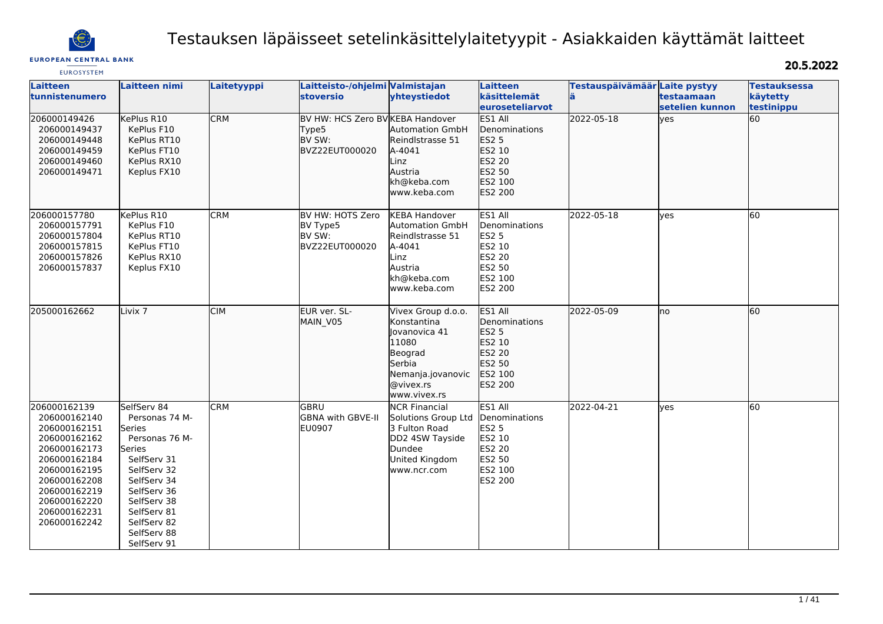

# Testauksen läpäisseet setelinkäsittelylaitetyypit - Asiakkaiden käyttämät laitteet

## **EUROPEAN CENTRAL BANK**

20.5.2022

| <b>EUROSYSTEM</b>                                                                                                                                                                            |                                                                                                                                                                                                            |             |                                                                       |                                                                                                                                           |                                                                                                                   |                                     |                               |                                               |
|----------------------------------------------------------------------------------------------------------------------------------------------------------------------------------------------|------------------------------------------------------------------------------------------------------------------------------------------------------------------------------------------------------------|-------------|-----------------------------------------------------------------------|-------------------------------------------------------------------------------------------------------------------------------------------|-------------------------------------------------------------------------------------------------------------------|-------------------------------------|-------------------------------|-----------------------------------------------|
| <b>Laitteen</b><br>tunnistenumero                                                                                                                                                            | Laitteen nimi                                                                                                                                                                                              | Laitetyyppi | Laitteisto-/ohjelmi Valmistajan<br><b>stoversio</b>                   | yhteystiedot                                                                                                                              | Laitteen<br>käsittelemät<br><b>leuroseteliarvot</b>                                                               | Testauspäivämäär Laite pystyy<br>lä | testaamaan<br>setelien kunnon | <b>Testauksessa</b><br>käytetty<br>testinippu |
| 206000149426<br>206000149437<br>206000149448<br>206000149459<br>206000149460<br>206000149471                                                                                                 | KePlus R10<br>KePlus F10<br>KePlus RT10<br>KePlus FT10<br>KePlus RX10<br>Keplus FX10                                                                                                                       | <b>CRM</b>  | BV HW: HCS Zero BV KEBA Handover<br>Type5<br>BV SW:<br>BVZ22EUT000020 | <b>Automation GmbH</b><br>Reindlstrasse 51<br>A-4041<br>Linz<br>Austria<br>kh@keba.com<br>www.keba.com                                    | ES1 All<br><b>I</b> Denominations<br>ES2 5<br>ES2 10<br><b>ES2 20</b><br>ES2 50<br>ES2 100<br><b>ES2 200</b>      | 2022-05-18                          | lyes                          | 60                                            |
| 206000157780<br>206000157791<br>206000157804<br>206000157815<br>206000157826<br>206000157837                                                                                                 | KePlus R10<br>KePlus F10<br>KePlus RT10<br>KePlus FT10<br>KePlus RX10<br>Keplus FX10                                                                                                                       | <b>CRM</b>  | BV HW: HOTS Zero<br>BV Type5<br>BV SW:<br>BVZ22EUT000020              | <b>KEBA Handover</b><br><b>Automation GmbH</b><br>Reindlstrasse 51<br>A-4041<br>Linz<br>Austria<br>kh@keba.com<br>www.keba.com            | ES1 All<br>Denominations<br><b>ES2 5</b><br>ES2 10<br>ES2 20<br>ES2 50<br>ES2 100<br><b>ES2 200</b>               | 2022-05-18                          | yes                           | 60                                            |
| 205000162662                                                                                                                                                                                 | Livix <sub>7</sub>                                                                                                                                                                                         | <b>CIM</b>  | EUR ver. SL-<br>MAIN_V05                                              | Vivex Group d.o.o.<br><b>Konstantina</b><br>Jovanovica 41<br>11080<br>Beograd<br>Serbia<br>Nemanja.jovanovic<br>@vivex.rs<br>www.vivex.rs | ES1 All<br>Denominations<br>ES2 5<br>ES2 10<br>ES2 20<br>ES2 50<br>ES2 100<br><b>ES2 200</b>                      | 2022-05-09                          | Ino                           | 60                                            |
| 206000162139<br>206000162140<br>206000162151<br>206000162162<br>206000162173<br>206000162184<br>206000162195<br>206000162208<br>206000162219<br>206000162220<br>206000162231<br>206000162242 | SelfServ 84<br>Personas 74 M-<br>Series<br>Personas 76 M-<br>Series<br>SelfServ 31<br>SelfServ 32<br>SelfServ 34<br>SelfServ 36<br>SelfServ 38<br>SelfServ 81<br>SelfServ 82<br>SelfServ 88<br>SelfServ 91 | <b>CRM</b>  | GBRU<br><b>GBNA with GBVE-II</b><br><b>EU0907</b>                     | <b>NCR</b> Financial<br>Solutions Group Ltd<br>3 Fulton Road<br>DD2 4SW Tayside<br>Dundee<br>United Kingdom<br>www.ncr.com                | ES1 All<br>Denominations<br><b>ES2 5</b><br>ES2 10<br><b>ES2 20</b><br><b>ES2 50</b><br>ES2 100<br><b>ES2 200</b> | 2022-04-21                          | yes                           | 60                                            |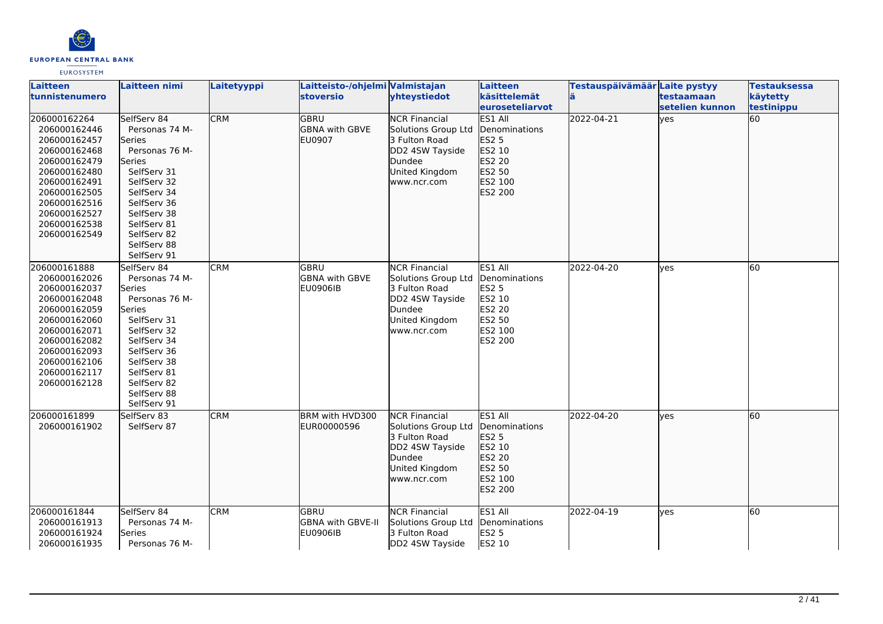

| Laitteen<br>ltunnistenumero                                                                                                                                                                  | Laitteen nimi                                                                                                                                                                                                | Laitetyyppi | Laitteisto-/ohjelmi Valmistajan<br><b>stoversio</b>     | yhteystiedot                                                                                                               | Laitteen<br>käsittelemät<br>euroseteliarvot                                                                | Testauspäivämäär Laite pystyy | testaamaan<br>lsetelien kunnon | <b>Testauksessa</b><br>käytetty<br>testinippu |
|----------------------------------------------------------------------------------------------------------------------------------------------------------------------------------------------|--------------------------------------------------------------------------------------------------------------------------------------------------------------------------------------------------------------|-------------|---------------------------------------------------------|----------------------------------------------------------------------------------------------------------------------------|------------------------------------------------------------------------------------------------------------|-------------------------------|--------------------------------|-----------------------------------------------|
| 206000162264<br>206000162446<br>206000162457<br>206000162468<br>206000162479<br>206000162480<br>206000162491<br>206000162505<br>206000162516<br>206000162527<br>206000162538<br>206000162549 | SelfServ 84<br>Personas 74 M-<br>lSeries<br>Personas 76 M-<br>lSeries<br>SelfServ 31<br>SelfServ 32<br>SelfServ 34<br>SelfServ 36<br>SelfServ 38<br>SelfServ 81<br>SelfServ 82<br>SelfServ 88<br>SelfServ 91 | <b>CRM</b>  | <b>GBRU</b><br><b>GBNA with GBVE</b><br><b>EU0907</b>   | <b>NCR Financial</b><br>Solutions Group Ltd<br>3 Fulton Road<br>DD2 4SW Tayside<br>Dundee<br>United Kingdom<br>www.ncr.com | ES1 All<br>Denominations<br><b>ES2 5</b><br>ES2 10<br>ES2 20<br>ES2 50<br>ES2 100<br>ES2 200               | 2022-04-21                    | lyes                           | 60                                            |
| 206000161888<br>206000162026<br>206000162037<br>206000162048<br>206000162059<br>206000162060<br>206000162071<br>206000162082<br>206000162093<br>206000162106<br>206000162117<br>206000162128 | SelfServ 84<br>Personas 74 M-<br>Series<br>Personas 76 M-<br>Series<br>SelfServ 31<br>SelfServ 32<br>SelfServ 34<br>SelfServ 36<br>SelfServ 38<br>SelfServ 81<br>SelfServ 82<br>SelfServ 88<br>SelfServ 91   | <b>CRM</b>  | <b>GBRU</b><br><b>GBNA with GBVE</b><br><b>EU0906IB</b> | <b>NCR Financial</b><br>Solutions Group Ltd<br>3 Fulton Road<br>DD2 4SW Tayside<br>Dundee<br>United Kingdom<br>www.ncr.com | ES1 All<br>Denominations<br><b>ES2 5</b><br>ES2 10<br><b>ES2 20</b><br>ES2 50<br>ES2 100<br><b>ES2 200</b> | 2022-04-20                    | lves                           | 60                                            |
| 206000161899<br>206000161902                                                                                                                                                                 | SelfServ 83<br>SelfServ 87                                                                                                                                                                                   | <b>CRM</b>  | BRM with HVD300<br>EUR00000596                          | <b>NCR Financial</b><br>Solutions Group Ltd<br>3 Fulton Road<br>DD2 4SW Tayside<br>Dundee<br>United Kingdom<br>www.ncr.com | ES1 All<br>Denominations<br><b>ES2 5</b><br>ES2 10<br>ES2 20<br>ES2 50<br>ES2 100<br>ES2 200               | 2022-04-20                    | lyes                           | 60                                            |
| 206000161844<br>206000161913<br>206000161924<br>206000161935                                                                                                                                 | SelfServ 84<br>Personas 74 M-<br>Series<br>Personas 76 M-                                                                                                                                                    | <b>CRM</b>  | <b>GBRU</b><br><b>GBNA with GBVE-II</b><br>EU0906IB     | <b>NCR Financial</b><br>Solutions Group Ltd<br>3 Fulton Road<br>DD2 4SW Tayside                                            | ES1 All<br>Denominations<br><b>ES2 5</b><br>ES2 10                                                         | 2022-04-19                    | lves                           | 60                                            |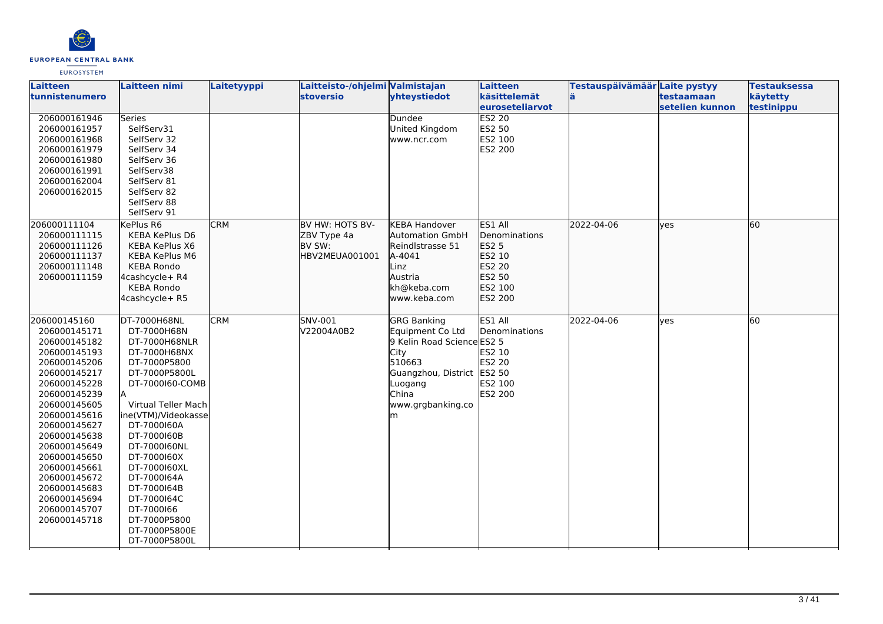

| Laitteen<br>tunnistenumero   | <b>Laitteen nimi</b>                | Laitetyyppi | Laitteisto-/ohjelmi Valmistajan<br><b>stoversio</b> | yhteystiedot               | Laitteen<br>käsittelemät | Testauspäivämäär Laite pystyy | testaamaan      | <b>Testauksessa</b><br>käytetty |
|------------------------------|-------------------------------------|-------------|-----------------------------------------------------|----------------------------|--------------------------|-------------------------------|-----------------|---------------------------------|
|                              |                                     |             |                                                     |                            | <b>euroseteliarvot</b>   |                               | setelien kunnon | testinippu                      |
| 206000161946                 | <b>Series</b>                       |             |                                                     | Dundee                     | <b>ES2 20</b>            |                               |                 |                                 |
| 206000161957                 | SelfServ31                          |             |                                                     | United Kingdom             | ES2 50                   |                               |                 |                                 |
| 206000161968                 | SelfServ 32                         |             |                                                     | www.ncr.com                | ES2 100                  |                               |                 |                                 |
| 206000161979                 | SelfServ 34                         |             |                                                     |                            | ES2 200                  |                               |                 |                                 |
| 206000161980                 | SelfServ 36                         |             |                                                     |                            |                          |                               |                 |                                 |
| 206000161991                 | SelfServ38                          |             |                                                     |                            |                          |                               |                 |                                 |
| 206000162004                 | SelfServ 81                         |             |                                                     |                            |                          |                               |                 |                                 |
| 206000162015                 | SelfServ 82                         |             |                                                     |                            |                          |                               |                 |                                 |
|                              | SelfServ 88                         |             |                                                     |                            |                          |                               |                 |                                 |
|                              | SelfServ 91                         |             |                                                     |                            |                          |                               |                 |                                 |
| 206000111104                 | KePlus R6                           | <b>CRM</b>  | BV HW: HOTS BV-                                     | <b>KEBA Handover</b>       | ES1 All                  | 2022-04-06                    | lves            | 60                              |
| 206000111115                 | <b>KEBA KePlus D6</b>               |             | ZBV Type 4a                                         | <b>Automation GmbH</b>     | Denominations            |                               |                 |                                 |
| 206000111126                 | KEBA KePlus X6                      |             | BV SW:                                              | Reindlstrasse 51           | ES2 5                    |                               |                 |                                 |
| 206000111137                 | <b>KEBA KePlus M6</b>               |             | HBV2MEUA001001                                      | A-4041                     | ES2 10                   |                               |                 |                                 |
| 206000111148                 | <b>KEBA Rondo</b>                   |             |                                                     | Linz                       | ES2 20                   |                               |                 |                                 |
| 206000111159                 | 4cashcycle+ R4                      |             |                                                     | Austria<br>kh@keba.com     | ES2 50<br>ES2 100        |                               |                 |                                 |
|                              | <b>KEBA Rondo</b><br>4cashcycle+ R5 |             |                                                     | www.keba.com               | ES2 200                  |                               |                 |                                 |
|                              |                                     |             |                                                     |                            |                          |                               |                 |                                 |
| 206000145160                 | DT-7000H68NL                        | <b>CRM</b>  | SNV-001                                             | GRG Banking                | ES1 All                  | 2022-04-06                    | <b>ves</b>      | 60                              |
| 206000145171                 | DT-7000H68N                         |             | V22004A0B2                                          | Equipment Co Ltd           | Denominations            |                               |                 |                                 |
| 206000145182                 | DT-7000H68NLR                       |             |                                                     | 9 Kelin Road Science ES2 5 |                          |                               |                 |                                 |
| 206000145193                 | DT-7000H68NX                        |             |                                                     | City                       | ES2 10                   |                               |                 |                                 |
| 206000145206                 | DT-7000P5800                        |             |                                                     | 510663                     | ES2 20                   |                               |                 |                                 |
| 206000145217                 | DT-7000P5800L                       |             |                                                     | Guangzhou, District        | ES2 50                   |                               |                 |                                 |
| 206000145228                 | DT-7000160-COMB                     |             |                                                     | Luogang                    | ES2 100                  |                               |                 |                                 |
| 206000145239                 |                                     |             |                                                     | China                      | ES2 200                  |                               |                 |                                 |
| 206000145605                 | Virtual Teller Mach                 |             |                                                     | www.grgbanking.co          |                          |                               |                 |                                 |
| 206000145616                 | line(VTM)/Videokassel               |             |                                                     | m                          |                          |                               |                 |                                 |
| 206000145627                 | DT-7000160A                         |             |                                                     |                            |                          |                               |                 |                                 |
| 206000145638                 | DT-7000160B                         |             |                                                     |                            |                          |                               |                 |                                 |
| 206000145649                 | DT-7000160NL                        |             |                                                     |                            |                          |                               |                 |                                 |
| 206000145650                 | DT-7000160X                         |             |                                                     |                            |                          |                               |                 |                                 |
| 206000145661                 | DT-7000160XL                        |             |                                                     |                            |                          |                               |                 |                                 |
| 206000145672                 | DT-7000164A                         |             |                                                     |                            |                          |                               |                 |                                 |
| 206000145683<br>206000145694 | DT-7000164B<br>DT-7000164C          |             |                                                     |                            |                          |                               |                 |                                 |
| 206000145707                 | DT-7000166                          |             |                                                     |                            |                          |                               |                 |                                 |
| 206000145718                 | DT-7000P5800                        |             |                                                     |                            |                          |                               |                 |                                 |
|                              | DT-7000P5800E                       |             |                                                     |                            |                          |                               |                 |                                 |
|                              | DT-7000P5800L                       |             |                                                     |                            |                          |                               |                 |                                 |
|                              |                                     |             |                                                     |                            |                          |                               |                 |                                 |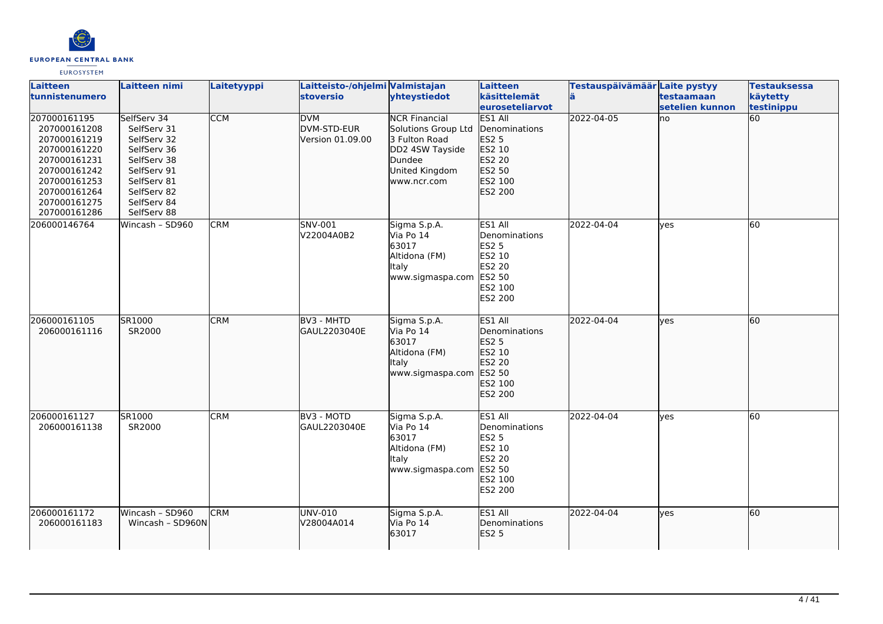

| <b>Laitteen</b><br>tunnistenumero                                                                                                                            | Laitteen nimi                                                                                                                                      | Laitetyyppi | Laitteisto-/ohjelmi Valmistajan<br><b>stoversio</b> | yhteystiedot                                                                                                               | Laitteen<br>käsittelemät<br>euroseteliarvot                                                                | Testauspäivämäär Laite pystyy | testaamaan<br>setelien kunnon | <b>Testauksessa</b><br>käytetty<br>testinippu |
|--------------------------------------------------------------------------------------------------------------------------------------------------------------|----------------------------------------------------------------------------------------------------------------------------------------------------|-------------|-----------------------------------------------------|----------------------------------------------------------------------------------------------------------------------------|------------------------------------------------------------------------------------------------------------|-------------------------------|-------------------------------|-----------------------------------------------|
| 207000161195<br>207000161208<br>207000161219<br>207000161220<br>207000161231<br>207000161242<br>207000161253<br>207000161264<br>207000161275<br>207000161286 | SelfServ 34<br>SelfServ 31<br>SelfServ 32<br>SelfServ 36<br>SelfServ 38<br>SelfServ 91<br>SelfServ 81<br>SelfServ 82<br>SelfServ 84<br>SelfServ 88 | <b>CCM</b>  | <b>DVM</b><br>DVM-STD-EUR<br>Version 01.09.00       | <b>NCR Financial</b><br>Solutions Group Ltd<br>3 Fulton Road<br>DD2 4SW Tayside<br>Dundee<br>United Kingdom<br>www.ncr.com | ES1 All<br>Denominations<br>ES2 5<br>ES2 10<br>ES2 20<br>ES2 50<br>ES2 100<br>ES2 200                      | 2022-04-05                    | no                            | 60                                            |
| 206000146764                                                                                                                                                 | Wincash - SD960                                                                                                                                    | <b>CRM</b>  | SNV-001<br>V22004A0B2                               | Sigma S.p.A.<br>Via Po 14<br>63017<br>Altidona (FM)<br><b>Italy</b><br>www.sigmaspa.com                                    | ES1 All<br>Denominations<br><b>ES2 5</b><br>ES2 10<br>ES2 20<br>ES2 50<br>ES2 100<br><b>ES2 200</b>        | 2022-04-04                    | <b>ves</b>                    | 60                                            |
| 206000161105<br>206000161116                                                                                                                                 | SR1000<br>SR2000                                                                                                                                   | <b>CRM</b>  | BV3 - MHTD<br>GAUL2203040E                          | Sigma S.p.A.<br>Via Po 14<br>63017<br>Altidona (FM)<br><b>Italy</b><br>www.sigmaspa.com                                    | ES1 All<br>Denominations<br>ES2 5<br>ES2 10<br>ES2 20<br>ES2 50<br><b>ES2 100</b><br>ES2 200               | 2022-04-04                    | lves                          | 60                                            |
| 206000161127<br>206000161138                                                                                                                                 | SR1000<br>SR2000                                                                                                                                   | <b>CRM</b>  | BV3 - MOTD<br>GAUL2203040E                          | Sigma S.p.A.<br>Via Po 14<br>63017<br>Altidona (FM)<br><b>Italy</b><br>www.sigmaspa.com                                    | ES1 All<br>Denominations<br><b>ES2 5</b><br>ES2 10<br><b>ES2 20</b><br>ES2 50<br>ES2 100<br><b>ES2 200</b> | 2022-04-04                    | <b>l</b> ves                  | 60                                            |
| 206000161172<br>206000161183                                                                                                                                 | Wincash - SD960<br>Wincash - SD960N                                                                                                                | <b>CRM</b>  | <b>UNV-010</b><br>V28004A014                        | Sigma S.p.A.<br>Via Po 14<br>63017                                                                                         | ES1 All<br>Denominations<br>ES2 <sub>5</sub>                                                               | 2022-04-04                    | lves                          | 60                                            |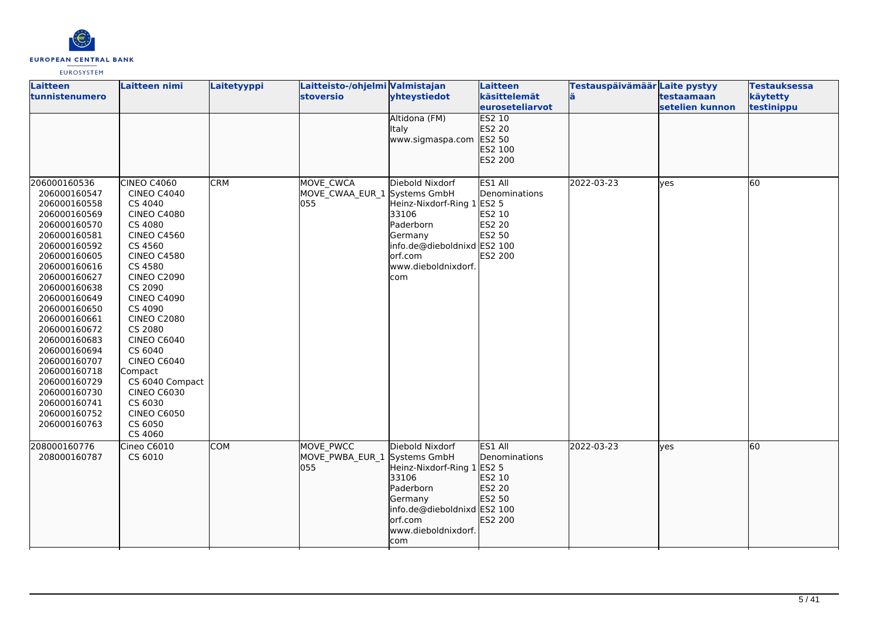

| Laitteen<br>tunnistenumero                                                                                                                                                                                                                                                                                                                                                                   | Laitteen nimi                                                                                                                                                                                                                                                                                                                                                                                                        | Laitetyyppi | Laitteisto-/ohjelmi Valmistajan<br><b>stoversio</b> | yhteystiedot                                                                                                                                           | Laitteen<br>käsittelemät<br>euroseteliarvot                                              | Testauspäivämäär Laite pystyy | testaamaan<br>setelien kunnon | <b>Testauksessa</b><br>käytetty<br>testinippu |
|----------------------------------------------------------------------------------------------------------------------------------------------------------------------------------------------------------------------------------------------------------------------------------------------------------------------------------------------------------------------------------------------|----------------------------------------------------------------------------------------------------------------------------------------------------------------------------------------------------------------------------------------------------------------------------------------------------------------------------------------------------------------------------------------------------------------------|-------------|-----------------------------------------------------|--------------------------------------------------------------------------------------------------------------------------------------------------------|------------------------------------------------------------------------------------------|-------------------------------|-------------------------------|-----------------------------------------------|
|                                                                                                                                                                                                                                                                                                                                                                                              |                                                                                                                                                                                                                                                                                                                                                                                                                      |             |                                                     | Altidona (FM)<br>Italy<br>www.sigmaspa.com                                                                                                             | <b>ES2 10</b><br>ES2 20<br>ES2 50<br>ES2 100<br>ES2 200                                  |                               |                               |                                               |
| 206000160536<br>206000160547<br>206000160558<br>206000160569<br>206000160570<br>206000160581<br>206000160592<br>206000160605<br>206000160616<br>206000160627<br>206000160638<br>206000160649<br>206000160650<br>206000160661<br>206000160672<br>206000160683<br>206000160694<br>206000160707<br>206000160718<br>206000160729<br>206000160730<br>206000160741<br>206000160752<br>206000160763 | CINEO C4060<br><b>CINEO C4040</b><br>CS 4040<br><b>CINEO C4080</b><br>CS 4080<br><b>CINEO C4560</b><br>CS 4560<br><b>CINEO C4580</b><br>CS 4580<br><b>CINEO C2090</b><br>CS 2090<br><b>CINEO C4090</b><br>CS 4090<br><b>CINEO C2080</b><br>CS 2080<br><b>CINEO C6040</b><br>CS 6040<br><b>CINEO C6040</b><br>Compact<br>CS 6040 Compact<br><b>CINEO C6030</b><br>CS 6030<br><b>CINEO C6050</b><br>CS 6050<br>CS 4060 | <b>CRM</b>  | MOVE CWCA<br>MOVE_CWAA_EUR_1 Systems GmbH<br>055    | Diebold Nixdorf<br>Heinz-Nixdorf-Ring 1<br>33106<br>Paderborn<br>Germany<br>info.de@dieboldnixd ES2 100<br>orf.com<br>www.dieboldnixdorf.<br>com       | ES1 All<br>Denominations<br><b>ES2 5</b><br>ES2 10<br>ES2 20<br>ES2 50<br><b>ES2 200</b> | 2022-03-23                    | yes                           | 60                                            |
| 208000160776<br>208000160787                                                                                                                                                                                                                                                                                                                                                                 | Cineo C6010<br>CS 6010                                                                                                                                                                                                                                                                                                                                                                                               | <b>COM</b>  | MOVE PWCC<br>MOVE PWBA EUR 1 Systems GmbH<br>055    | Diebold Nixdorf<br>Heinz-Nixdorf-Ring 1 ES2 5<br>33106<br>Paderborn<br>Germany<br>info.de@dieboldnixd ES2 100<br>orf.com<br>www.dieboldnixdorf.<br>com | ES1 All<br>Denominations<br>ES2 10<br>ES2 20<br>ES2 50<br>ES2 200                        | 2022-03-23                    | lyes                          | 60                                            |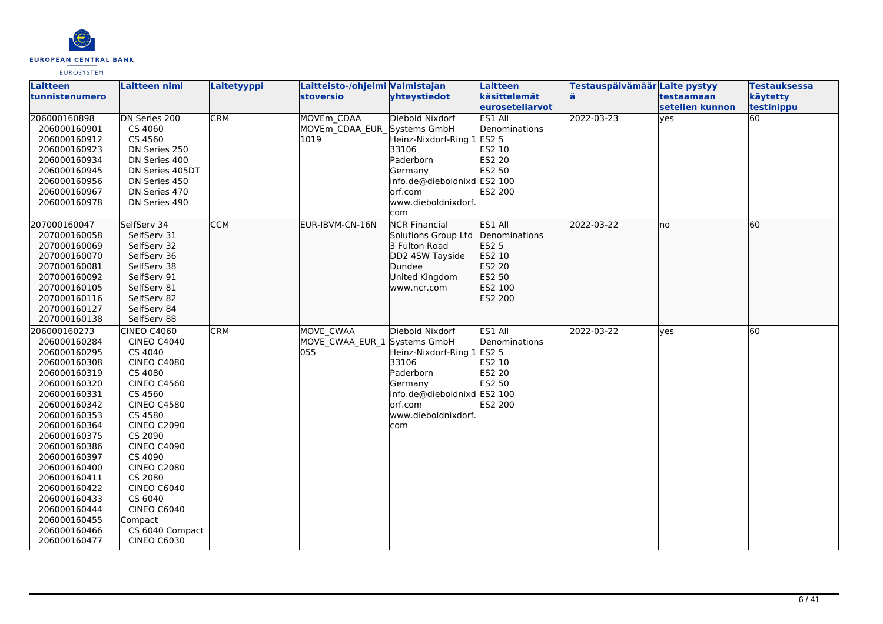

| Laitteen                     | <b>Laitteen nimi</b>          | Laitetyyppi | Laitteisto-/ohjelmi Valmistajan     |                                     | Laitteen        | Testauspäivämäär Laite pystyy |                 | <b>Testauksessa</b> |
|------------------------------|-------------------------------|-------------|-------------------------------------|-------------------------------------|-----------------|-------------------------------|-----------------|---------------------|
| tunnistenumero               |                               |             | <b>stoversio</b>                    | yhteystiedot                        | käsittelemät    | lä                            | testaamaan      | käytetty            |
|                              |                               |             |                                     |                                     | euroseteliarvot |                               | setelien kunnon | testinippu          |
| 206000160898                 | DN Series 200                 | <b>CRM</b>  | MOVEm CDAA                          | Diebold Nixdorf                     | ES1 All         | 2022-03-23                    | lyes            | $\overline{60}$     |
| 206000160901                 | CS 4060                       |             | MOVEm_CDAA_EUR_Systems GmbH         |                                     | Denominations   |                               |                 |                     |
| 206000160912                 | CS 4560                       |             | 1019                                | Heinz-Nixdorf-Ring 1                | <b>ES2 5</b>    |                               |                 |                     |
| 206000160923                 | DN Series 250                 |             |                                     | 33106                               | ES2 10          |                               |                 |                     |
| 206000160934                 | DN Series 400                 |             |                                     | Paderborn                           | ES2 20          |                               |                 |                     |
| 206000160945                 | DN Series 405DT               |             |                                     | Germany                             | ES2 50          |                               |                 |                     |
| 206000160956                 | DN Series 450                 |             |                                     | info.de@dieboldnixd ES2 100         |                 |                               |                 |                     |
| 206000160967                 | DN Series 470                 |             |                                     | orf.com                             | ES2 200         |                               |                 |                     |
| 206000160978                 | DN Series 490                 |             |                                     | www.dieboldnixdorf.                 |                 |                               |                 |                     |
|                              |                               |             |                                     | com                                 |                 |                               |                 |                     |
| 207000160047                 | SelfServ 34                   | <b>CCM</b>  | EUR-IBVM-CN-16N                     | <b>NCR Financial</b>                | ES1 All         | 2022-03-22                    | lno             | 60                  |
| 207000160058                 | SelfServ 31                   |             |                                     | Solutions Group Ltd                 | Denominations   |                               |                 |                     |
| 207000160069                 | SelfServ 32                   |             |                                     | 3 Fulton Road                       | <b>ES2 5</b>    |                               |                 |                     |
| 207000160070                 | SelfServ 36                   |             |                                     | DD2 4SW Tayside                     | ES2 10          |                               |                 |                     |
| 207000160081                 | SelfServ 38                   |             |                                     | Dundee                              | <b>ES2 20</b>   |                               |                 |                     |
| 207000160092                 | SelfServ 91                   |             |                                     | United Kingdom                      | ES2 50          |                               |                 |                     |
| 207000160105                 | SelfServ 81<br>SelfServ 82    |             |                                     | www.ncr.com                         | ES2 100         |                               |                 |                     |
| 207000160116<br>207000160127 | SelfServ 84                   |             |                                     |                                     | ES2 200         |                               |                 |                     |
| 207000160138                 | SelfServ 88                   |             |                                     |                                     |                 |                               |                 |                     |
|                              |                               |             |                                     | Diebold Nixdorf                     |                 |                               |                 | 60                  |
| 206000160273                 | <b>CINEO C4060</b>            | <b>CRM</b>  | MOVE CWAA                           |                                     | ES1 All         | 2022-03-22                    | lyes            |                     |
| 206000160284<br>206000160295 | <b>CINEO C4040</b>            |             | MOVE_CWAA_EUR_1 Systems GmbH<br>055 |                                     | Denominations   |                               |                 |                     |
| 206000160308                 | CS 4040<br><b>CINEO C4080</b> |             |                                     | Heinz-Nixdorf-Ring 1 ES2 5<br>33106 | ES2 10          |                               |                 |                     |
| 206000160319                 | CS 4080                       |             |                                     | Paderborn                           | <b>ES2 20</b>   |                               |                 |                     |
| 206000160320                 | <b>CINEO C4560</b>            |             |                                     | Germany                             | ES2 50          |                               |                 |                     |
| 206000160331                 | CS 4560                       |             |                                     | info.de@dieboldnixd ES2 100         |                 |                               |                 |                     |
| 206000160342                 | <b>CINEO C4580</b>            |             |                                     | orf.com                             | ES2 200         |                               |                 |                     |
| 206000160353                 | CS 4580                       |             |                                     | www.dieboldnixdorf.                 |                 |                               |                 |                     |
| 206000160364                 | <b>CINEO C2090</b>            |             |                                     | com                                 |                 |                               |                 |                     |
| 206000160375                 | CS 2090                       |             |                                     |                                     |                 |                               |                 |                     |
| 206000160386                 | <b>CINEO C4090</b>            |             |                                     |                                     |                 |                               |                 |                     |
| 206000160397                 | CS 4090                       |             |                                     |                                     |                 |                               |                 |                     |
| 206000160400                 | <b>CINEO C2080</b>            |             |                                     |                                     |                 |                               |                 |                     |
| 206000160411                 | CS 2080                       |             |                                     |                                     |                 |                               |                 |                     |
| 206000160422                 | CINEO C6040                   |             |                                     |                                     |                 |                               |                 |                     |
| 206000160433                 | CS 6040                       |             |                                     |                                     |                 |                               |                 |                     |
| 206000160444                 | CINEO C6040                   |             |                                     |                                     |                 |                               |                 |                     |
| 206000160455                 | Compact                       |             |                                     |                                     |                 |                               |                 |                     |
| 206000160466                 | CS 6040 Compact               |             |                                     |                                     |                 |                               |                 |                     |
| 206000160477                 | <b>CINEO C6030</b>            |             |                                     |                                     |                 |                               |                 |                     |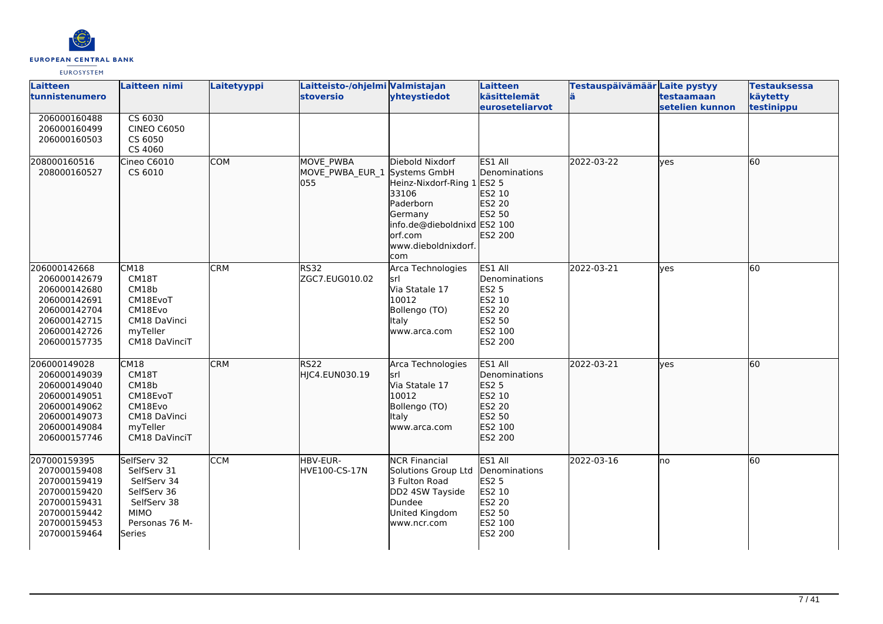

| Laitteen<br>tunnistenumero                                                                                                   | <b>Laitteen nimi</b>                                                                                               | Laitetyyppi | Laitteisto-/ohjelmi Valmistajan<br><b>stoversio</b>     | yhteystiedot                                                                                                                                     | Laitteen<br>käsittelemät<br><b>leuroseteliarvot</b>                                                 | Testauspäivämäär Laite pystyy | <b>testaamaan</b><br>setelien kunnon | <b>Testauksessa</b><br>käytetty<br>testinippu |
|------------------------------------------------------------------------------------------------------------------------------|--------------------------------------------------------------------------------------------------------------------|-------------|---------------------------------------------------------|--------------------------------------------------------------------------------------------------------------------------------------------------|-----------------------------------------------------------------------------------------------------|-------------------------------|--------------------------------------|-----------------------------------------------|
| 206000160488<br>206000160499<br>206000160503                                                                                 | CS 6030<br><b>CINEO C6050</b><br>CS 6050<br>CS 4060                                                                |             |                                                         |                                                                                                                                                  |                                                                                                     |                               |                                      |                                               |
| 208000160516<br>208000160527                                                                                                 | Cineo C6010<br>CS 6010                                                                                             | <b>COM</b>  | <b>MOVE PWBA</b><br>MOVE_PWBA_EUR_1 Systems GmbH<br>055 | Diebold Nixdorf<br>Heinz-Nixdorf-Ring 1<br>33106<br>Paderborn<br>Germany<br>info.de@dieboldnixd ES2 100<br>orf.com<br>www.dieboldnixdorf.<br>com | ES1 All<br><b>Denominations</b><br>ES2 5<br>ES2 10<br>ES2 20<br>ES2 50<br>ES2 200                   | 2022-03-22                    | lves                                 | 60                                            |
| 206000142668<br>206000142679<br>206000142680<br>206000142691<br>206000142704<br>206000142715<br>206000142726<br>206000157735 | CM18<br>CM18T<br>CM18b<br>CM18EvoT<br>CM18Evo<br>CM18 DaVinci<br>myTeller<br>CM18 DaVinciT                         | <b>CRM</b>  | <b>RS32</b><br>ZGC7.EUG010.02                           | Arca Technologies<br>srl<br>Via Statale 17<br>10012<br>Bollengo (TO)<br>Italy<br>www.arca.com                                                    | ES1 All<br>Denominations<br><b>ES2 5</b><br>ES2 10<br>ES2 20<br>ES2 50<br>ES2 100<br><b>ES2 200</b> | 2022-03-21                    | <b>ves</b>                           | 60                                            |
| 206000149028<br>206000149039<br>206000149040<br>206000149051<br>206000149062<br>206000149073<br>206000149084<br>206000157746 | CM18<br>CM18T<br>CM18b<br>CM18EvoT<br>CM18Evo<br>CM18 DaVinci<br>myTeller<br>CM18 DaVinciT                         | <b>CRM</b>  | RS <sub>22</sub><br>HJC4.EUN030.19                      | Arca Technologies<br>srl<br>Via Statale 17<br>10012<br>Bollengo (TO)<br>Italy<br>www.arca.com                                                    | ES1 All<br>Denominations<br><b>ES2 5</b><br>ES2 10<br>ES2 20<br>ES2 50<br>ES2 100<br>ES2 200        | 2022-03-21                    | lves                                 | 60                                            |
| 207000159395<br>207000159408<br>207000159419<br>207000159420<br>207000159431<br>207000159442<br>207000159453<br>207000159464 | SelfServ 32<br>SelfServ 31<br>SelfServ 34<br>SelfServ 36<br>SelfServ 38<br><b>MIMO</b><br>Personas 76 M-<br>Series | <b>CCM</b>  | HBV-EUR-<br>HVE100-CS-17N                               | <b>NCR Financial</b><br>Solutions Group Ltd<br>3 Fulton Road<br>DD2 4SW Tayside<br>Dundee<br>United Kingdom<br>www.ncr.com                       | ES1 All<br>Denominations<br><b>ES2 5</b><br>ES2 10<br><b>ES2 20</b><br>ES2 50<br>ES2 100<br>ES2 200 | 2022-03-16                    | Ino                                  | $\overline{60}$                               |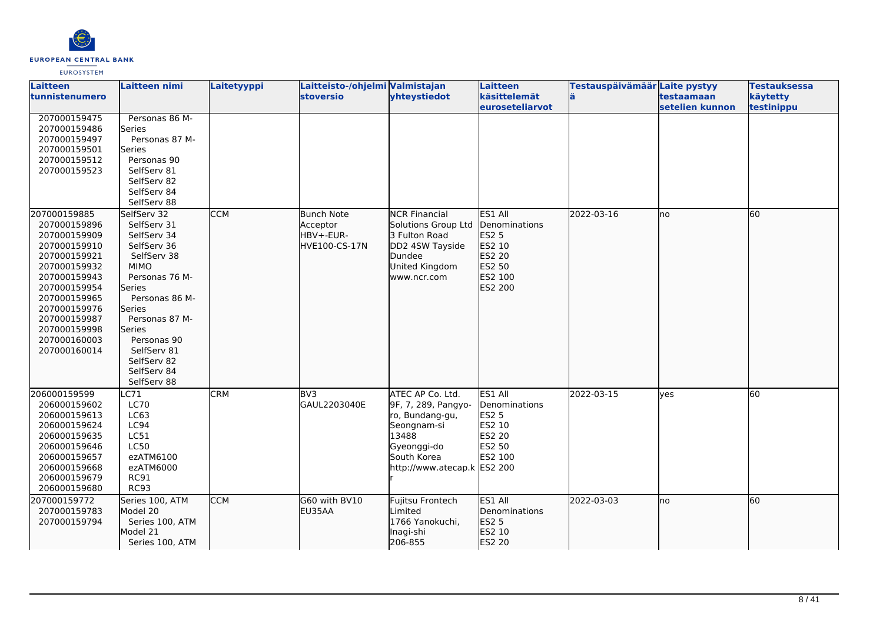

| Laitteen<br>tunnistenumero                                                                                                                                                                                                   | <b>Laitteen nimi</b>                                                                                                                                                                                                                                                | Laitetyyppi              | Laitteisto-/ohjelmi Valmistajan<br><b>stoversio</b>         | yhteystiedot                                                                                                                                                        | Laitteen<br>käsittelemät                                                                     | Testauspäivämäär Laite pystyy | testaamaan      | <b>Testauksessa</b><br>käytetty |
|------------------------------------------------------------------------------------------------------------------------------------------------------------------------------------------------------------------------------|---------------------------------------------------------------------------------------------------------------------------------------------------------------------------------------------------------------------------------------------------------------------|--------------------------|-------------------------------------------------------------|---------------------------------------------------------------------------------------------------------------------------------------------------------------------|----------------------------------------------------------------------------------------------|-------------------------------|-----------------|---------------------------------|
|                                                                                                                                                                                                                              |                                                                                                                                                                                                                                                                     |                          |                                                             |                                                                                                                                                                     | euroseteliarvot                                                                              |                               | setelien kunnon | testinippu                      |
| 207000159475<br>207000159486<br>207000159497<br>207000159501<br>207000159512<br>207000159523                                                                                                                                 | Personas 86 M-<br>Series<br>Personas 87 M-<br>Series<br>Personas 90<br>SelfServ 81<br>SelfServ 82<br>SelfServ 84<br>SelfServ 88                                                                                                                                     |                          |                                                             |                                                                                                                                                                     |                                                                                              |                               |                 |                                 |
| 207000159885<br>207000159896<br>207000159909<br>207000159910<br>207000159921<br>207000159932<br>207000159943<br>207000159954<br>207000159965<br>207000159976<br>207000159987<br>207000159998<br>207000160003<br>207000160014 | SelfServ 32<br>SelfServ 31<br>SelfServ 34<br>SelfServ 36<br>SelfServ 38<br><b>MIMO</b><br>Personas 76 M-<br><b>Series</b><br>Personas 86 M-<br><b>Series</b><br>Personas 87 M-<br>Series<br>Personas 90<br>SelfServ 81<br>SelfServ 82<br>SelfServ 84<br>SelfServ 88 | <b>CCM</b>               | <b>Bunch Note</b><br>Acceptor<br>HBV+-EUR-<br>HVE100-CS-17N | <b>NCR Financial</b><br>Solutions Group Ltd<br>3 Fulton Road<br>DD2 4SW Tayside<br>Dundee<br>United Kingdom<br>www.ncr.com                                          | ES1 All<br>Denominations<br>ES2 5<br>ES2 10<br>ES2 20<br>ES2 50<br>ES2 100<br>ES2 200        | 2022-03-16                    | lno             | 60                              |
| 206000159599<br>206000159602<br>206000159613<br>206000159624<br>206000159635<br>206000159646<br>206000159657<br>206000159668<br>206000159679<br>206000159680<br>207000159772                                                 | LC71<br><b>LC70</b><br>LC63<br>LC94<br>LC51<br><b>LC50</b><br>ezATM6100<br>ezATM6000<br><b>RC91</b><br><b>RC93</b><br>Series 100, ATM                                                                                                                               | <b>CRM</b><br><b>CCM</b> | BV <sub>3</sub><br>GAUL2203040E<br>G60 with BV10            | ATEC AP Co. Ltd.<br>9F, 7, 289, Pangyo-<br>ro, Bundang-gu,<br>Seongnam-si<br>13488<br>Gyeonggi-do<br>South Korea<br>http://www.atecap.k ES2 200<br>Fujitsu Frontech | ES1 All<br>Denominations<br><b>ES2 5</b><br>ES2 10<br>ES2 20<br>ES2 50<br>ES2 100<br>ES1 All | 2022-03-15<br>2022-03-03      | ves<br>Ino      | 60<br>60                        |
| 207000159783<br>207000159794                                                                                                                                                                                                 | Model 20<br>Series 100, ATM<br>Model 21<br>Series 100, ATM                                                                                                                                                                                                          |                          | EU35AA                                                      | Limited<br>1766 Yanokuchi,<br>Inagi-shi<br>206-855                                                                                                                  | <b>Denominations</b><br>ES2 5<br>ES2 10<br>ES2 20                                            |                               |                 |                                 |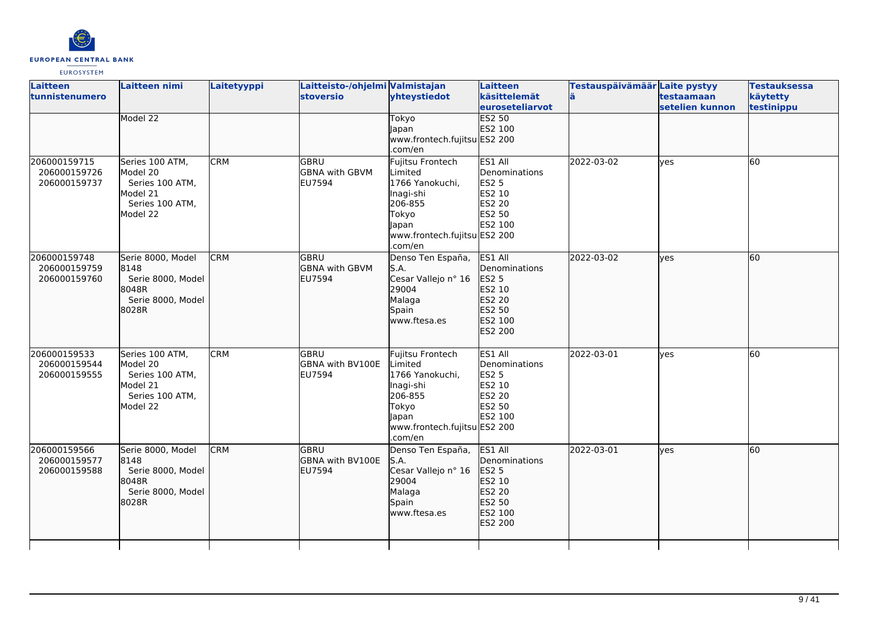

| Laitteen<br>tunnistenumero                   | Laitteen nimi                                                                             | Laitetyyppi | Laitteisto-/ohjelmi Valmistajan<br><b>stoversio</b> | yhteystiedot                                                                                                                        | Laitteen<br>käsittelemät<br><b>leuroseteliarvot</b>                                          | Testauspäivämäär Laite pystyy<br>lä. | testaamaan<br>setelien kunnon | <b>Testauksessa</b><br>käytetty<br>testinippu |
|----------------------------------------------|-------------------------------------------------------------------------------------------|-------------|-----------------------------------------------------|-------------------------------------------------------------------------------------------------------------------------------------|----------------------------------------------------------------------------------------------|--------------------------------------|-------------------------------|-----------------------------------------------|
|                                              | Model 22                                                                                  |             |                                                     | Tokyo<br>Japan<br>www.frontech.fujitsu ES2 200<br>.com/en                                                                           | <b>ES2 50</b><br>ES2 100                                                                     |                                      |                               |                                               |
| 206000159715<br>206000159726<br>206000159737 | Series 100 ATM,<br>Model 20<br>Series 100 ATM,<br>Model 21<br>Series 100 ATM,<br>Model 22 | <b>CRM</b>  | lgbru<br><b>GBNA with GBVM</b><br><b>EU7594</b>     | Fujitsu Frontech<br>Limited<br>1766 Yanokuchi,<br>Inagi-shi<br>206-855<br>Tokyo<br>Japan<br>www.frontech.fujitsu ES2 200<br>.com/en | ES1 All<br>Denominations<br><b>ES2 5</b><br>ES2 10<br><b>ES2 20</b><br>ES2 50<br>ES2 100     | 2022-03-02                           | lyes                          | 60                                            |
| 206000159748<br>206000159759<br>206000159760 | Serie 8000, Model<br>8148<br>Serie 8000, Model<br>8048R<br>Serie 8000, Model<br>8028R     | <b>CRM</b>  | <b>GBRU</b><br><b>GBNA with GBVM</b><br>EU7594      | Denso Ten España,<br>S.A.<br>Cesar Vallejo nº 16<br>29004<br>Malaga<br>Spain<br>www.ftesa.es                                        | ES1 All<br>Denominations<br>ES2 5<br>ES2 10<br>ES2 20<br>ES2 50<br>ES2 100<br>ES2 200        | 2022-03-02                           | lves                          | 60                                            |
| 206000159533<br>206000159544<br>206000159555 | Series 100 ATM,<br>Model 20<br>Series 100 ATM,<br>Model 21<br>Series 100 ATM,<br>Model 22 | <b>CRM</b>  | GBRU<br>GBNA with BV100E<br>EU7594                  | Fujitsu Frontech<br>Limited<br>1766 Yanokuchi,<br>Inagi-shi<br>206-855<br>Tokyo<br>Japan<br>www.frontech.fujitsu ES2 200<br>.com/en | ES1 All<br>Denominations<br><b>ES2 5</b><br>ES2 10<br>ES2 20<br>ES2 50<br>ES2 100            | 2022-03-01                           | <b>l</b> ves                  | 60                                            |
| 206000159566<br>206000159577<br>206000159588 | Serie 8000, Model<br>8148<br>Serie 8000, Model<br>8048R<br>Serie 8000, Model<br>8028R     | <b>CRM</b>  | lgbru<br><b>GBNA with BV100E</b><br><b>EU7594</b>   | Denso Ten España,<br>S.A.<br>Cesar Vallejo nº 16<br>29004<br>Malaga<br>Spain<br>www.ftesa.es                                        | ES1 All<br><b>Denominations</b><br>ES2 5<br>ES2 10<br>ES2 20<br>ES2 50<br>ES2 100<br>ES2 200 | 2022-03-01                           | lves                          | $\overline{60}$                               |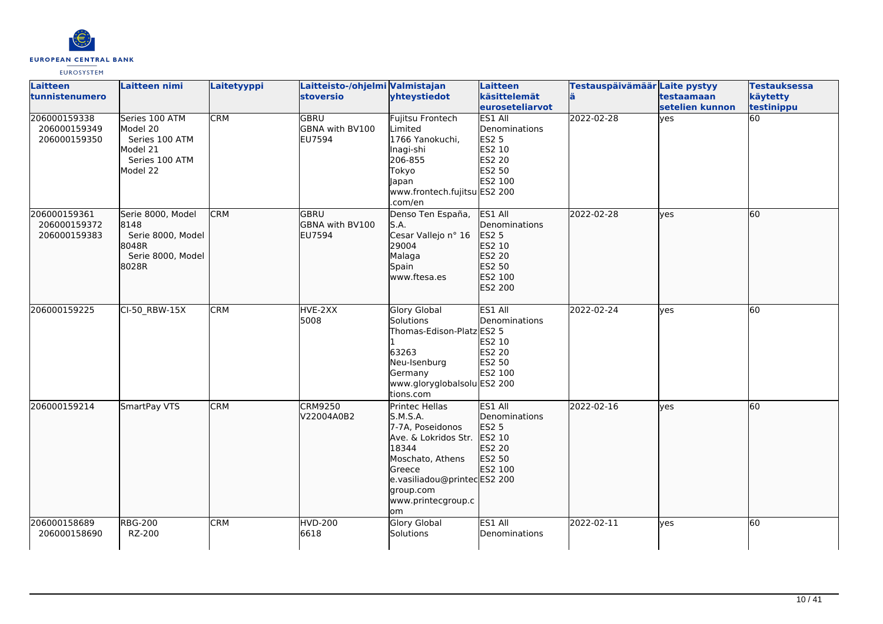

| <b>Laitteen</b><br>tunnistenumero            | Laitteen nimi                                                                          | Laitetyyppi | Laitteisto-/ohjelmi Valmistajan<br><b>stoversio</b> | yhteystiedot                                                                                                                                                                          | Laitteen<br>käsittelemät<br>euroseteliarvot                                                     | Testauspäivämäär Laite pystyy<br>lä | testaamaan<br>setelien kunnon | <b>Testauksessa</b><br>käytetty<br>testinippu |
|----------------------------------------------|----------------------------------------------------------------------------------------|-------------|-----------------------------------------------------|---------------------------------------------------------------------------------------------------------------------------------------------------------------------------------------|-------------------------------------------------------------------------------------------------|-------------------------------------|-------------------------------|-----------------------------------------------|
| 206000159338<br>206000159349<br>206000159350 | Series 100 ATM<br>Model 20<br>Series 100 ATM<br>Model 21<br>Series 100 ATM<br>Model 22 | <b>CRM</b>  | <b>GBRU</b><br>GBNA with BV100<br><b>EU7594</b>     | <b>Fujitsu Frontech</b><br>Limited<br>1766 Yanokuchi,<br>Inagi-shi<br>206-855<br>Tokyo<br>Japan<br>www.frontech.fujitsu ES2 200<br>.com/en                                            | <b>ES1 All</b><br>Denominations<br><b>ES2 5</b><br>ES2 10<br><b>ES2 20</b><br>ES2 50<br>ES2 100 | 2022-02-28                          | yes                           | $\overline{60}$                               |
| 206000159361<br>206000159372<br>206000159383 | Serie 8000, Model<br>8148<br>Serie 8000, Model<br>18048R<br>Serie 8000, Model<br>8028R | <b>CRM</b>  | lgbru<br>GBNA with BV100<br><b>EU7594</b>           | Denso Ten España,<br>S.A.<br>Cesar Vallejo nº 16<br>29004<br>Malaga<br>Spain<br>www.ftesa.es                                                                                          | ES1 All<br>Denominations<br>ES2 5<br>ES2 10<br>ES2 20<br>ES2 50<br>ES2 100<br>ES2 200           | 2022-02-28                          | lyes                          | 60                                            |
| 206000159225                                 | CI-50_RBW-15X                                                                          | <b>CRM</b>  | HVE-2XX<br>5008                                     | <b>Glory Global</b><br>Solutions<br>Thomas-Edison-Platz ES2 5<br>63263<br>Neu-Isenburg<br>Germany<br>www.gloryglobalsolu ES2 200<br>tions.com                                         | ES1 All<br>Denominations<br>ES2 10<br><b>ES2 20</b><br>ES2 50<br>ES2 100                        | 2022-02-24                          | <b>l</b> ves                  | $\overline{60}$                               |
| 206000159214                                 | SmartPay VTS                                                                           | <b>CRM</b>  | <b>CRM9250</b><br>V22004A0B2                        | Printec Hellas<br>S.M.S.A.<br>7-7A. Poseidonos<br>Ave. & Lokridos Str.<br>18344<br>Moschato, Athens<br>Greece<br>e.vasiliadou@printecES2 200<br>group.com<br>www.printecgroup.c<br>om | ES1 All<br><b>Denominations</b><br><b>ES2 5</b><br>ES2 10<br>ES2 20<br>ES2 50<br>ES2 100        | 2022-02-16                          | lves                          | 60                                            |
| 206000158689<br>206000158690                 | <b>RBG-200</b><br>RZ-200                                                               | <b>CRM</b>  | <b>HVD-200</b><br>6618                              | <b>Glory Global</b><br>Solutions                                                                                                                                                      | ES1 All<br>Denominations                                                                        | 2022-02-11                          | <b>l</b> ves                  | 60                                            |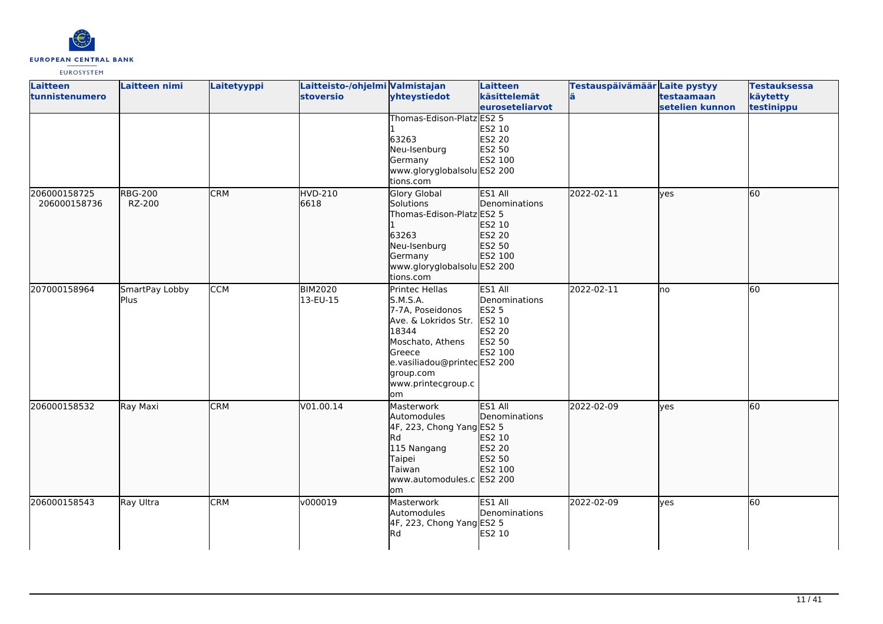

| Laitteen<br>tunnistenumero | <b>Laitteen nimi</b> | Laitetyyppi | Laitteisto-/ohjelmi Valmistajan<br><b>stoversio</b> | yhteystiedot                | Laitteen<br>käsittelemät | Testauspäivämäär Laite pystyy<br>ä | testaamaan      | <b>Testauksessa</b><br>käytetty |
|----------------------------|----------------------|-------------|-----------------------------------------------------|-----------------------------|--------------------------|------------------------------------|-----------------|---------------------------------|
|                            |                      |             |                                                     |                             | euroseteliarvot          |                                    | setelien kunnon | testinippu                      |
|                            |                      |             |                                                     | Thomas-Edison-Platz ES2 5   |                          |                                    |                 |                                 |
|                            |                      |             |                                                     |                             | ES2 10                   |                                    |                 |                                 |
|                            |                      |             |                                                     | 63263                       | <b>ES2 20</b>            |                                    |                 |                                 |
|                            |                      |             |                                                     | Neu-Isenburg                | ES2 50                   |                                    |                 |                                 |
|                            |                      |             |                                                     | Germany                     | ES2 100                  |                                    |                 |                                 |
|                            |                      |             |                                                     | www.gloryglobalsolu ES2 200 |                          |                                    |                 |                                 |
|                            |                      |             |                                                     | tions.com                   |                          |                                    |                 |                                 |
| 206000158725               | <b>RBG-200</b>       | <b>CRM</b>  | <b>HVD-210</b>                                      | Glory Global                | ES1 All                  | 2022-02-11                         | lyes            | 60                              |
| 206000158736               | RZ-200               |             | 6618                                                | Solutions                   | Denominations            |                                    |                 |                                 |
|                            |                      |             |                                                     | Thomas-Edison-Platz ES2 5   |                          |                                    |                 |                                 |
|                            |                      |             |                                                     |                             | ES2 10                   |                                    |                 |                                 |
|                            |                      |             |                                                     | 63263                       | ES2 20                   |                                    |                 |                                 |
|                            |                      |             |                                                     | Neu-Isenburg                | ES2 50                   |                                    |                 |                                 |
|                            |                      |             |                                                     | Germany                     | ES2 100                  |                                    |                 |                                 |
|                            |                      |             |                                                     | www.gloryglobalsolu ES2 200 |                          |                                    |                 |                                 |
|                            |                      |             |                                                     | tions.com                   |                          |                                    |                 |                                 |
| 207000158964               | SmartPay Lobby       | <b>CCM</b>  | <b>BIM2020</b>                                      | <b>Printec Hellas</b>       | ES1 All                  | 2022-02-11                         | lno             | 60                              |
|                            | Plus.                |             | 13-EU-15                                            | S.M.S.A.                    | Denominations            |                                    |                 |                                 |
|                            |                      |             |                                                     | 7-7A, Poseidonos            | <b>ES2 5</b>             |                                    |                 |                                 |
|                            |                      |             |                                                     | Ave. & Lokridos Str.        | ES2 10                   |                                    |                 |                                 |
|                            |                      |             |                                                     | 18344                       | ES2 20                   |                                    |                 |                                 |
|                            |                      |             |                                                     | Moschato, Athens            | ES2 50                   |                                    |                 |                                 |
|                            |                      |             |                                                     | Greece                      | ES2 100                  |                                    |                 |                                 |
|                            |                      |             |                                                     | e.vasiliadou@printecES2 200 |                          |                                    |                 |                                 |
|                            |                      |             |                                                     | group.com                   |                          |                                    |                 |                                 |
|                            |                      |             |                                                     | www.printecgroup.c<br>lom   |                          |                                    |                 |                                 |
| 206000158532               | Ray Maxi             | <b>CRM</b>  | V01.00.14                                           | Masterwork                  | ES1 All                  | 2022-02-09                         | lves            | 60                              |
|                            |                      |             |                                                     | Automodules                 | Denominations            |                                    |                 |                                 |
|                            |                      |             |                                                     | 4F, 223, Chong Yang ES2 5   |                          |                                    |                 |                                 |
|                            |                      |             |                                                     | <b>Rd</b>                   | ES2 10                   |                                    |                 |                                 |
|                            |                      |             |                                                     | 115 Nangang                 | ES2 20                   |                                    |                 |                                 |
|                            |                      |             |                                                     | Taipei                      | ES2 50                   |                                    |                 |                                 |
|                            |                      |             |                                                     | Taiwan                      | ES2 100                  |                                    |                 |                                 |
|                            |                      |             |                                                     | www.automodules.c ES2 200   |                          |                                    |                 |                                 |
|                            |                      |             |                                                     | lom                         |                          |                                    |                 |                                 |
| 206000158543               | Ray Ultra            | <b>CRM</b>  | v000019                                             | Masterwork                  | ES1 All                  | 2022-02-09                         | yes             | 60                              |
|                            |                      |             |                                                     | Automodules                 | Denominations            |                                    |                 |                                 |
|                            |                      |             |                                                     | 4F, 223, Chong Yang ES2 5   |                          |                                    |                 |                                 |
|                            |                      |             |                                                     | Rd                          | ES2 10                   |                                    |                 |                                 |
|                            |                      |             |                                                     |                             |                          |                                    |                 |                                 |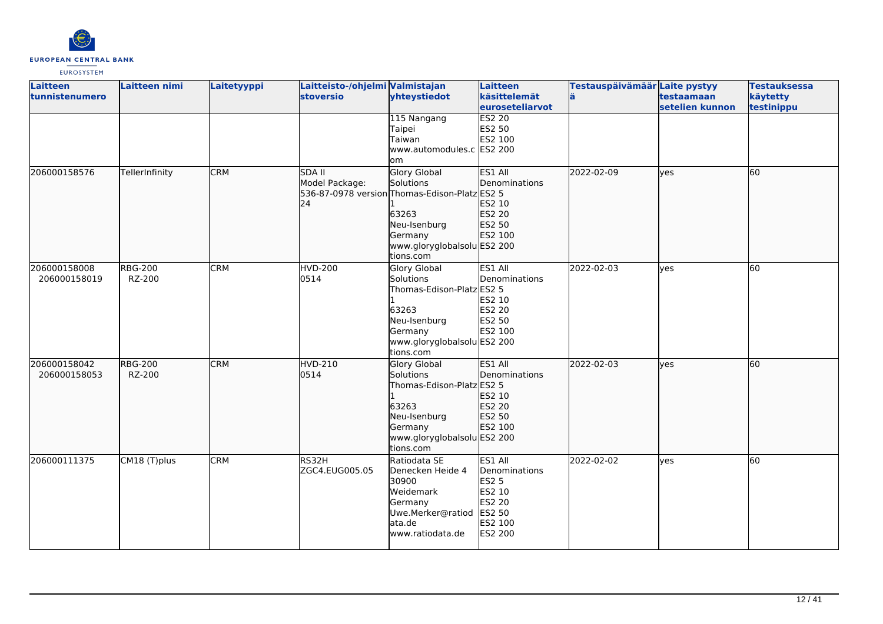

| Laitteen<br>tunnistenumero   | <b>Laitteen nimi</b>     | Laitetyyppi | Laitteisto-/ohjelmi Valmistajan<br><b>stoversio</b> | yhteystiedot                                                                                                                                                      | <b>Laitteen</b><br>käsittelemät                                                              | Testauspäivämäär Laite pystyy<br>lä | testaamaan      | <b>Testauksessa</b><br>käytetty |
|------------------------------|--------------------------|-------------|-----------------------------------------------------|-------------------------------------------------------------------------------------------------------------------------------------------------------------------|----------------------------------------------------------------------------------------------|-------------------------------------|-----------------|---------------------------------|
|                              |                          |             |                                                     |                                                                                                                                                                   | <b>leuroseteliarvot</b>                                                                      |                                     | setelien kunnon | testinippu                      |
|                              |                          |             |                                                     | 115 Nangang<br>Taipei<br>Taiwan<br>www.automodules.c ES2 200<br>om                                                                                                | <b>ES2 20</b><br>ES2 50<br>ES2 100                                                           |                                     |                 |                                 |
| 206000158576                 | TellerInfinity           | <b>CRM</b>  | <b>SDA II</b><br>Model Package:<br>24               | <b>Glory Global</b><br>Solutions<br>536-87-0978 version Thomas-Edison-Platz ES2 5<br>63263<br>Neu-Isenburg<br>Germany<br>www.gloryglobalsolu ES2 200<br>tions.com | ES1 All<br><b>Denominations</b><br>ES2 10<br>ES2 20<br>ES2 50<br>ES2 100                     | 2022-02-09                          | lves            | 60                              |
| 206000158008<br>206000158019 | <b>RBG-200</b><br>RZ-200 | <b>CRM</b>  | <b>HVD-200</b><br>0514                              | <b>Glory Global</b><br>Solutions<br>Thomas-Edison-Platz ES2 5<br>63263<br>Neu-Isenburg<br>Germany<br>www.gloryglobalsolu ES2 200<br>tions.com                     | ES1 All<br>Denominations<br>ES2 10<br>ES2 20<br>ES2 50<br>ES2 100                            | 2022-02-03                          | <b>ves</b>      | 60                              |
| 206000158042<br>206000158053 | <b>RBG-200</b><br>RZ-200 | <b>CRM</b>  | <b>HVD-210</b><br>0514                              | Glory Global<br>Solutions<br>Thomas-Edison-Platz ES2 5<br>63263<br>Neu-Isenburg<br>Germany<br>www.gloryglobalsolu ES2 200<br>tions.com                            | ES1 All<br>Denominations<br><b>ES2 10</b><br>ES2 20<br>ES2 50<br>ES2 100                     | 2022-02-03                          | lyes            | 60                              |
| 206000111375                 | CM18 (T)plus             | <b>CRM</b>  | RS32H<br>ZGC4.EUG005.05                             | Ratiodata SE<br>Denecken Heide 4<br>30900<br>Weidemark<br>Germany<br>Uwe.Merker@ratiod<br>ata.de<br>www.ratiodata.de                                              | ES1 All<br>Denominations<br><b>ES2 5</b><br>ES2 10<br>ES2 20<br>ES2 50<br>ES2 100<br>ES2 200 | 2022-02-02                          | yes             | 60                              |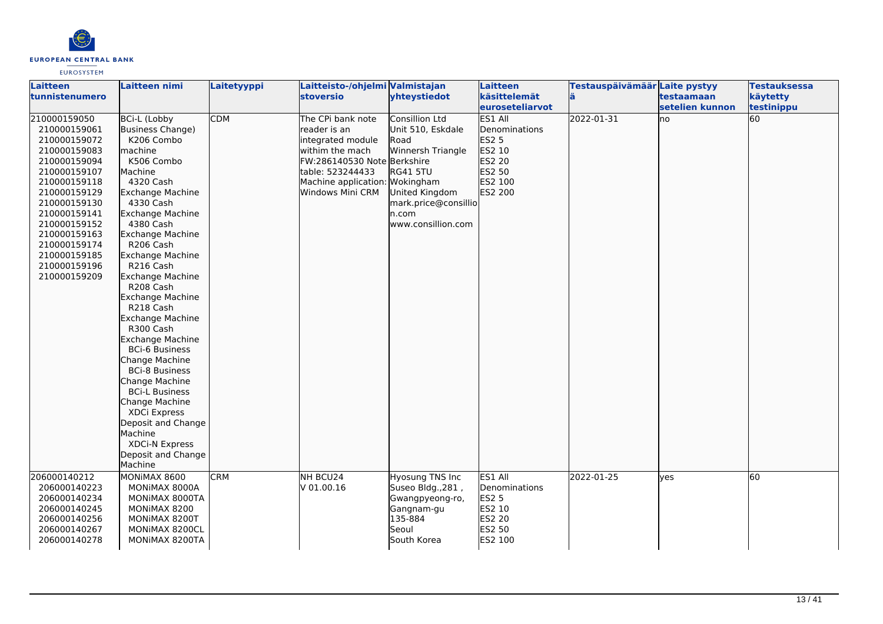

| Laitteen<br>ltunnistenumero                                                                                                                                                                                                                                  | <b>Laitteen nimi</b>                                                                                                                                                                                                                                                                                                                                                                                                                                                                                                                                                                                                               | Laitetyyppi | Laitteisto-/ohjelmi Valmistajan<br><b>stoversio</b>                                                                                                                      | yhteystiedot                                                                                                                                                              | Laitteen<br>käsittelemät                                                              | Testauspäivämäär Laite pystyy<br>lä. | testaamaan      | <b>Testauksessa</b><br>käytetty |
|--------------------------------------------------------------------------------------------------------------------------------------------------------------------------------------------------------------------------------------------------------------|------------------------------------------------------------------------------------------------------------------------------------------------------------------------------------------------------------------------------------------------------------------------------------------------------------------------------------------------------------------------------------------------------------------------------------------------------------------------------------------------------------------------------------------------------------------------------------------------------------------------------------|-------------|--------------------------------------------------------------------------------------------------------------------------------------------------------------------------|---------------------------------------------------------------------------------------------------------------------------------------------------------------------------|---------------------------------------------------------------------------------------|--------------------------------------|-----------------|---------------------------------|
|                                                                                                                                                                                                                                                              |                                                                                                                                                                                                                                                                                                                                                                                                                                                                                                                                                                                                                                    |             |                                                                                                                                                                          |                                                                                                                                                                           | euroseteliarvot                                                                       |                                      | setelien kunnon | testinippu                      |
| 210000159050<br>210000159061<br>210000159072<br>210000159083<br>210000159094<br>210000159107<br>210000159118<br>210000159129<br>210000159130<br>210000159141<br>210000159152<br>210000159163<br>210000159174<br>210000159185<br>210000159196<br>210000159209 | <b>BCi-L (Lobby</b><br>Business Change)<br>K206 Combo<br>machine<br>K506 Combo<br>Machine<br>4320 Cash<br>Exchange Machine<br>4330 Cash<br><b>Exchange Machine</b><br>4380 Cash<br><b>Exchange Machine</b><br>R206 Cash<br>Exchange Machine<br>R216 Cash<br>Exchange Machine<br>R208 Cash<br>Exchange Machine<br>R218 Cash<br>Exchange Machine<br>R300 Cash<br><b>Exchange Machine</b><br><b>BCi-6 Business</b><br>Change Machine<br><b>BCi-8 Business</b><br>Change Machine<br><b>BCi-L Business</b><br>Change Machine<br>XDCi Express<br>Deposit and Change<br>Machine<br><b>XDCi-N Express</b><br>Deposit and Change<br>Machine | <b>CDM</b>  | The CPi bank note<br>reader is an<br>integrated module<br>withim the mach<br>FW:286140530 Note Berkshire<br>table: 523244433<br>Machine application:<br>Windows Mini CRM | Consillion Ltd<br>Unit 510, Eskdale<br>Road<br>Winnersh Triangle<br><b>RG41 5TU</b><br>Wokingham<br>United Kingdom<br>mark.price@consillio<br>n.com<br>www.consillion.com | ES1 All<br>Denominations<br>ES2 5<br>ES2 10<br>ES2 20<br>ES2 50<br>ES2 100<br>ES2 200 | 2022-01-31                           | lno             | 60                              |
| 206000140212<br>206000140223<br>206000140234<br>206000140245<br>206000140256<br>206000140267<br>206000140278                                                                                                                                                 | MONIMAX 8600<br>MONIMAX 8000A<br>MONIMAX 8000TA<br>MONIMAX 8200<br>MONIMAX 8200T<br>MONIMAX 8200CL<br>MONIMAX 8200TA                                                                                                                                                                                                                                                                                                                                                                                                                                                                                                               | <b>CRM</b>  | NH BCU24<br>V 01.00.16                                                                                                                                                   | Hyosung TNS Inc<br>Suseo Bldg., 281,<br>Gwangpyeong-ro,<br>Gangnam-gu<br>135-884<br>Seoul<br>South Korea                                                                  | ES1 All<br>Denominations<br><b>ES2 5</b><br>ES2 10<br>ES2 20<br>ES2 50<br>ES2 100     | 2022-01-25                           | lyes            | 60                              |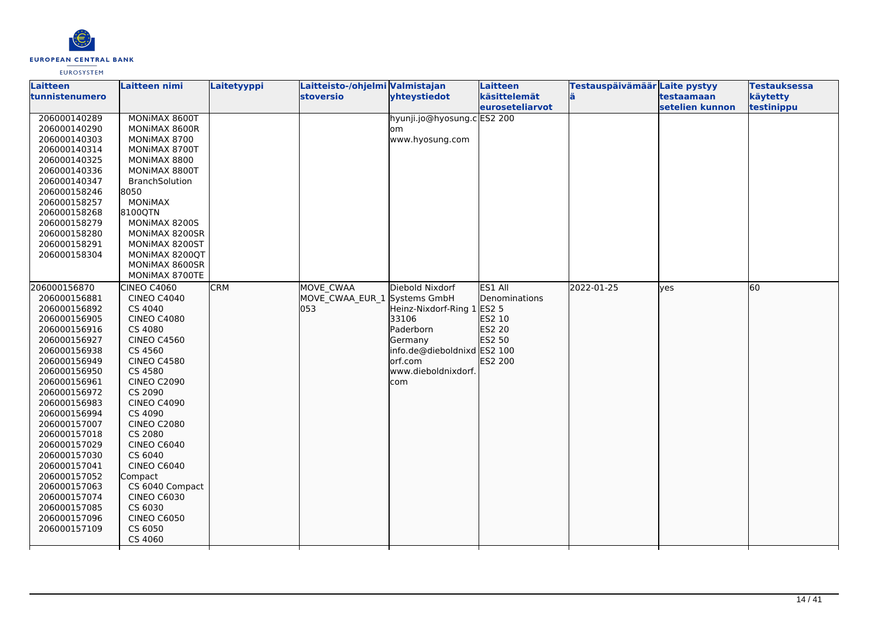

| Laitteen       | <b>Laitteen nimi</b> | Laitetyyppi | Laitteisto-/ohjelmi Valmistajan |                             | <b>Laitteen</b> | Testauspäivämäär Laite pystyy |                 | <b>Testauksessa</b> |
|----------------|----------------------|-------------|---------------------------------|-----------------------------|-----------------|-------------------------------|-----------------|---------------------|
| tunnistenumero |                      |             | stoversio                       | yhteystiedot                | käsittelemät    |                               | testaamaan      | käytetty            |
|                |                      |             |                                 |                             | euroseteliarvot |                               | setelien kunnon | testinippu          |
| 206000140289   | MONIMAX 8600T        |             |                                 | hyunji.jo@hyosung.c ES2 200 |                 |                               |                 |                     |
| 206000140290   | MONIMAX 8600R        |             |                                 | om                          |                 |                               |                 |                     |
| 206000140303   | MONIMAX 8700         |             |                                 | www.hyosung.com             |                 |                               |                 |                     |
| 206000140314   | MONIMAX 8700T        |             |                                 |                             |                 |                               |                 |                     |
| 206000140325   | MONIMAX 8800         |             |                                 |                             |                 |                               |                 |                     |
| 206000140336   | MONIMAX 8800T        |             |                                 |                             |                 |                               |                 |                     |
| 206000140347   | BranchSolution       |             |                                 |                             |                 |                               |                 |                     |
| 206000158246   | 8050                 |             |                                 |                             |                 |                               |                 |                     |
| 206000158257   | <b>MONIMAX</b>       |             |                                 |                             |                 |                               |                 |                     |
| 206000158268   | 8100QTN              |             |                                 |                             |                 |                               |                 |                     |
| 206000158279   | MONIMAX 8200S        |             |                                 |                             |                 |                               |                 |                     |
| 206000158280   | MONIMAX 8200SR       |             |                                 |                             |                 |                               |                 |                     |
| 206000158291   | MONIMAX 8200ST       |             |                                 |                             |                 |                               |                 |                     |
| 206000158304   | MONIMAX 8200QT       |             |                                 |                             |                 |                               |                 |                     |
|                | MONIMAX 8600SR       |             |                                 |                             |                 |                               |                 |                     |
|                | MONIMAX 8700TE       |             |                                 |                             |                 |                               |                 |                     |
| 206000156870   | <b>CINEO C4060</b>   | <b>CRM</b>  | <b>MOVE CWAA</b>                | Diebold Nixdorf             | ES1 All         | 2022-01-25                    | lyes            | 60                  |
| 206000156881   | <b>CINEO C4040</b>   |             | MOVE_CWAA_EUR_1 Systems GmbH    |                             | Denominations   |                               |                 |                     |
| 206000156892   | CS 4040              |             | 053                             | Heinz-Nixdorf-Ring 1 ES2 5  |                 |                               |                 |                     |
| 206000156905   | <b>CINEO C4080</b>   |             |                                 | 33106                       | ES2 10          |                               |                 |                     |
| 206000156916   | CS 4080              |             |                                 | Paderborn                   | ES2 20          |                               |                 |                     |
| 206000156927   | <b>CINEO C4560</b>   |             |                                 | Germany                     | ES2 50          |                               |                 |                     |
| 206000156938   | CS 4560              |             |                                 | info.de@dieboldnixd ES2 100 |                 |                               |                 |                     |
| 206000156949   | <b>CINEO C4580</b>   |             |                                 | lorf.com                    | ES2 200         |                               |                 |                     |
| 206000156950   | CS 4580              |             |                                 | www.dieboldnixdorf.         |                 |                               |                 |                     |
| 206000156961   | <b>CINEO C2090</b>   |             |                                 | com                         |                 |                               |                 |                     |
| 206000156972   | CS 2090              |             |                                 |                             |                 |                               |                 |                     |
| 206000156983   | <b>CINEO C4090</b>   |             |                                 |                             |                 |                               |                 |                     |
| 206000156994   | CS 4090              |             |                                 |                             |                 |                               |                 |                     |
| 206000157007   | <b>CINEO C2080</b>   |             |                                 |                             |                 |                               |                 |                     |
| 206000157018   | CS 2080              |             |                                 |                             |                 |                               |                 |                     |
| 206000157029   | <b>CINEO C6040</b>   |             |                                 |                             |                 |                               |                 |                     |
| 206000157030   | CS 6040              |             |                                 |                             |                 |                               |                 |                     |
| 206000157041   | CINEO C6040          |             |                                 |                             |                 |                               |                 |                     |
| 206000157052   | Compact              |             |                                 |                             |                 |                               |                 |                     |
| 206000157063   | CS 6040 Compact      |             |                                 |                             |                 |                               |                 |                     |
| 206000157074   | <b>CINEO C6030</b>   |             |                                 |                             |                 |                               |                 |                     |
| 206000157085   | CS 6030              |             |                                 |                             |                 |                               |                 |                     |
| 206000157096   | <b>CINEO C6050</b>   |             |                                 |                             |                 |                               |                 |                     |
| 206000157109   | CS 6050              |             |                                 |                             |                 |                               |                 |                     |
|                | CS 4060              |             |                                 |                             |                 |                               |                 |                     |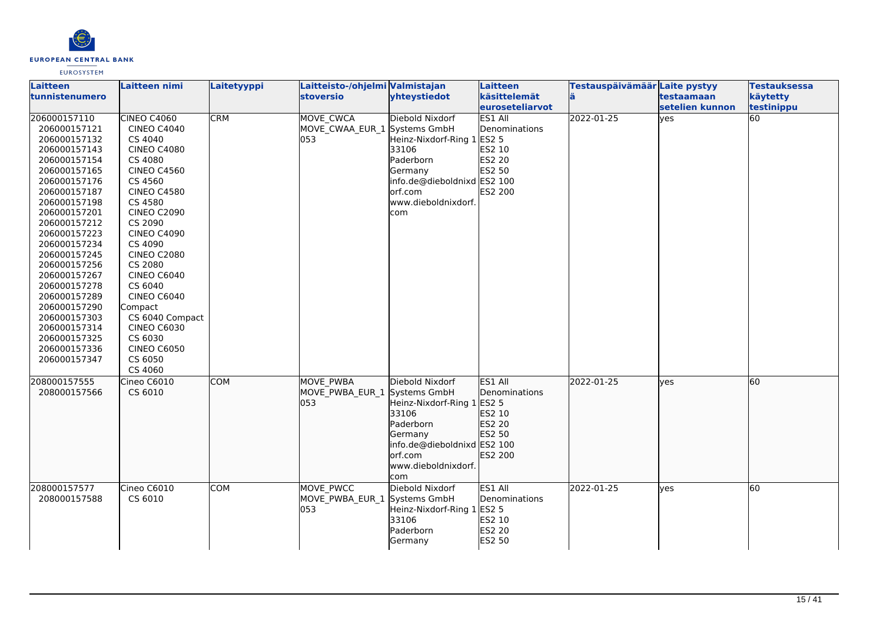

| Laitteen       | Laitteen nimi      | Laitetyyppi | Laitteisto-/ohjelmi Valmistajan |                                        | Laitteen        | Testauspäivämäär Laite pystyy |                  | <b>Testauksessa</b> |
|----------------|--------------------|-------------|---------------------------------|----------------------------------------|-----------------|-------------------------------|------------------|---------------------|
| tunnistenumero |                    |             | <b>stoversio</b>                | yhteystiedot                           | käsittelemät    | lä.                           | testaamaan       | käytetty            |
|                |                    |             |                                 |                                        | euroseteliarvot |                               | lsetelien kunnon | testinippu          |
| 206000157110   | <b>CINEO C4060</b> | <b>CRM</b>  | MOVE_CWCA                       | Diebold Nixdorf                        | ES1 All         | 2022-01-25                    | lyes             | 60                  |
| 206000157121   | <b>CINEO C4040</b> |             | MOVE_CWAA_EUR_1 Systems GmbH    |                                        | Denominations   |                               |                  |                     |
| 206000157132   | CS 4040            |             | 053                             | Heinz-Nixdorf-Ring 1 ES2 5             |                 |                               |                  |                     |
| 206000157143   | <b>CINEO C4080</b> |             |                                 | 33106                                  | ES2 10          |                               |                  |                     |
| 206000157154   | CS 4080            |             |                                 | Paderborn                              | ES2 20          |                               |                  |                     |
| 206000157165   | <b>CINEO C4560</b> |             |                                 | Germany                                | ES2 50          |                               |                  |                     |
| 206000157176   | CS 4560            |             |                                 | info.de@dieboldnixd ES2 100            |                 |                               |                  |                     |
| 206000157187   | <b>CINEO C4580</b> |             |                                 | orf.com                                | ES2 200         |                               |                  |                     |
| 206000157198   | CS 4580            |             |                                 | www.dieboldnixdorf.                    |                 |                               |                  |                     |
| 206000157201   | <b>CINEO C2090</b> |             |                                 | com                                    |                 |                               |                  |                     |
| 206000157212   | CS 2090            |             |                                 |                                        |                 |                               |                  |                     |
| 206000157223   | <b>CINEO C4090</b> |             |                                 |                                        |                 |                               |                  |                     |
| 206000157234   | CS 4090            |             |                                 |                                        |                 |                               |                  |                     |
| 206000157245   | <b>CINEO C2080</b> |             |                                 |                                        |                 |                               |                  |                     |
| 206000157256   | CS 2080            |             |                                 |                                        |                 |                               |                  |                     |
| 206000157267   | CINEO C6040        |             |                                 |                                        |                 |                               |                  |                     |
| 206000157278   | CS 6040            |             |                                 |                                        |                 |                               |                  |                     |
| 206000157289   | <b>CINEO C6040</b> |             |                                 |                                        |                 |                               |                  |                     |
| 206000157290   | Compact            |             |                                 |                                        |                 |                               |                  |                     |
| 206000157303   | CS 6040 Compact    |             |                                 |                                        |                 |                               |                  |                     |
| 206000157314   | <b>CINEO C6030</b> |             |                                 |                                        |                 |                               |                  |                     |
| 206000157325   | CS 6030            |             |                                 |                                        |                 |                               |                  |                     |
| 206000157336   | <b>CINEO C6050</b> |             |                                 |                                        |                 |                               |                  |                     |
| 206000157347   | CS 6050            |             |                                 |                                        |                 |                               |                  |                     |
|                | CS 4060            |             |                                 |                                        |                 |                               |                  |                     |
| 208000157555   | Cineo C6010        | <b>COM</b>  | <b>MOVE PWBA</b>                | Diebold Nixdorf                        | ES1 All         | 2022-01-25                    | lyes             | 60                  |
| 208000157566   | CS 6010            |             | MOVE_PWBA_EUR_1                 | Systems GmbH                           | Denominations   |                               |                  |                     |
|                |                    |             | 053                             | Heinz-Nixdorf-Ring 1 ES2 5             |                 |                               |                  |                     |
|                |                    |             |                                 | 33106                                  | ES2 10          |                               |                  |                     |
|                |                    |             |                                 | Paderborn                              | ES2 20          |                               |                  |                     |
|                |                    |             |                                 | Germany                                | ES2 50          |                               |                  |                     |
|                |                    |             |                                 | info.de@dieboldnixd ES2 100<br>orf.com | ES2 200         |                               |                  |                     |
|                |                    |             |                                 |                                        |                 |                               |                  |                     |
|                |                    |             |                                 | www.dieboldnixdorf.                    |                 |                               |                  |                     |
|                |                    |             |                                 | com                                    |                 |                               |                  |                     |
| 208000157577   | Cineo C6010        | <b>COM</b>  | MOVE PWCC                       | Diebold Nixdorf                        | ES1 All         | 2022-01-25                    | lyes             | 60                  |
| 208000157588   | CS 6010            |             | MOVE PWBA EUR 1                 | Systems GmbH                           | Denominations   |                               |                  |                     |
|                |                    |             | 053                             | Heinz-Nixdorf-Ring 1 ES2 5             |                 |                               |                  |                     |
|                |                    |             |                                 | 33106                                  | ES2 10          |                               |                  |                     |
|                |                    |             |                                 | Paderborn                              | <b>ES2 20</b>   |                               |                  |                     |
|                |                    |             |                                 | Germany                                | ES2 50          |                               |                  |                     |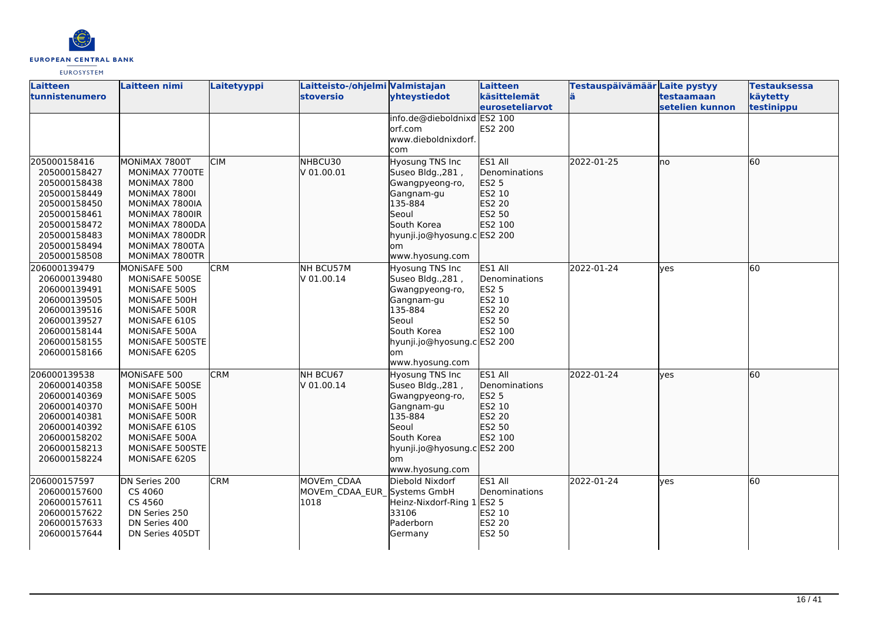

| <b>Laitteen</b><br>tunnistenumero | <b>Laitteen nimi</b>           | Laitetyyppi | Laitteisto-/ohjelmi Valmistajan<br><b>stoversio</b> | yhteystiedot                | Laitteen<br>käsittelemät | Testauspäivämäär Laite pystyy | testaamaan      | <b>Testauksessa</b><br>käytetty |
|-----------------------------------|--------------------------------|-------------|-----------------------------------------------------|-----------------------------|--------------------------|-------------------------------|-----------------|---------------------------------|
|                                   |                                |             |                                                     |                             | <b>leuroseteliarvot</b>  |                               | setelien kunnon | testinippu                      |
|                                   |                                |             |                                                     | info.de@dieboldnixd ES2 100 |                          |                               |                 |                                 |
|                                   |                                |             |                                                     | orf.com                     | ES2 200                  |                               |                 |                                 |
|                                   |                                |             |                                                     | www.dieboldnixdorf.         |                          |                               |                 |                                 |
|                                   |                                |             |                                                     | com                         |                          |                               |                 |                                 |
| 205000158416                      | MONIMAX 7800T                  | <b>CIM</b>  | NHBCU30                                             | Hyosung TNS Inc             | ES1 All                  | 2022-01-25                    | lno             | 60                              |
| 205000158427                      | MONIMAX 7700TE                 |             | V 01.00.01                                          | Suseo Bldg., 281,           | Denominations            |                               |                 |                                 |
| 205000158438                      | MONIMAX 7800                   |             |                                                     | Gwangpyeong-ro,             | <b>ES2 5</b>             |                               |                 |                                 |
| 205000158449                      | MONIMAX 7800I                  |             |                                                     | Gangnam-gu                  | ES2 10                   |                               |                 |                                 |
| 205000158450                      | MONIMAX 7800IA                 |             |                                                     | 135-884                     | ES2 20                   |                               |                 |                                 |
| 205000158461                      | MONIMAX 7800IR                 |             |                                                     | Seoul                       | ES2 50                   |                               |                 |                                 |
| 205000158472                      | MONIMAX 7800DA                 |             |                                                     | South Korea                 | ES2 100                  |                               |                 |                                 |
| 205000158483                      | MONIMAX 7800DR                 |             |                                                     | hyunji.jo@hyosung.c ES2 200 |                          |                               |                 |                                 |
| 205000158494                      | MONIMAX 7800TA                 |             |                                                     | om                          |                          |                               |                 |                                 |
| 205000158508                      | MONIMAX 7800TR                 |             |                                                     | www.hyosung.com             |                          |                               |                 |                                 |
| 206000139479                      | MONISAFE 500                   | <b>CRM</b>  | NH BCU57M                                           | Hyosung TNS Inc             | ES1 All                  | 2022-01-24                    | ves             | 60                              |
| 206000139480                      | MONISAFE 500SE                 |             | V 01.00.14                                          | Suseo Bldg., 281,           | Denominations            |                               |                 |                                 |
| 206000139491                      | MONISAFE 500S                  |             |                                                     | Gwangpyeong-ro,             | <b>ES2 5</b>             |                               |                 |                                 |
| 206000139505                      | MONISAFE 500H                  |             |                                                     | Gangnam-gu                  | ES2 10                   |                               |                 |                                 |
| 206000139516                      | MONISAFE 500R                  |             |                                                     | 135-884                     | <b>ES2 20</b>            |                               |                 |                                 |
| 206000139527                      | MONISAFE 610S                  |             |                                                     | Seoul                       | ES2 50                   |                               |                 |                                 |
| 206000158144                      | MONISAFE 500A                  |             |                                                     | South Korea                 | ES2 100                  |                               |                 |                                 |
| 206000158155                      | MONISAFE 500STE                |             |                                                     | hyunji.jo@hyosung.c ES2 200 |                          |                               |                 |                                 |
| 206000158166                      | MONISAFE 620S                  |             |                                                     | lom                         |                          |                               |                 |                                 |
|                                   |                                |             |                                                     | www.hyosung.com             |                          |                               |                 |                                 |
| 206000139538                      | MONISAFE 500                   | <b>CRM</b>  | NH BCU67                                            | Hyosung TNS Inc             | ES1 All                  | 2022-01-24                    | lves            | 60                              |
| 206000140358                      | MONISAFE 500SE                 |             | V 01.00.14                                          | Suseo Bldg., 281,           | <b>Denominations</b>     |                               |                 |                                 |
| 206000140369                      | MONISAFE 500S                  |             |                                                     | Gwangpyeong-ro,             | <b>ES2 5</b>             |                               |                 |                                 |
| 206000140370<br>206000140381      | MONISAFE 500H<br>MONISAFE 500R |             |                                                     | Gangnam-gu<br>135-884       | ES2 10<br><b>ES2 20</b>  |                               |                 |                                 |
| 206000140392                      | MONISAFE 610S                  |             |                                                     | Seoul                       | ES2 50                   |                               |                 |                                 |
| 206000158202                      | MONISAFE 500A                  |             |                                                     | South Korea                 | ES2 100                  |                               |                 |                                 |
| 206000158213                      | MONISAFE 500STE                |             |                                                     | hyunji.jo@hyosung.c ES2 200 |                          |                               |                 |                                 |
| 206000158224                      | <b>MONISAFE 620S</b>           |             |                                                     | lom                         |                          |                               |                 |                                 |
|                                   |                                |             |                                                     | www.hyosung.com             |                          |                               |                 |                                 |
| 206000157597                      | DN Series 200                  | <b>CRM</b>  | MOVEm CDAA                                          | Diebold Nixdorf             | ES1 All                  | 2022-01-24                    | <b>l</b> ves    | 60                              |
| 206000157600                      | CS 4060                        |             | MOVEm CDAA EUR Systems GmbH                         |                             | Denominations            |                               |                 |                                 |
| 206000157611                      | CS 4560                        |             | 1018                                                | Heinz-Nixdorf-Ring 1        | <b>ES2 5</b>             |                               |                 |                                 |
| 206000157622                      | DN Series 250                  |             |                                                     | 33106                       | ES2 10                   |                               |                 |                                 |
| 206000157633                      | DN Series 400                  |             |                                                     | Paderborn                   | ES2 20                   |                               |                 |                                 |
| 206000157644                      | DN Series 405DT                |             |                                                     | Germany                     | <b>ES2 50</b>            |                               |                 |                                 |
|                                   |                                |             |                                                     |                             |                          |                               |                 |                                 |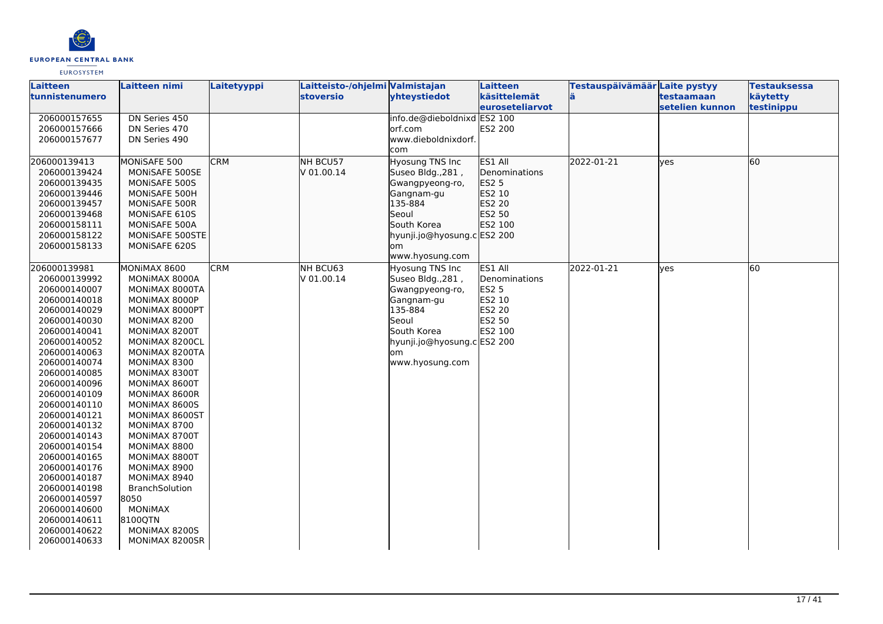

| <b>Laitteen</b>       | Laitteen nimi         | <b>Laitetyyppi</b> | Laitteisto-/ohjelmi Valmistajan |                                         | Laitteen                        | Testauspäivämäär Laite pystyy |                               | <b>Testauksessa</b>    |
|-----------------------|-----------------------|--------------------|---------------------------------|-----------------------------------------|---------------------------------|-------------------------------|-------------------------------|------------------------|
| <b>tunnistenumero</b> |                       |                    | <b>stoversio</b>                | yhteystiedot                            | käsittelemät<br>euroseteliarvot |                               | testaamaan<br>setelien kunnon | käytetty<br>testinippu |
|                       |                       |                    |                                 |                                         |                                 |                               |                               |                        |
| 206000157655          | DN Series 450         |                    |                                 | info.de@dieboldnixd ES2 100<br>lorf.com |                                 |                               |                               |                        |
| 206000157666          | DN Series 470         |                    |                                 |                                         | ES2 200                         |                               |                               |                        |
| 206000157677          | DN Series 490         |                    |                                 | www.dieboldnixdorf.                     |                                 |                               |                               |                        |
|                       |                       |                    |                                 | com                                     |                                 |                               |                               |                        |
| 206000139413          | MONISAFE 500          | <b>CRM</b>         | NH BCU57                        | Hyosung TNS Inc                         | ES1 All                         | 2022-01-21                    | lves                          | 60                     |
| 206000139424          | MONISAFE 500SE        |                    | V 01.00.14                      | Suseo Bldg., 281,                       | Denominations                   |                               |                               |                        |
| 206000139435          | MONISAFE 500S         |                    |                                 | Gwangpyeong-ro,                         | ES2 5                           |                               |                               |                        |
| 206000139446          | MONISAFE 500H         |                    |                                 | Gangnam-gu                              | ES2 10                          |                               |                               |                        |
| 206000139457          | MONISAFE 500R         |                    |                                 | 135-884                                 | ES2 20                          |                               |                               |                        |
| 206000139468          | MONISAFE 610S         |                    |                                 | Seoul                                   | ES2 50                          |                               |                               |                        |
| 206000158111          | MONISAFE 500A         |                    |                                 | South Korea                             | ES2 100                         |                               |                               |                        |
| 206000158122          | MONISAFE 500STE       |                    |                                 | hyunji.jo@hyosung.c ES2 200             |                                 |                               |                               |                        |
| 206000158133          | MONISAFE 620S         |                    |                                 | om                                      |                                 |                               |                               |                        |
|                       |                       |                    |                                 | www.hyosung.com                         |                                 |                               |                               |                        |
| 206000139981          | MONIMAX 8600          | <b>CRM</b>         | NH BCU63                        | <b>Hyosung TNS Inc</b>                  | ES1 All                         | 2022-01-21                    | lyes                          | 60                     |
| 206000139992          | MONIMAX 8000A         |                    | V 01.00.14                      | Suseo Bldg., 281,                       | Denominations                   |                               |                               |                        |
| 206000140007          | MONIMAX 8000TA        |                    |                                 | Gwangpyeong-ro,                         | <b>ES2 5</b>                    |                               |                               |                        |
| 206000140018          | MONIMAX 8000P         |                    |                                 | Gangnam-gu                              | ES2 10                          |                               |                               |                        |
| 206000140029          | MONIMAX 8000PT        |                    |                                 | 135-884                                 | ES2 20                          |                               |                               |                        |
| 206000140030          | MONIMAX 8200          |                    |                                 | Seoul                                   | ES2 50                          |                               |                               |                        |
| 206000140041          | MONIMAX 8200T         |                    |                                 | South Korea                             | ES2 100                         |                               |                               |                        |
| 206000140052          | MONIMAX 8200CL        |                    |                                 | hyunji.jo@hyosung.c ES2 200             |                                 |                               |                               |                        |
| 206000140063          | MONIMAX 8200TA        |                    |                                 | om                                      |                                 |                               |                               |                        |
| 206000140074          | MONIMAX 8300          |                    |                                 | www.hyosung.com                         |                                 |                               |                               |                        |
| 206000140085          | MONIMAX 8300T         |                    |                                 |                                         |                                 |                               |                               |                        |
| 206000140096          | MONIMAX 8600T         |                    |                                 |                                         |                                 |                               |                               |                        |
| 206000140109          | MONIMAX 8600R         |                    |                                 |                                         |                                 |                               |                               |                        |
| 206000140110          | MONIMAX 8600S         |                    |                                 |                                         |                                 |                               |                               |                        |
| 206000140121          | MONIMAX 8600ST        |                    |                                 |                                         |                                 |                               |                               |                        |
| 206000140132          | MONIMAX 8700          |                    |                                 |                                         |                                 |                               |                               |                        |
| 206000140143          | MONIMAX 8700T         |                    |                                 |                                         |                                 |                               |                               |                        |
| 206000140154          | MONIMAX 8800          |                    |                                 |                                         |                                 |                               |                               |                        |
| 206000140165          | MONIMAX 8800T         |                    |                                 |                                         |                                 |                               |                               |                        |
| 206000140176          | MONIMAX 8900          |                    |                                 |                                         |                                 |                               |                               |                        |
| 206000140187          | MONIMAX 8940          |                    |                                 |                                         |                                 |                               |                               |                        |
| 206000140198          | <b>BranchSolution</b> |                    |                                 |                                         |                                 |                               |                               |                        |
| 206000140597          | 8050                  |                    |                                 |                                         |                                 |                               |                               |                        |
| 206000140600          | <b>MONIMAX</b>        |                    |                                 |                                         |                                 |                               |                               |                        |
| 206000140611          | 8100QTN               |                    |                                 |                                         |                                 |                               |                               |                        |
| 206000140622          | MONIMAX 8200S         |                    |                                 |                                         |                                 |                               |                               |                        |
| 206000140633          | MONIMAX 8200SR        |                    |                                 |                                         |                                 |                               |                               |                        |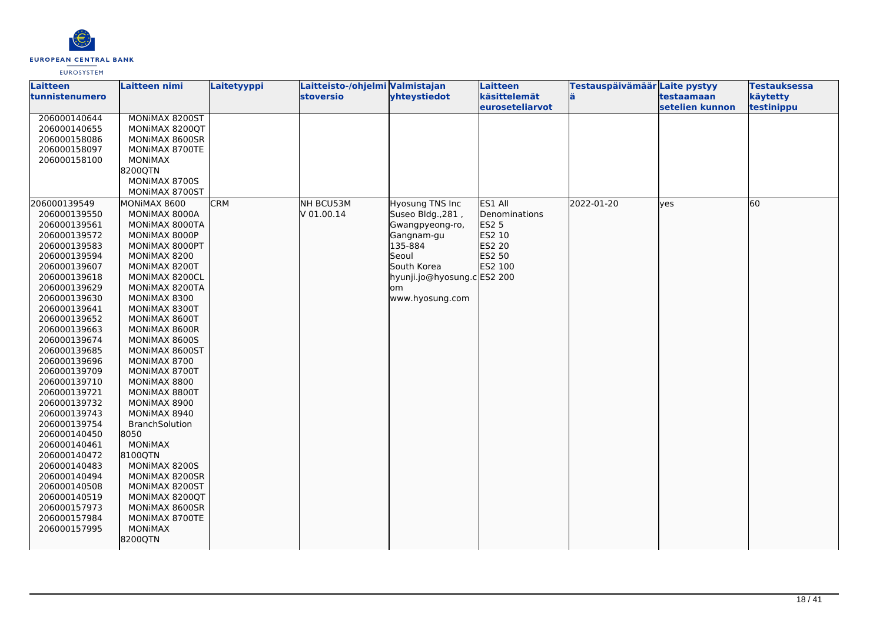

| Laitteen       | <b>Laitteen nimi</b> | Laitetyyppi | Laitteisto-/ohjelmi Valmistajan |                             | Laitteen                                | Testauspäivämäär Laite pystyy |                               | <b>Testauksessa</b>    |
|----------------|----------------------|-------------|---------------------------------|-----------------------------|-----------------------------------------|-------------------------------|-------------------------------|------------------------|
| tunnistenumero |                      |             | <b>stoversio</b>                | yhteystiedot                | käsittelemät<br><b>leuroseteliarvot</b> |                               | testaamaan<br>setelien kunnon | käytetty<br>testinippu |
| 206000140644   | MONIMAX 8200ST       |             |                                 |                             |                                         |                               |                               |                        |
| 206000140655   | MONIMAX 8200QT       |             |                                 |                             |                                         |                               |                               |                        |
| 206000158086   | MONIMAX 8600SR       |             |                                 |                             |                                         |                               |                               |                        |
| 206000158097   | MONIMAX 8700TE       |             |                                 |                             |                                         |                               |                               |                        |
| 206000158100   | MONIMAX              |             |                                 |                             |                                         |                               |                               |                        |
|                | 8200QTN              |             |                                 |                             |                                         |                               |                               |                        |
|                | MONIMAX 8700S        |             |                                 |                             |                                         |                               |                               |                        |
|                | MONIMAX 8700ST       |             |                                 |                             |                                         |                               |                               |                        |
|                |                      |             |                                 |                             |                                         |                               |                               |                        |
| 206000139549   | MONIMAX 8600         | <b>CRM</b>  | NH BCU53M                       | <b>Hyosung TNS Inc</b>      | ES1 All                                 | 2022-01-20                    | lves                          | 60                     |
| 206000139550   | MONIMAX 8000A        |             | V 01.00.14                      | Suseo Bldg., 281,           | Denominations                           |                               |                               |                        |
| 206000139561   | MONIMAX 8000TA       |             |                                 | Gwangpyeong-ro,             | <b>ES2 5</b>                            |                               |                               |                        |
| 206000139572   | MONIMAX 8000P        |             |                                 | Gangnam-gu                  | ES2 10                                  |                               |                               |                        |
| 206000139583   | MONIMAX 8000PT       |             |                                 | 135-884                     | ES2 20                                  |                               |                               |                        |
| 206000139594   | MONIMAX 8200         |             |                                 | Seoul                       | ES2 50                                  |                               |                               |                        |
| 206000139607   | MONIMAX 8200T        |             |                                 | South Korea                 | ES2 100                                 |                               |                               |                        |
| 206000139618   | MONIMAX 8200CL       |             |                                 | hyunji.jo@hyosung.c ES2 200 |                                         |                               |                               |                        |
| 206000139629   | MONIMAX 8200TA       |             |                                 | om                          |                                         |                               |                               |                        |
| 206000139630   | MONIMAX 8300         |             |                                 | www.hyosung.com             |                                         |                               |                               |                        |
| 206000139641   | MONIMAX 8300T        |             |                                 |                             |                                         |                               |                               |                        |
| 206000139652   | MONIMAX 8600T        |             |                                 |                             |                                         |                               |                               |                        |
| 206000139663   | MONIMAX 8600R        |             |                                 |                             |                                         |                               |                               |                        |
| 206000139674   | MONIMAX 8600S        |             |                                 |                             |                                         |                               |                               |                        |
| 206000139685   | MONIMAX 8600ST       |             |                                 |                             |                                         |                               |                               |                        |
| 206000139696   | MONIMAX 8700         |             |                                 |                             |                                         |                               |                               |                        |
| 206000139709   | MONIMAX 8700T        |             |                                 |                             |                                         |                               |                               |                        |
| 206000139710   | MONIMAX 8800         |             |                                 |                             |                                         |                               |                               |                        |
| 206000139721   | MONIMAX 8800T        |             |                                 |                             |                                         |                               |                               |                        |
| 206000139732   | MONIMAX 8900         |             |                                 |                             |                                         |                               |                               |                        |
| 206000139743   | MONIMAX 8940         |             |                                 |                             |                                         |                               |                               |                        |
| 206000139754   | BranchSolution       |             |                                 |                             |                                         |                               |                               |                        |
| 206000140450   | 8050                 |             |                                 |                             |                                         |                               |                               |                        |
| 206000140461   | MONIMAX              |             |                                 |                             |                                         |                               |                               |                        |
| 206000140472   | 8100QTN              |             |                                 |                             |                                         |                               |                               |                        |
| 206000140483   | MONIMAX 8200S        |             |                                 |                             |                                         |                               |                               |                        |
| 206000140494   | MONIMAX 8200SR       |             |                                 |                             |                                         |                               |                               |                        |
| 206000140508   | MONIMAX 8200ST       |             |                                 |                             |                                         |                               |                               |                        |
| 206000140519   | MONIMAX 8200QT       |             |                                 |                             |                                         |                               |                               |                        |
| 206000157973   | MONIMAX 8600SR       |             |                                 |                             |                                         |                               |                               |                        |
| 206000157984   | MONIMAX 8700TE       |             |                                 |                             |                                         |                               |                               |                        |
| 206000157995   | <b>MONIMAX</b>       |             |                                 |                             |                                         |                               |                               |                        |
|                | 8200QTN              |             |                                 |                             |                                         |                               |                               |                        |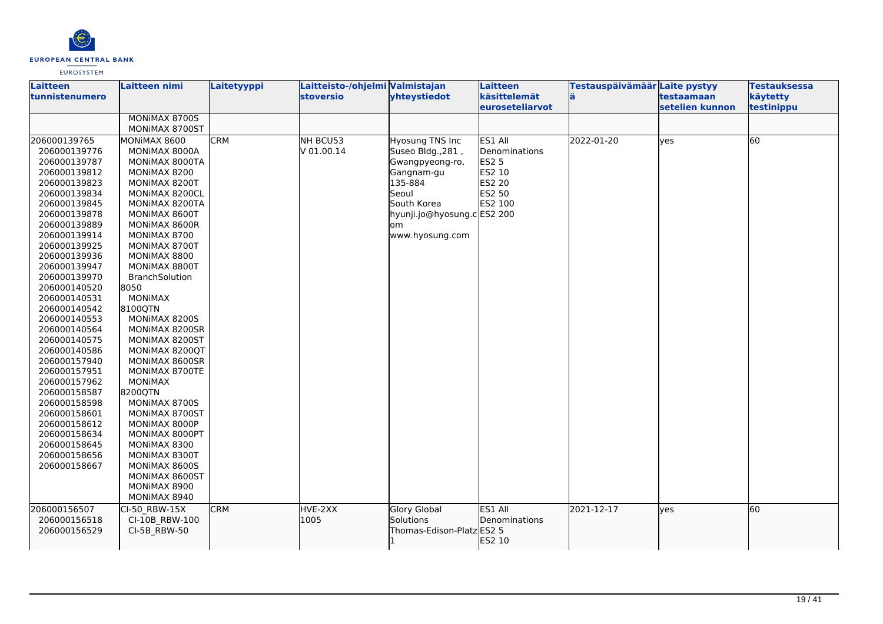

| <b>Laitteen</b><br>ltunnistenumero | Laitteen nimi                   | Laitetyyppi | Laitteisto-/ohjelmi Valmistajan<br><b>stoversio</b> | yhteystiedot                | Laitteen<br>käsittelemät<br>euroseteliarvot | Testauspäivämäär Laite pystyy<br>lä. | testaamaan<br>setelien kunnon | <b>Testauksessa</b><br>käytetty<br>testinippu |
|------------------------------------|---------------------------------|-------------|-----------------------------------------------------|-----------------------------|---------------------------------------------|--------------------------------------|-------------------------------|-----------------------------------------------|
|                                    | MONIMAX 8700S<br>MONIMAX 8700ST |             |                                                     |                             |                                             |                                      |                               |                                               |
| 206000139765                       | MONIMAX 8600                    | <b>CRM</b>  | NH BCU53                                            | <b>Hyosung TNS Inc</b>      | ES1 All                                     | 2022-01-20                           | yes                           | 60                                            |
| 206000139776                       | MONIMAX 8000A                   |             | V 01.00.14                                          | Suseo Bldg., 281,           | Denominations                               |                                      |                               |                                               |
| 206000139787                       | MONIMAX 8000TA                  |             |                                                     | Gwangpyeong-ro,             | <b>ES2 5</b>                                |                                      |                               |                                               |
| 206000139812                       | MONIMAX 8200                    |             |                                                     | Gangnam-gu                  | ES2 10                                      |                                      |                               |                                               |
| 206000139823                       | MONIMAX 8200T                   |             |                                                     | 135-884                     | ES2 20                                      |                                      |                               |                                               |
| 206000139834                       | MONIMAX 8200CL                  |             |                                                     | Seoul                       | ES2 50                                      |                                      |                               |                                               |
| 206000139845                       | MONIMAX 8200TA                  |             |                                                     | South Korea                 | ES2 100                                     |                                      |                               |                                               |
| 206000139878                       | MONIMAX 8600T                   |             |                                                     | hyunji.jo@hyosung.c ES2 200 |                                             |                                      |                               |                                               |
| 206000139889                       | MONIMAX 8600R                   |             |                                                     | lom                         |                                             |                                      |                               |                                               |
| 206000139914                       | MONIMAX 8700                    |             |                                                     | www.hyosung.com             |                                             |                                      |                               |                                               |
| 206000139925                       | MONIMAX 8700T                   |             |                                                     |                             |                                             |                                      |                               |                                               |
| 206000139936                       | MONIMAX 8800                    |             |                                                     |                             |                                             |                                      |                               |                                               |
| 206000139947                       | MONIMAX 8800T                   |             |                                                     |                             |                                             |                                      |                               |                                               |
| 206000139970                       | <b>BranchSolution</b>           |             |                                                     |                             |                                             |                                      |                               |                                               |
| 206000140520                       | 8050                            |             |                                                     |                             |                                             |                                      |                               |                                               |
| 206000140531                       | <b>MONIMAX</b>                  |             |                                                     |                             |                                             |                                      |                               |                                               |
| 206000140542                       | 8100QTN                         |             |                                                     |                             |                                             |                                      |                               |                                               |
| 206000140553                       | MONIMAX 8200S                   |             |                                                     |                             |                                             |                                      |                               |                                               |
| 206000140564                       | MONIMAX 8200SR                  |             |                                                     |                             |                                             |                                      |                               |                                               |
| 206000140575                       | MONIMAX 8200ST                  |             |                                                     |                             |                                             |                                      |                               |                                               |
| 206000140586                       | MONIMAX 8200QT                  |             |                                                     |                             |                                             |                                      |                               |                                               |
| 206000157940                       | MONIMAX 8600SR                  |             |                                                     |                             |                                             |                                      |                               |                                               |
| 206000157951                       | MONIMAX 8700TE                  |             |                                                     |                             |                                             |                                      |                               |                                               |
| 206000157962                       | <b>MONIMAX</b>                  |             |                                                     |                             |                                             |                                      |                               |                                               |
| 206000158587                       | 8200QTN                         |             |                                                     |                             |                                             |                                      |                               |                                               |
| 206000158598                       | MONIMAX 8700S                   |             |                                                     |                             |                                             |                                      |                               |                                               |
| 206000158601                       | MONIMAX 8700ST                  |             |                                                     |                             |                                             |                                      |                               |                                               |
| 206000158612                       | MONIMAX 8000P                   |             |                                                     |                             |                                             |                                      |                               |                                               |
| 206000158634                       | MONIMAX 8000PT                  |             |                                                     |                             |                                             |                                      |                               |                                               |
| 206000158645                       | MONIMAX 8300                    |             |                                                     |                             |                                             |                                      |                               |                                               |
| 206000158656                       | MONIMAX 8300T                   |             |                                                     |                             |                                             |                                      |                               |                                               |
| 206000158667                       | MONIMAX 8600S                   |             |                                                     |                             |                                             |                                      |                               |                                               |
|                                    | MONIMAX 8600ST                  |             |                                                     |                             |                                             |                                      |                               |                                               |
|                                    | MONIMAX 8900                    |             |                                                     |                             |                                             |                                      |                               |                                               |
|                                    | MONIMAX 8940                    |             |                                                     |                             |                                             |                                      |                               |                                               |
| 206000156507                       | CI-50 RBW-15X                   | <b>CRM</b>  | HVE-2XX                                             | Glory Global                | ES1 All                                     | 2021-12-17                           | lves                          | 60                                            |
| 206000156518                       | CI-10B RBW-100                  |             | 1005                                                | Solutions                   | Denominations                               |                                      |                               |                                               |
| 206000156529                       | CI-5B RBW-50                    |             |                                                     | Thomas-Edison-Platz ES2 5   |                                             |                                      |                               |                                               |
|                                    |                                 |             |                                                     |                             | ES2 10                                      |                                      |                               |                                               |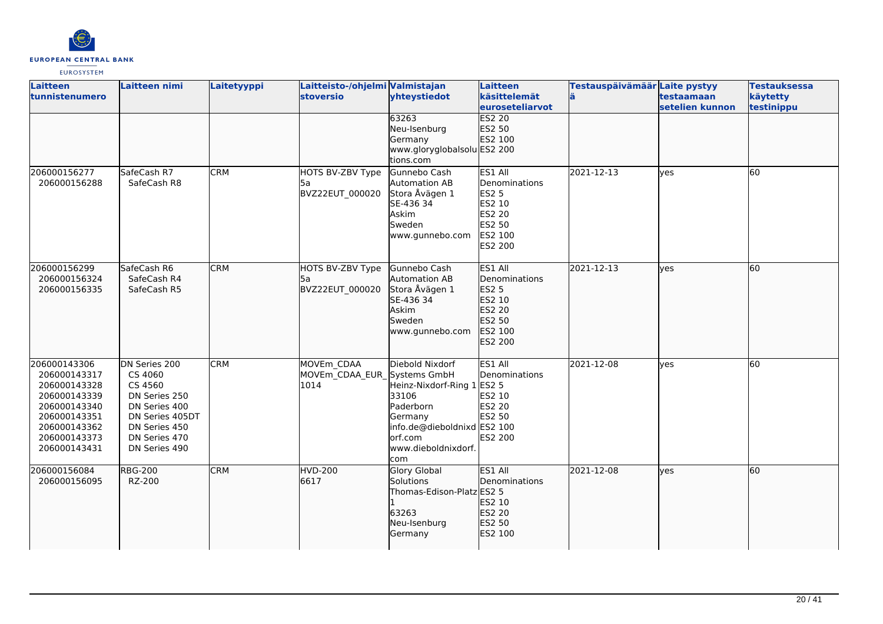

| <b>Laitteen</b><br>tunnistenumero                                                                                                            | Laitteen nimi                                                                                                                               | Laitetyyppi | Laitteisto-/ohjelmi Valmistajan<br><b>stoversio</b> | yhteystiedot<br>63263                                                                                                                            | Laitteen<br>käsittelemät<br><b>euroseteliarvot</b><br><b>ES2 20</b>                          | Testauspäivämäär Laite pystyy | testaamaan<br>setelien kunnon | <b>Testauksessa</b><br>käytetty<br>testinippu |
|----------------------------------------------------------------------------------------------------------------------------------------------|---------------------------------------------------------------------------------------------------------------------------------------------|-------------|-----------------------------------------------------|--------------------------------------------------------------------------------------------------------------------------------------------------|----------------------------------------------------------------------------------------------|-------------------------------|-------------------------------|-----------------------------------------------|
|                                                                                                                                              |                                                                                                                                             |             |                                                     | Neu-Isenburg<br>Germany<br>www.gloryglobalsolu ES2 200<br>tions.com                                                                              | ES2 50<br>ES2 100                                                                            |                               |                               |                                               |
| 206000156277<br>206000156288                                                                                                                 | SafeCash R7<br>SafeCash R8                                                                                                                  | <b>CRM</b>  | HOTS BV-ZBV Type<br>l5a<br>BVZ22EUT 000020          | Gunnebo Cash<br>Automation AB<br>Stora Åvägen 1<br>SE-436 34<br>Askim<br>Sweden<br>www.gunnebo.com                                               | ES1 All<br>Denominations<br><b>ES2 5</b><br>ES2 10<br>ES2 20<br>ES2 50<br>ES2 100<br>ES2 200 | 2021-12-13                    | yes                           | 60                                            |
| 206000156299<br>206000156324<br>206000156335                                                                                                 | SafeCash R6<br>SafeCash R4<br>SafeCash R5                                                                                                   | <b>CRM</b>  | HOTS BV-ZBV Type<br>5a<br>BVZ22EUT 000020           | Gunnebo Cash<br>Automation AB<br>Stora Åvägen 1<br>SE-436 34<br>Askim<br>Sweden<br>www.gunnebo.com                                               | ES1 All<br>Denominations<br>ES2 5<br>ES2 10<br><b>ES2 20</b><br>ES2 50<br>ES2 100<br>ES2 200 | 2021-12-13                    | ves                           | 60                                            |
| 206000143306<br>206000143317<br>206000143328<br>206000143339<br>206000143340<br>206000143351<br>206000143362<br>206000143373<br>206000143431 | DN Series 200<br>CS 4060<br>CS 4560<br>DN Series 250<br>DN Series 400<br>DN Series 405DT<br>DN Series 450<br>DN Series 470<br>DN Series 490 | <b>CRM</b>  | MOVEm CDAA<br>MOVEm_CDAA_EUR_Systems GmbH<br>1014   | Diebold Nixdorf<br>Heinz-Nixdorf-Ring 1<br>33106<br>Paderborn<br>Germany<br>info.de@dieboldnixd ES2 100<br>orf.com<br>www.dieboldnixdorf.<br>com | ES1 All<br>Denominations<br><b>ES2 5</b><br>ES2 10<br><b>ES2 20</b><br>ES2 50<br>ES2 200     | 2021-12-08                    | lyes                          | 60                                            |
| 206000156084<br>206000156095                                                                                                                 | <b>RBG-200</b><br>RZ-200                                                                                                                    | <b>CRM</b>  | HVD-200<br>6617                                     | Glory Global<br>Solutions<br>Thomas-Edison-Platz ES2 5<br>63263<br>Neu-Isenburg<br>Germany                                                       | ES1 All<br>Denominations<br>ES2 10<br>ES2 20<br>ES2 50<br>ES2 100                            | 2021-12-08                    | lyes                          | 60                                            |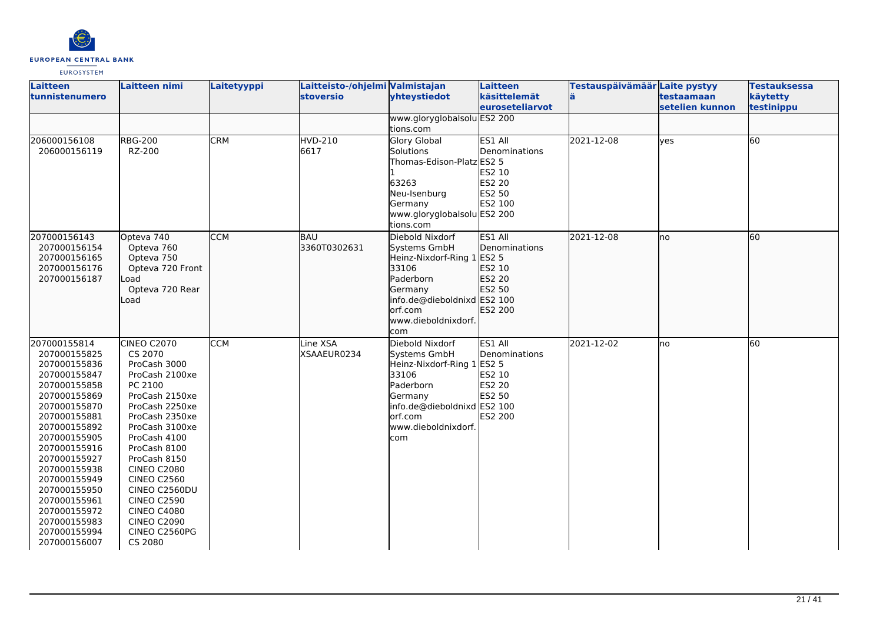

| Laitteen<br>tunnistenumero                                                                                                                                                                                                                                                                                                   | Laitteen nimi                                                                                                                                                                                                                                                                                                                                          | Laitetyyppi | Laitteisto-/ohjelmi Valmistajan<br><b>stoversio</b> | yhteystiedot                                                                                                                                                           | Laitteen<br>käsittelemät<br><b>leuroseteliarvot</b>                                      | Testauspäivämäär Laite pystyy<br>ä | testaamaan<br>setelien kunnon | <b>Testauksessa</b><br>käytetty<br>testinippu |
|------------------------------------------------------------------------------------------------------------------------------------------------------------------------------------------------------------------------------------------------------------------------------------------------------------------------------|--------------------------------------------------------------------------------------------------------------------------------------------------------------------------------------------------------------------------------------------------------------------------------------------------------------------------------------------------------|-------------|-----------------------------------------------------|------------------------------------------------------------------------------------------------------------------------------------------------------------------------|------------------------------------------------------------------------------------------|------------------------------------|-------------------------------|-----------------------------------------------|
|                                                                                                                                                                                                                                                                                                                              |                                                                                                                                                                                                                                                                                                                                                        |             |                                                     | www.gloryglobalsolu ES2 200<br>tions.com                                                                                                                               |                                                                                          |                                    |                               |                                               |
| 206000156108<br>206000156119                                                                                                                                                                                                                                                                                                 | <b>RBG-200</b><br>RZ-200                                                                                                                                                                                                                                                                                                                               | <b>CRM</b>  | <b>HVD-210</b><br>6617                              | <b>Glory Global</b><br><b>Solutions</b><br>Thomas-Edison-Platz ES2 5<br>63263<br>Neu-Isenburg<br>Germany<br>www.gloryglobalsolu ES2 200<br>tions.com                   | ES1 All<br>Denominations<br>ES2 10<br>ES2 20<br>ES2 50<br>ES2 100                        | 2021-12-08                         | yes                           | 60                                            |
| 207000156143<br>207000156154<br>207000156165<br>207000156176<br>207000156187                                                                                                                                                                                                                                                 | Opteva 740<br>Opteva 760<br>Opteva 750<br>Opteva 720 Front<br>Load<br>Opteva 720 Rear<br>Load                                                                                                                                                                                                                                                          | <b>CCM</b>  | BAU<br>3360T0302631                                 | Diebold Nixdorf<br>Systems GmbH<br>Heinz-Nixdorf-Ring 1 ES2 5<br>33106<br>Paderborn<br>Germany<br>info.de@dieboldnixd ES2 100<br>orf.com<br>www.dieboldnixdorf.<br>com | ES1 All<br><b>Denominations</b><br>ES2 10<br>ES2 20<br>ES2 50<br>ES2 200                 | 2021-12-08                         | lno                           | 60                                            |
| 207000155814<br>207000155825<br>207000155836<br>207000155847<br>207000155858<br>207000155869<br>207000155870<br>207000155881<br>207000155892<br>207000155905<br>207000155916<br>207000155927<br>207000155938<br>207000155949<br>207000155950<br>207000155961<br>207000155972<br>207000155983<br>207000155994<br>207000156007 | CINEO C2070<br>CS 2070<br>ProCash 3000<br>ProCash 2100xe<br>PC 2100<br>ProCash 2150xe<br>ProCash 2250xe<br>ProCash 2350xe<br>ProCash 3100xe<br>ProCash 4100<br>ProCash 8100<br>ProCash 8150<br><b>CINEO C2080</b><br><b>CINEO C2560</b><br>CINEO C2560DU<br><b>CINEO C2590</b><br><b>CINEO C4080</b><br><b>CINEO C2090</b><br>CINEO C2560PG<br>CS 2080 | <b>CCM</b>  | Line XSA<br>XSAAEUR0234                             | Diebold Nixdorf<br>Systems GmbH<br>Heinz-Nixdorf-Ring 1<br>33106<br>Paderborn<br>Germany<br>info.de@dieboldnixd ES2 100<br>lorf.com<br>www.dieboldnixdorf.<br>com      | ES1 All<br>Denominations<br><b>ES2 5</b><br>ES2 10<br><b>ES2 20</b><br>ES2 50<br>ES2 200 | 2021-12-02                         | lno                           | 60                                            |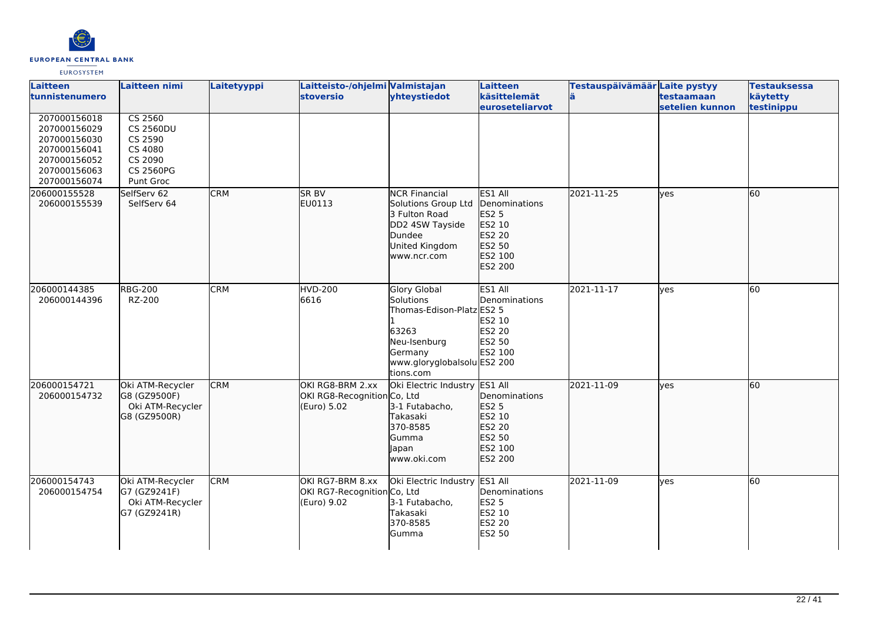

| <b>Laitteen</b><br>tunnistenumero                                                                            | Laitteen nimi                                                                                 | Laitetyyppi | Laitteisto-/ohjelmi Valmistajan<br><b>stoversio</b>            | yhteystiedot                                                                                                                           | Laitteen<br>käsittelemät<br><b>leuroseteliarvot</b>                                          | Testauspäivämäär Laite pystyy<br>lä. | testaamaan<br>setelien kunnon | <b>Testauksessa</b><br>käytetty<br>testinippu |
|--------------------------------------------------------------------------------------------------------------|-----------------------------------------------------------------------------------------------|-------------|----------------------------------------------------------------|----------------------------------------------------------------------------------------------------------------------------------------|----------------------------------------------------------------------------------------------|--------------------------------------|-------------------------------|-----------------------------------------------|
| 207000156018<br>207000156029<br>207000156030<br>207000156041<br>207000156052<br>207000156063<br>207000156074 | CS 2560<br><b>CS 2560DU</b><br>CS 2590<br>CS 4080<br>CS 2090<br><b>CS 2560PG</b><br>Punt Groc |             |                                                                |                                                                                                                                        |                                                                                              |                                      |                               |                                               |
| 206000155528<br>206000155539                                                                                 | SelfServ 62<br>SelfServ 64                                                                    | <b>CRM</b>  | <b>SR BV</b><br>EU0113                                         | <b>NCR Financial</b><br>Solutions Group Ltd<br>3 Fulton Road<br>DD2 4SW Tayside<br>Dundee<br>United Kingdom<br>www.ncr.com             | ES1 All<br>Denominations<br>ES2 5<br>ES2 10<br>ES2 20<br>ES2 50<br>ES2 100<br>ES2 200        | 2021-11-25                           | lves                          | 60                                            |
| 206000144385<br>206000144396                                                                                 | <b>RBG-200</b><br>RZ-200                                                                      | <b>CRM</b>  | HVD-200<br>6616                                                | Glory Global<br>Solutions<br>Thomas-Edison-Platz ES2 5<br>63263<br>Neu-Isenburg<br>Germany<br>www.gloryglobalsolu ES2 200<br>tions.com | ES1 All<br>Denominations<br>ES2 10<br>ES2 20<br>ES2 50<br>ES2 100                            | 2021-11-17                           | <b>ves</b>                    | 60                                            |
| 206000154721<br>206000154732                                                                                 | Oki ATM-Recycler<br>G8 (GZ9500F)<br>Oki ATM-Recycler<br>G8 (GZ9500R)                          | <b>CRM</b>  | OKI RG8-BRM 2.xx<br>OKI RG8-Recognition Co, Ltd<br>(Euro) 5.02 | Oki Electric Industry<br>3-1 Futabacho,<br>Takasaki<br>370-8585<br>Gumma<br>Japan<br>www.oki.com                                       | ES1 All<br>Denominations<br><b>ES2 5</b><br>ES2 10<br>ES2 20<br>ES2 50<br>ES2 100<br>ES2 200 | 2021-11-09                           | lves                          | 60                                            |
| 206000154743<br>206000154754                                                                                 | Oki ATM-Recycler<br>G7 (GZ9241F)<br>Oki ATM-Recycler<br>G7 (GZ9241R)                          | <b>CRM</b>  | OKI RG7-BRM 8.xx<br>OKI RG7-Recognition Co, Ltd<br>(Euro) 9.02 | Oki Electric Industry ES1 All<br>3-1 Futabacho,<br>Takasaki<br>370-8585<br><b>Gumma</b>                                                | Denominations<br><b>ES2 5</b><br>ES2 10<br>ES2 20<br><b>ES2 50</b>                           | 2021-11-09                           | yes                           | 60                                            |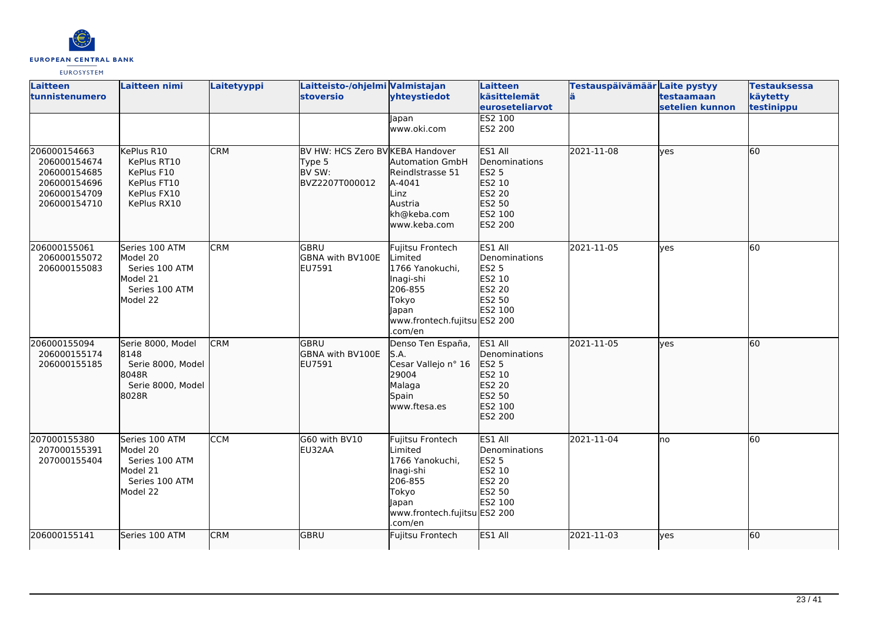

| Laitteen<br>tunnistenumero                                                                   | Laitteen nimi                                                                          | Laitetyyppi | Laitteisto-/ohjelmi Valmistajan<br><b>stoversio</b>                    | yhteystiedot                                                                                                                        | Laitteen<br>käsittelemät<br>euroseteliarvot                                                  | Testauspäivämäär Laite pystyy<br>lä | testaamaan<br>setelien kunnon | <b>Testauksessa</b><br>käytetty<br>testinippu |
|----------------------------------------------------------------------------------------------|----------------------------------------------------------------------------------------|-------------|------------------------------------------------------------------------|-------------------------------------------------------------------------------------------------------------------------------------|----------------------------------------------------------------------------------------------|-------------------------------------|-------------------------------|-----------------------------------------------|
|                                                                                              |                                                                                        |             |                                                                        | lapan<br>www.oki.com                                                                                                                | <b>ES2 100</b><br>ES2 200                                                                    |                                     |                               |                                               |
| 206000154663<br>206000154674<br>206000154685<br>206000154696<br>206000154709<br>206000154710 | KePlus R10<br>KePlus RT10<br>KePlus F10<br>KePlus FT10<br>KePlus FX10<br>KePlus RX10   | <b>CRM</b>  | BV HW: HCS Zero BV KEBA Handover<br>Type 5<br>BV SW:<br>BVZ2207T000012 | <b>Automation GmbH</b><br>Reindlstrasse 51<br>A-4041<br>Linz<br>Austria<br>kh@keba.com<br>www.keba.com                              | ES1 All<br>Denominations<br><b>ES2 5</b><br>ES2 10<br>ES2 20<br>ES2 50<br>ES2 100<br>ES2 200 | 2021-11-08                          | lves                          | 60                                            |
| 206000155061<br>206000155072<br>206000155083                                                 | Series 100 ATM<br>Model 20<br>Series 100 ATM<br>Model 21<br>Series 100 ATM<br>Model 22 | <b>CRM</b>  | GBRU<br><b>GBNA with BV100E</b><br>EU7591                              | Fujitsu Frontech<br>Limited<br>1766 Yanokuchi,<br>Inagi-shi<br>206-855<br>Tokyo<br>Japan<br>www.frontech.fujitsu ES2 200<br>.com/en | ES1 All<br>Denominations<br><b>ES2 5</b><br>ES2 10<br>ES2 20<br>ES2 50<br>ES2 100            | 2021-11-05                          | <b>ves</b>                    | 60                                            |
| 206000155094<br>206000155174<br>206000155185                                                 | Serie 8000, Model<br>8148<br>Serie 8000, Model<br>8048R<br>Serie 8000, Model<br>8028R  | <b>CRM</b>  | <b>GBRU</b><br>GBNA with BV100E<br>EU7591                              | Denso Ten España,<br>S.A.<br>Cesar Vallejo nº 16<br>29004<br>Malaga<br>Spain<br>www.ftesa.es                                        | ES1 All<br>Denominations<br>ES2 5<br>ES2 10<br>ES2 20<br>ES2 50<br>ES2 100<br>ES2 200        | 2021-11-05                          | lves                          | 60                                            |
| 207000155380<br>207000155391<br>207000155404                                                 | Series 100 ATM<br>Model 20<br>Series 100 ATM<br>Model 21<br>Series 100 ATM<br>Model 22 | CCM         | G60 with BV10<br>EU32AA                                                | Fujitsu Frontech<br>Limited<br>1766 Yanokuchi,<br>Inagi-shi<br>206-855<br>Tokyo<br>Japan<br>www.frontech.fujitsu ES2 200<br>.com/en | ES1 All<br>Denominations<br><b>ES2 5</b><br>ES2 10<br>ES2 20<br>ES2 50<br>ES2 100            | 2021-11-04                          | lno                           | 60                                            |
| 206000155141                                                                                 | Series 100 ATM                                                                         | <b>CRM</b>  | <b>GBRU</b>                                                            | Fujitsu Frontech                                                                                                                    | ES1 All                                                                                      | 2021-11-03                          | lves                          | 60                                            |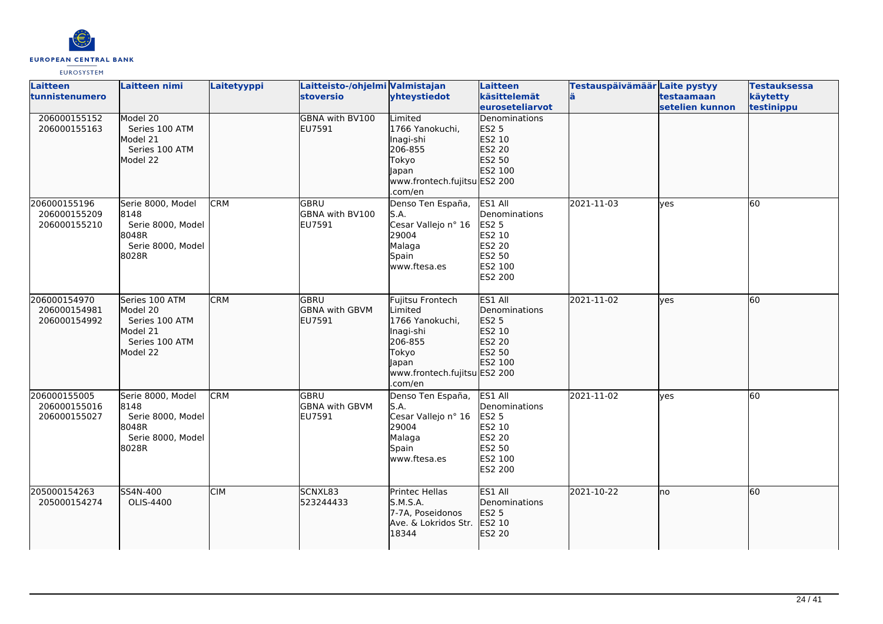

| <b>Laitteen</b><br>tunnistenumero            | <b>Laitteen nimi</b>                                                                   | Laitetyyppi | Laitteisto-/ohjelmi Valmistajan<br><b>stoversio</b> | yhteystiedot                                                                                                                        | Laitteen<br>käsittelemät<br><b>leuroseteliarvot</b>                                                 | Testauspäivämäär Laite pystyy | testaamaan<br>setelien kunnon | <b>Testauksessa</b><br>käytetty<br>testinippu |
|----------------------------------------------|----------------------------------------------------------------------------------------|-------------|-----------------------------------------------------|-------------------------------------------------------------------------------------------------------------------------------------|-----------------------------------------------------------------------------------------------------|-------------------------------|-------------------------------|-----------------------------------------------|
| 206000155152<br>206000155163                 | Model 20<br>Series 100 ATM<br>Model 21<br>Series 100 ATM<br>Model 22                   |             | GBNA with BV100<br>EU7591                           | Limited<br>1766 Yanokuchi,<br>Inagi-shi<br>206-855<br>Tokyo<br>Japan<br>www.frontech.fujitsu ES2 200<br>.com/en                     | Denominations<br><b>ES2 5</b><br>ES2 10<br>ES2 20<br>ES2 50<br>ES2 100                              |                               |                               |                                               |
| 206000155196<br>206000155209<br>206000155210 | Serie 8000, Model<br>8148<br>Serie 8000, Model<br>8048R<br>Serie 8000, Model<br>8028R  | <b>CRM</b>  | GBRU<br>GBNA with BV100<br>EU7591                   | Denso Ten España,<br>S.A.<br>Cesar Vallejo nº 16<br>29004<br>Malaga<br>Spain<br>www.ftesa.es                                        | ES1 All<br>Denominations<br>ES2 5<br>ES2 10<br><b>ES2 20</b><br>ES2 50<br>ES2 100<br><b>ES2 200</b> | 2021-11-03                    | lves                          | 60                                            |
| 206000154970<br>206000154981<br>206000154992 | Series 100 ATM<br>Model 20<br>Series 100 ATM<br>Model 21<br>Series 100 ATM<br>Model 22 | <b>CRM</b>  | <b>GBRU</b><br><b>GBNA with GBVM</b><br>EU7591      | Fujitsu Frontech<br>Limited<br>1766 Yanokuchi,<br>Inagi-shi<br>206-855<br>Tokyo<br>Japan<br>www.frontech.fujitsu ES2 200<br>.com/en | ES1 All<br>Denominations<br>ES2 5<br>ES2 10<br>ES2 20<br>ES2 50<br>ES2 100                          | 2021-11-02                    | ves                           | 60                                            |
| 206000155005<br>206000155016<br>206000155027 | Serie 8000, Model<br>8148<br>Serie 8000, Model<br>8048R<br>Serie 8000, Model<br>8028R  | <b>CRM</b>  | lgbru<br><b>GBNA with GBVM</b><br>EU7591            | Denso Ten España,<br>S.A.<br>Cesar Vallejo nº 16<br>29004<br>Malaga<br>Spain<br>www.ftesa.es                                        | ES1 All<br>Denominations<br><b>ES2 5</b><br>ES2 10<br>ES2 20<br>ES2 50<br>ES2 100<br><b>ES2 200</b> | 2021-11-02                    | <b>l</b> ves                  | 60                                            |
| 205000154263<br>205000154274                 | SS4N-400<br>OLIS-4400                                                                  | <b>CIM</b>  | SCNXL83<br>523244433                                | Printec Hellas<br>S.M.S.A.<br>7-7A. Poseidonos<br>Ave. & Lokridos Str.<br>18344                                                     | ES1 All<br>Denominations<br>ES2 5<br>ES2 10<br>ES2 20                                               | 2021-10-22                    | lno                           | 60                                            |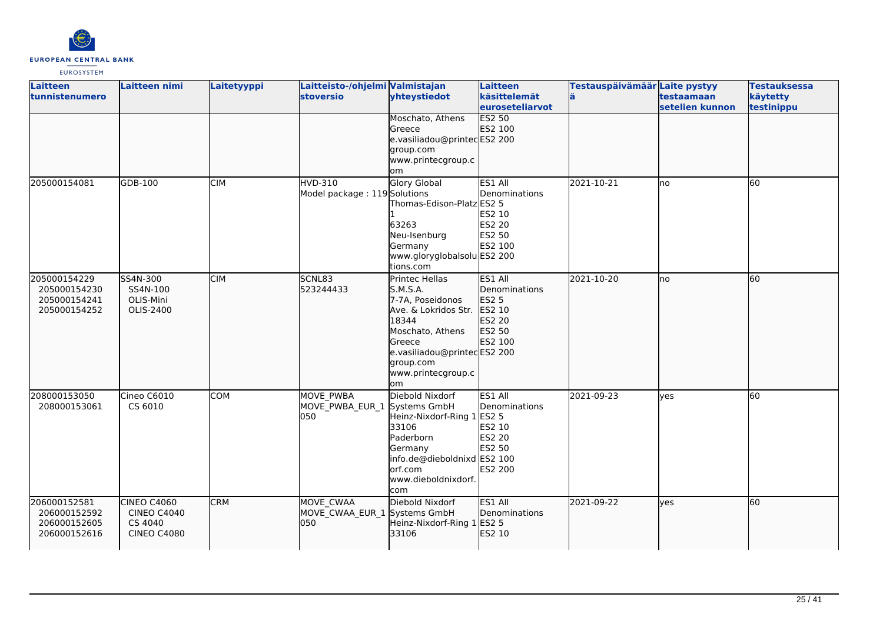

| Laitteen<br>tunnistenumero | Laitteen nimi      | Laitetyyppi | Laitteisto-/ohjelmi Valmistajan<br>stoversio | yhteystiedot                           | Laitteen<br>käsittelemät | Testauspäivämäär Laite pystyy | testaamaan      | <b>Testauksessa</b><br>käytetty |
|----------------------------|--------------------|-------------|----------------------------------------------|----------------------------------------|--------------------------|-------------------------------|-----------------|---------------------------------|
|                            |                    |             |                                              |                                        | <b>euroseteliarvot</b>   |                               | setelien kunnon | testinippu                      |
|                            |                    |             |                                              | Moschato, Athens                       | <b>ES2 50</b>            |                               |                 |                                 |
|                            |                    |             |                                              | Greece                                 | ES2 100                  |                               |                 |                                 |
|                            |                    |             |                                              | e.vasiliadou@printecES2 200            |                          |                               |                 |                                 |
|                            |                    |             |                                              | group.com                              |                          |                               |                 |                                 |
|                            |                    |             |                                              | www.printecgroup.c                     |                          |                               |                 |                                 |
|                            |                    |             |                                              | om                                     |                          |                               |                 |                                 |
| 205000154081               | GDB-100            | <b>CIM</b>  | HVD-310                                      | <b>Glory Global</b>                    | ES1 All<br>Denominations | 2021-10-21                    | lno             | 60                              |
|                            |                    |             | Model package: 119 Solutions                 | Thomas-Edison-Platz ES2 5              |                          |                               |                 |                                 |
|                            |                    |             |                                              |                                        | ES2 10                   |                               |                 |                                 |
|                            |                    |             |                                              | 63263                                  | ES2 20                   |                               |                 |                                 |
|                            |                    |             |                                              | Neu-Isenburg                           | ES2 50                   |                               |                 |                                 |
|                            |                    |             |                                              | Germany                                | ES2 100                  |                               |                 |                                 |
|                            |                    |             |                                              | www.gloryglobalsolu ES2 200            |                          |                               |                 |                                 |
|                            |                    |             |                                              | tions.com                              |                          |                               |                 |                                 |
| 205000154229               | SS4N-300           | <b>CIM</b>  | SCNL83                                       | Printec Hellas                         | ES1 All                  | 2021-10-20                    | lno             | 60                              |
| 205000154230               | SS4N-100           |             | 523244433                                    | S.M.S.A.                               | Denominations            |                               |                 |                                 |
| 205000154241               | OLIS-Mini          |             |                                              | 7-7A, Poseidonos                       | <b>ES2 5</b>             |                               |                 |                                 |
| 205000154252               | OLIS-2400          |             |                                              | Ave. & Lokridos Str.                   | ES2 10                   |                               |                 |                                 |
|                            |                    |             |                                              | 18344                                  | ES2 20                   |                               |                 |                                 |
|                            |                    |             |                                              | Moschato, Athens<br>Greece             | ES2 50<br>ES2 100        |                               |                 |                                 |
|                            |                    |             |                                              | e.vasiliadou@printecES2 200            |                          |                               |                 |                                 |
|                            |                    |             |                                              | group.com                              |                          |                               |                 |                                 |
|                            |                    |             |                                              | www.printecgroup.c                     |                          |                               |                 |                                 |
|                            |                    |             |                                              | <b>om</b>                              |                          |                               |                 |                                 |
| 208000153050               | Cineo C6010        | <b>COM</b>  | MOVE PWBA                                    | Diebold Nixdorf                        | ES1 All                  | 2021-09-23                    | yes             | 60                              |
| 208000153061               | CS 6010            |             | MOVE_PWBA_EUR_1 Systems GmbH                 |                                        | Denominations            |                               |                 |                                 |
|                            |                    |             | 050                                          | Heinz-Nixdorf-Ring 1                   | ES2 5                    |                               |                 |                                 |
|                            |                    |             |                                              | 33106                                  | ES2 10                   |                               |                 |                                 |
|                            |                    |             |                                              | Paderborn                              | ES2 20                   |                               |                 |                                 |
|                            |                    |             |                                              | Germany                                | ES2 50                   |                               |                 |                                 |
|                            |                    |             |                                              | info.de@dieboldnixd ES2 100<br>orf.com | ES2 200                  |                               |                 |                                 |
|                            |                    |             |                                              | www.dieboldnixdorf.                    |                          |                               |                 |                                 |
|                            |                    |             |                                              | com                                    |                          |                               |                 |                                 |
| 206000152581               | CINEO C4060        | <b>CRM</b>  | MOVE CWAA                                    | Diebold Nixdorf                        | ES1 All                  | 2021-09-22                    | lyes            | 60                              |
| 206000152592               | <b>CINEO C4040</b> |             | MOVE_CWAA_EUR_1 Systems GmbH                 |                                        | Denominations            |                               |                 |                                 |
| 206000152605               | CS 4040            |             | 050                                          | Heinz-Nixdorf-Ring 1                   | ES2 5                    |                               |                 |                                 |
| 206000152616               | <b>CINEO C4080</b> |             |                                              | 33106                                  | ES2 10                   |                               |                 |                                 |
|                            |                    |             |                                              |                                        |                          |                               |                 |                                 |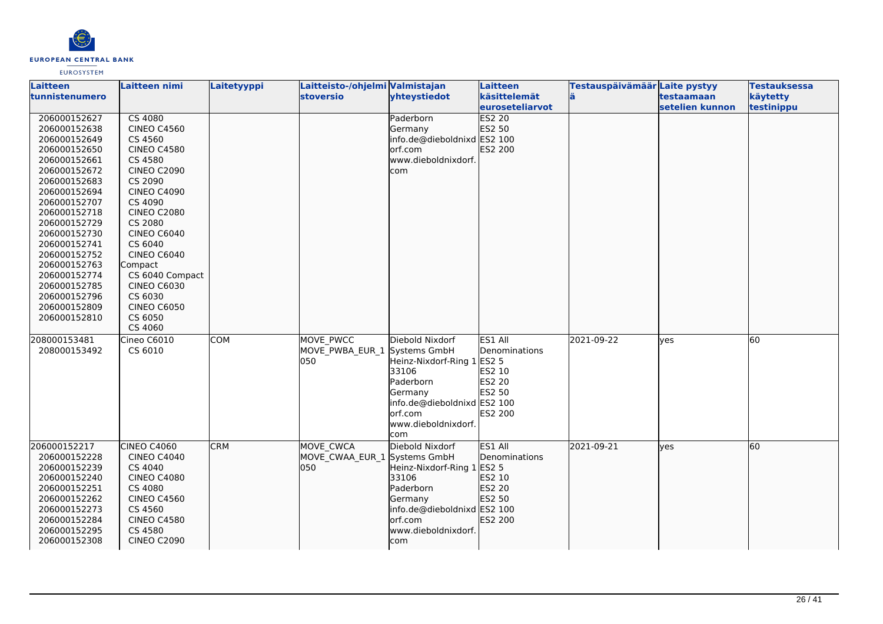

| <b>Laitteen</b><br>tunnistenumero                                                                                                                                                                                                                                                                            | Laitteen nimi                                                                                                                                                                                                                                                                                                            | Laitetyyppi | Laitteisto-/ohjelmi Valmistajan<br><b>stoversio</b> | yhteystiedot                                                                                                                                            | Laitteen<br>käsittelemät<br><b>leuroseteliarvot</b>               | Testauspäivämäär Laite pystyy | testaamaan<br>setelien kunnon | <b>Testauksessa</b><br>käytetty<br>testinippu |
|--------------------------------------------------------------------------------------------------------------------------------------------------------------------------------------------------------------------------------------------------------------------------------------------------------------|--------------------------------------------------------------------------------------------------------------------------------------------------------------------------------------------------------------------------------------------------------------------------------------------------------------------------|-------------|-----------------------------------------------------|---------------------------------------------------------------------------------------------------------------------------------------------------------|-------------------------------------------------------------------|-------------------------------|-------------------------------|-----------------------------------------------|
| 206000152627<br>206000152638<br>206000152649<br>206000152650<br>206000152661<br>206000152672<br>206000152683<br>206000152694<br>206000152707<br>206000152718<br>206000152729<br>206000152730<br>206000152741<br>206000152752<br>206000152763<br>206000152774<br>206000152785<br>206000152796<br>206000152809 | CS 4080<br><b>CINEO C4560</b><br>CS 4560<br><b>CINEO C4580</b><br>CS 4580<br><b>CINEO C2090</b><br>CS 2090<br><b>CINEO C4090</b><br>CS 4090<br><b>CINEO C2080</b><br>CS 2080<br><b>CINEO C6040</b><br>CS 6040<br><b>CINEO C6040</b><br>Compact<br>CS 6040 Compact<br><b>CINEO C6030</b><br>CS 6030<br><b>CINEO C6050</b> |             |                                                     | Paderborn<br>Germany<br>info.de@dieboldnixd ES2 100<br>lorf.com<br>www.dieboldnixdorf.<br>com                                                           | <b>ES2 20</b><br>ES2 50<br>ES2 200                                |                               |                               |                                               |
| 206000152810                                                                                                                                                                                                                                                                                                 | CS 6050<br>CS 4060                                                                                                                                                                                                                                                                                                       |             |                                                     |                                                                                                                                                         |                                                                   |                               |                               |                                               |
| 208000153481<br>208000153492                                                                                                                                                                                                                                                                                 | Cineo C6010<br>CS 6010                                                                                                                                                                                                                                                                                                   | <b>COM</b>  | MOVE PWCC<br>MOVE PWBA EUR 1 Systems GmbH<br>050    | Diebold Nixdorf<br>Heinz-Nixdorf-Ring 1 ES2 5<br>33106<br>Paderborn<br>Germany<br>info.de@dieboldnixd ES2 100<br>lorf.com<br>www.dieboldnixdorf.<br>com | ES1 All<br>Denominations<br>ES2 10<br>ES2 20<br>ES2 50<br>ES2 200 | 2021-09-22                    | <b>ves</b>                    | $\overline{60}$                               |
| 206000152217<br>206000152228<br>206000152239<br>206000152240<br>206000152251<br>206000152262<br>206000152273<br>206000152284<br>206000152295<br>206000152308                                                                                                                                                 | CINEO C4060<br><b>CINEO C4040</b><br>CS 4040<br><b>CINEO C4080</b><br>CS 4080<br><b>CINEO C4560</b><br>CS 4560<br><b>CINEO C4580</b><br>CS 4580<br><b>CINEO C2090</b>                                                                                                                                                    | <b>CRM</b>  | MOVE CWCA<br>MOVE CWAA EUR 1 Systems GmbH<br>1050   | Diebold Nixdorf<br>Heinz-Nixdorf-Ring 1 ES2 5<br>33106<br>Paderborn<br>Germany<br>info.de@dieboldnixd ES2 100<br>lorf.com<br>www.dieboldnixdorf.<br>com | ES1 All<br>Denominations<br>ES2 10<br>ES2 20<br>ES2 50<br>ES2 200 | 2021-09-21                    | lyes                          | 60                                            |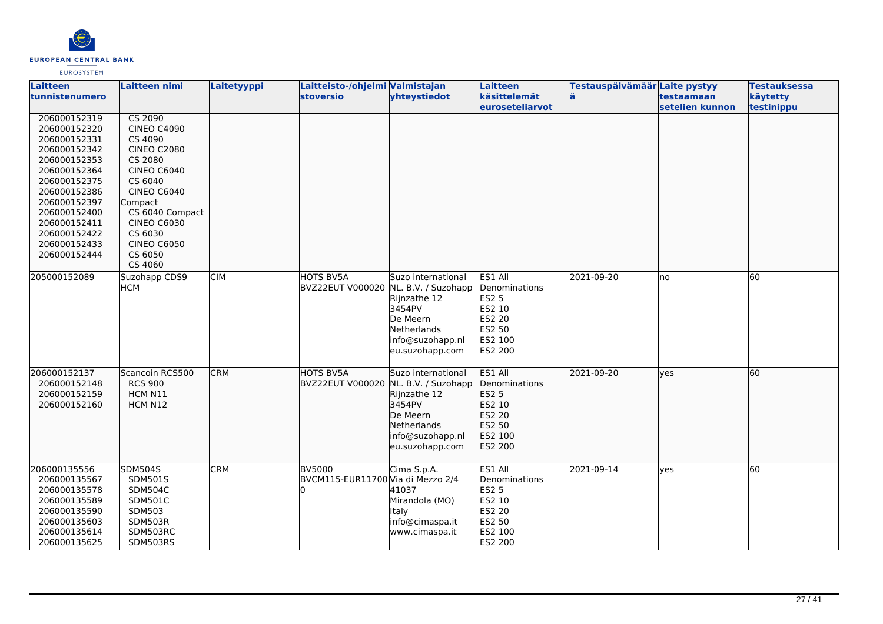

| Laitteen<br>tunnistenumero                                                                                                                                                                                                   | Laitteen nimi                                                                                                                                                                                                                               | Laitetyyppi | Laitteisto-/ohjelmi Valmistajan<br><b>stoversio</b> | yhteystiedot                                                                                                   | Laitteen<br>käsittelemät                                                                            | Testauspäivämäär Laite pystyy<br>lä | testaamaan      | <b>Testauksessa</b><br>käytetty |
|------------------------------------------------------------------------------------------------------------------------------------------------------------------------------------------------------------------------------|---------------------------------------------------------------------------------------------------------------------------------------------------------------------------------------------------------------------------------------------|-------------|-----------------------------------------------------|----------------------------------------------------------------------------------------------------------------|-----------------------------------------------------------------------------------------------------|-------------------------------------|-----------------|---------------------------------|
|                                                                                                                                                                                                                              |                                                                                                                                                                                                                                             |             |                                                     |                                                                                                                | <b>leuroseteliarvot</b>                                                                             |                                     | setelien kunnon | testinippu                      |
| 206000152319<br>206000152320<br>206000152331<br>206000152342<br>206000152353<br>206000152364<br>206000152375<br>206000152386<br>206000152397<br>206000152400<br>206000152411<br>206000152422<br>206000152433<br>206000152444 | CS 2090<br><b>CINEO C4090</b><br>CS 4090<br><b>CINEO C2080</b><br>CS 2080<br><b>CINEO C6040</b><br>CS 6040<br><b>CINEO C6040</b><br>Compact<br>CS 6040 Compact<br><b>CINEO C6030</b><br>CS 6030<br><b>CINEO C6050</b><br>CS 6050<br>CS 4060 |             |                                                     |                                                                                                                |                                                                                                     |                                     |                 |                                 |
| 205000152089                                                                                                                                                                                                                 | Suzohapp CDS9<br><b>HCM</b>                                                                                                                                                                                                                 | <b>CIM</b>  | HOTS BV5A<br>BVZ22EUT V000020 NL. B.V. / Suzohapp   | Suzo international<br>Rijnzathe 12<br>3454PV<br>De Meern<br>Netherlands<br>info@suzohapp.nl<br>eu.suzohapp.com | ES1 All<br>Denominations<br><b>ES2 5</b><br>ES2 10<br><b>ES2 20</b><br>ES2 50<br>ES2 100<br>ES2 200 | 2021-09-20                          | lno             | 60                              |
| 206000152137<br>206000152148<br>206000152159<br>206000152160                                                                                                                                                                 | Scancoin RCS500<br><b>RCS 900</b><br>HCM N11<br>HCM N12                                                                                                                                                                                     | <b>CRM</b>  | HOTS BV5A<br>BVZ22EUT V000020 NL. B.V. / Suzohapp   | Suzo international<br>Rijnzathe 12<br>3454PV<br>De Meern<br>Netherlands<br>info@suzohapp.nl<br>eu.suzohapp.com | ES1 All<br>Denominations<br><b>ES2 5</b><br>ES2 10<br>ES2 20<br>ES2 50<br>ES2 100<br>ES2 200        | 2021-09-20                          | lves            | 60                              |
| 206000135556<br>206000135567<br>206000135578<br>206000135589<br>206000135590<br>206000135603<br>206000135614<br>206000135625                                                                                                 | <b>SDM504S</b><br><b>SDM501S</b><br><b>SDM504C</b><br><b>SDM501C</b><br>SDM503<br>SDM503R<br>SDM503RC<br>SDM503RS                                                                                                                           | <b>CRM</b>  | <b>BV5000</b><br>BVCM115-EUR11700 Via di Mezzo 2/4  | Cima S.p.A.<br>41037<br>Mirandola (MO)<br>Italy<br>info@cimaspa.it<br>www.cimaspa.it                           | ES1 All<br>Denominations<br><b>ES2 5</b><br>ES2 10<br><b>ES2 20</b><br>ES2 50<br>ES2 100<br>ES2 200 | 2021-09-14                          | lves            | 60                              |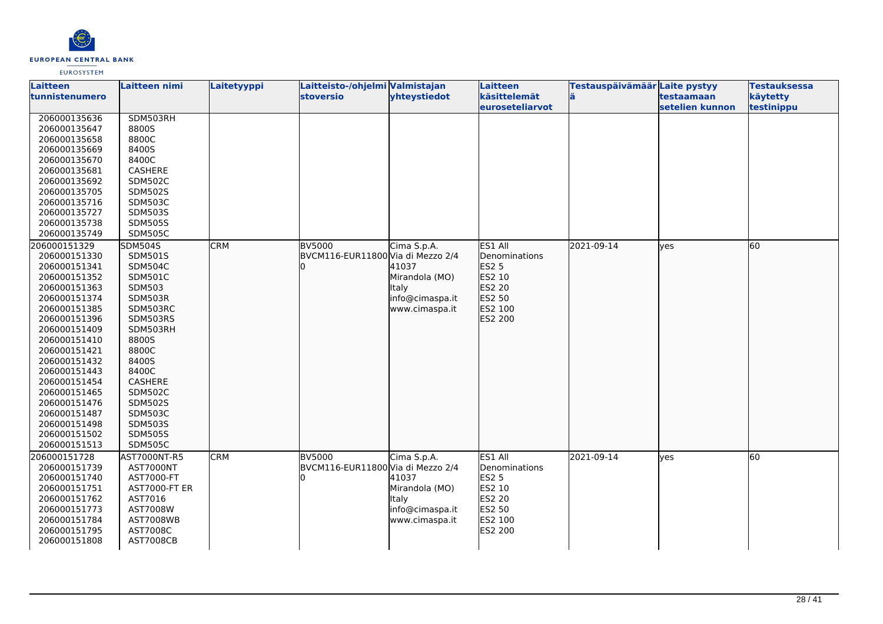

| Laitteen       | Laitteen nimi    | Laitetyyppi | Laitteisto-/ohjelmi Valmistajan   |                 | Laitteen        | Testauspäivämäär Laite pystyy |                   | <b>Testauksessa</b> |
|----------------|------------------|-------------|-----------------------------------|-----------------|-----------------|-------------------------------|-------------------|---------------------|
| tunnistenumero |                  |             | <b>stoversio</b>                  | yhteystiedot    | käsittelemät    |                               | <b>testaamaan</b> | käytetty            |
|                |                  |             |                                   |                 | euroseteliarvot |                               | setelien kunnon   | testinippu          |
| 206000135636   | SDM503RH         |             |                                   |                 |                 |                               |                   |                     |
| 206000135647   | 8800S            |             |                                   |                 |                 |                               |                   |                     |
| 206000135658   | 8800C            |             |                                   |                 |                 |                               |                   |                     |
| 206000135669   | 8400S            |             |                                   |                 |                 |                               |                   |                     |
| 206000135670   | 8400C            |             |                                   |                 |                 |                               |                   |                     |
| 206000135681   | <b>CASHERE</b>   |             |                                   |                 |                 |                               |                   |                     |
| 206000135692   | <b>SDM502C</b>   |             |                                   |                 |                 |                               |                   |                     |
| 206000135705   | <b>SDM502S</b>   |             |                                   |                 |                 |                               |                   |                     |
| 206000135716   | <b>SDM503C</b>   |             |                                   |                 |                 |                               |                   |                     |
| 206000135727   | <b>SDM503S</b>   |             |                                   |                 |                 |                               |                   |                     |
| 206000135738   | <b>SDM505S</b>   |             |                                   |                 |                 |                               |                   |                     |
| 206000135749   | <b>SDM505C</b>   |             |                                   |                 |                 |                               |                   |                     |
| 206000151329   | <b>SDM504S</b>   | <b>CRM</b>  | <b>BV5000</b>                     | Cima S.p.A.     | ES1 All         | 2021-09-14                    | lves              | 60                  |
| 206000151330   | <b>SDM501S</b>   |             | BVCM116-EUR11800 Via di Mezzo 2/4 |                 | Denominations   |                               |                   |                     |
| 206000151341   | SDM504C          |             |                                   | 41037           | ES2 5           |                               |                   |                     |
| 206000151352   | <b>SDM501C</b>   |             |                                   | Mirandola (MO)  | ES2 10          |                               |                   |                     |
| 206000151363   | SDM503           |             |                                   | Italy           | ES2 20          |                               |                   |                     |
| 206000151374   | SDM503R          |             |                                   | info@cimaspa.it | ES2 50          |                               |                   |                     |
| 206000151385   | SDM503RC         |             |                                   | www.cimaspa.it  | ES2 100         |                               |                   |                     |
| 206000151396   | SDM503RS         |             |                                   |                 | ES2 200         |                               |                   |                     |
| 206000151409   | SDM503RH         |             |                                   |                 |                 |                               |                   |                     |
| 206000151410   | 8800S            |             |                                   |                 |                 |                               |                   |                     |
| 206000151421   | 8800C            |             |                                   |                 |                 |                               |                   |                     |
| 206000151432   | 8400S            |             |                                   |                 |                 |                               |                   |                     |
| 206000151443   | 8400C            |             |                                   |                 |                 |                               |                   |                     |
| 206000151454   | CASHERE          |             |                                   |                 |                 |                               |                   |                     |
| 206000151465   | <b>SDM502C</b>   |             |                                   |                 |                 |                               |                   |                     |
| 206000151476   | <b>SDM502S</b>   |             |                                   |                 |                 |                               |                   |                     |
| 206000151487   | <b>SDM503C</b>   |             |                                   |                 |                 |                               |                   |                     |
| 206000151498   | <b>SDM503S</b>   |             |                                   |                 |                 |                               |                   |                     |
| 206000151502   | <b>SDM505S</b>   |             |                                   |                 |                 |                               |                   |                     |
| 206000151513   | <b>SDM505C</b>   |             |                                   |                 |                 |                               |                   |                     |
| 206000151728   | AST7000NT-R5     | <b>CRM</b>  | <b>BV5000</b>                     | Cima S.p.A.     | ES1 All         | 2021-09-14                    | lyes              | $\overline{60}$     |
| 206000151739   | AST7000NT        |             | BVCM116-EUR11800 Via di Mezzo 2/4 |                 | Denominations   |                               |                   |                     |
| 206000151740   | AST7000-FT       |             |                                   | 41037           | <b>ES2 5</b>    |                               |                   |                     |
| 206000151751   | AST7000-FT ER    |             |                                   | Mirandola (MO)  | ES2 10          |                               |                   |                     |
| 206000151762   | AST7016          |             |                                   | <b>Italy</b>    | ES2 20          |                               |                   |                     |
| 206000151773   | AST7008W         |             |                                   | info@cimaspa.it | ES2 50          |                               |                   |                     |
| 206000151784   | <b>AST7008WB</b> |             |                                   | www.cimaspa.it  | ES2 100         |                               |                   |                     |
| 206000151795   | AST7008C         |             |                                   |                 | ES2 200         |                               |                   |                     |
| 206000151808   | <b>AST7008CB</b> |             |                                   |                 |                 |                               |                   |                     |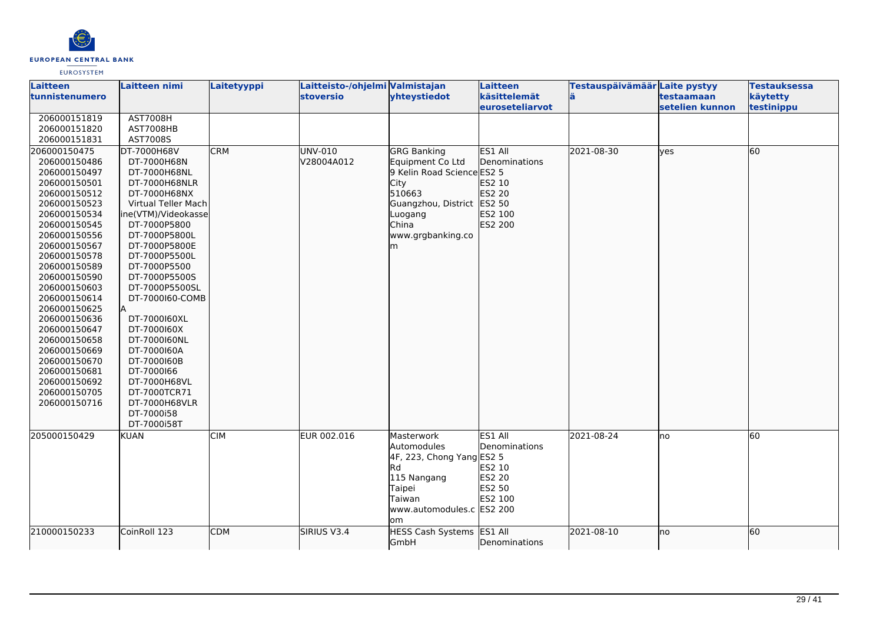

| <b>Laitteen</b> | Laitteen nimi       | Laitetyyppi | Laitteisto-/ohjelmi Valmistajan |                              | Laitteen        | Testauspäivämäär Laite pystyy |                 | <b>Testauksessa</b> |
|-----------------|---------------------|-------------|---------------------------------|------------------------------|-----------------|-------------------------------|-----------------|---------------------|
| tunnistenumero  |                     |             | <b>stoversio</b>                | yhteystiedot                 | käsittelemät    |                               | testaamaan      | käytetty            |
|                 |                     |             |                                 |                              | euroseteliarvot |                               | setelien kunnon | testinippu          |
| 206000151819    | <b>AST7008H</b>     |             |                                 |                              |                 |                               |                 |                     |
| 206000151820    | AST7008HB           |             |                                 |                              |                 |                               |                 |                     |
| 206000151831    | AST7008S            |             |                                 |                              |                 |                               |                 |                     |
| 206000150475    | DT-7000H68V         | <b>CRM</b>  | UNV-010                         | <b>GRG Banking</b>           | ES1 All         | 2021-08-30                    | lyes            | 60                  |
| 206000150486    | DT-7000H68N         |             | V28004A012                      | Equipment Co Ltd             | Denominations   |                               |                 |                     |
| 206000150497    | DT-7000H68NL        |             |                                 | 9 Kelin Road Science ES2 5   |                 |                               |                 |                     |
| 206000150501    | DT-7000H68NLR       |             |                                 | City                         | ES2 10          |                               |                 |                     |
| 206000150512    | DT-7000H68NX        |             |                                 | 510663                       | ES2 20          |                               |                 |                     |
| 206000150523    | Virtual Teller Mach |             |                                 | Guangzhou, District ES2 50   |                 |                               |                 |                     |
| 206000150534    | ne(VTM)/Videokasse  |             |                                 | Luogang                      | ES2 100         |                               |                 |                     |
| 206000150545    | DT-7000P5800        |             |                                 | China                        | ES2 200         |                               |                 |                     |
| 206000150556    | DT-7000P5800L       |             |                                 | www.grgbanking.co            |                 |                               |                 |                     |
| 206000150567    | DT-7000P5800E       |             |                                 | lm.                          |                 |                               |                 |                     |
| 206000150578    | DT-7000P5500L       |             |                                 |                              |                 |                               |                 |                     |
| 206000150589    | DT-7000P5500        |             |                                 |                              |                 |                               |                 |                     |
| 206000150590    | DT-7000P5500S       |             |                                 |                              |                 |                               |                 |                     |
| 206000150603    | DT-7000P5500SL      |             |                                 |                              |                 |                               |                 |                     |
| 206000150614    | DT-7000160-COMB     |             |                                 |                              |                 |                               |                 |                     |
| 206000150625    |                     |             |                                 |                              |                 |                               |                 |                     |
| 206000150636    | DT-7000160XL        |             |                                 |                              |                 |                               |                 |                     |
| 206000150647    | DT-7000160X         |             |                                 |                              |                 |                               |                 |                     |
| 206000150658    | DT-7000160NL        |             |                                 |                              |                 |                               |                 |                     |
| 206000150669    | DT-7000160A         |             |                                 |                              |                 |                               |                 |                     |
| 206000150670    | DT-7000160B         |             |                                 |                              |                 |                               |                 |                     |
| 206000150681    | DT-7000166          |             |                                 |                              |                 |                               |                 |                     |
| 206000150692    | DT-7000H68VL        |             |                                 |                              |                 |                               |                 |                     |
| 206000150705    | DT-7000TCR71        |             |                                 |                              |                 |                               |                 |                     |
| 206000150716    | DT-7000H68VLR       |             |                                 |                              |                 |                               |                 |                     |
|                 | DT-7000i58          |             |                                 |                              |                 |                               |                 |                     |
|                 | DT-7000i58T         |             |                                 |                              |                 |                               |                 |                     |
| 205000150429    | <b>KUAN</b>         | <b>CIM</b>  | EUR 002.016                     | Masterwork                   | ES1 All         | 2021-08-24                    | Ino             | 60                  |
|                 |                     |             |                                 | Automodules                  | Denominations   |                               |                 |                     |
|                 |                     |             |                                 | $4F$ , 223, Chong Yang ES2 5 |                 |                               |                 |                     |
|                 |                     |             |                                 | <b>I</b> Rd                  | ES2 10          |                               |                 |                     |
|                 |                     |             |                                 | 115 Nangang                  | <b>ES2 20</b>   |                               |                 |                     |
|                 |                     |             |                                 | Taipei                       | ES2 50          |                               |                 |                     |
|                 |                     |             |                                 | <b>Taiwan</b>                | ES2 100         |                               |                 |                     |
|                 |                     |             |                                 | www.automodules.c ES2 200    |                 |                               |                 |                     |
|                 |                     |             |                                 | lom                          |                 |                               |                 |                     |
| 210000150233    | CoinRoll 123        | <b>CDM</b>  | SIRIUS V3.4                     | HESS Cash Systems ES1 All    |                 | 2021-08-10                    | lno             | 60                  |
|                 |                     |             |                                 | GmbH                         | Denominations   |                               |                 |                     |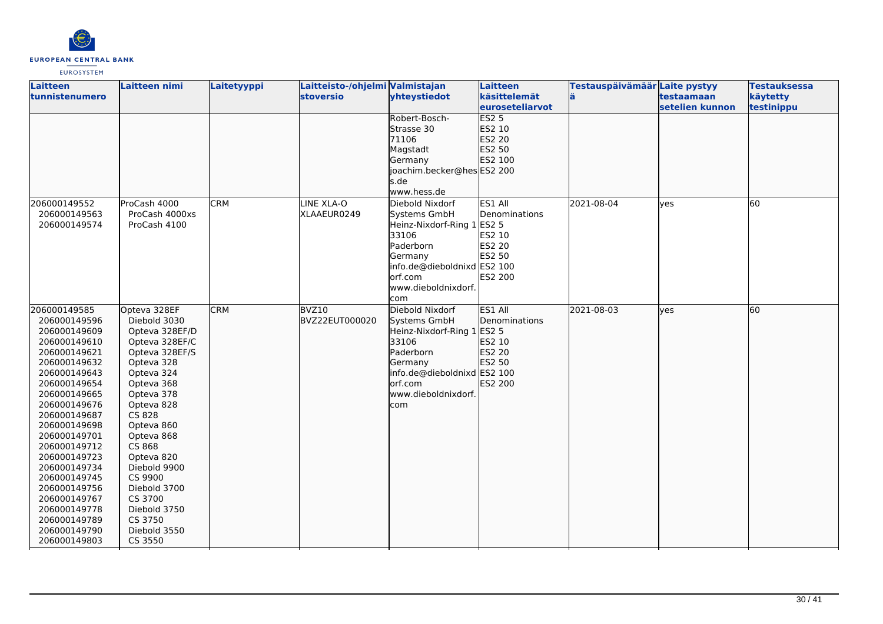

| <b>Laitteen</b> | Laitteen nimi  | Laitetyyppi | Laitteisto-/ohjelmi Valmistajan |                             | <b>Laitteen</b>        | Testauspäivämäär Laite pystyy |                 | <b>Testauksessa</b> |
|-----------------|----------------|-------------|---------------------------------|-----------------------------|------------------------|-------------------------------|-----------------|---------------------|
| tunnistenumero  |                |             | <b>stoversio</b>                | yhteystiedot                | käsittelemät           | ä                             | testaamaan      | käytetty            |
|                 |                |             |                                 |                             | <b>euroseteliarvot</b> |                               | setelien kunnon | testinippu          |
|                 |                |             |                                 | Robert-Bosch-               | ES2 <sub>5</sub>       |                               |                 |                     |
|                 |                |             |                                 | Strasse 30                  | ES2 10                 |                               |                 |                     |
|                 |                |             |                                 | 71106                       | ES2 20                 |                               |                 |                     |
|                 |                |             |                                 | Magstadt                    | ES2 50                 |                               |                 |                     |
|                 |                |             |                                 | Germany                     | ES2 100                |                               |                 |                     |
|                 |                |             |                                 | joachim.becker@hes ES2 200  |                        |                               |                 |                     |
|                 |                |             |                                 | s.de                        |                        |                               |                 |                     |
|                 |                |             |                                 | www.hess.de                 |                        |                               |                 |                     |
| 206000149552    | ProCash 4000   | <b>CRM</b>  | LINE XLA-O                      | Diebold Nixdorf             | ES1 All                | 2021-08-04                    | yes             | 60                  |
| 206000149563    | ProCash 4000xs |             | XLAAEUR0249                     | Systems GmbH                | Denominations          |                               |                 |                     |
| 206000149574    | ProCash 4100   |             |                                 | Heinz-Nixdorf-Ring 1 ES2 5  |                        |                               |                 |                     |
|                 |                |             |                                 | 33106                       | ES2 10                 |                               |                 |                     |
|                 |                |             |                                 | Paderborn                   | ES2 20                 |                               |                 |                     |
|                 |                |             |                                 | Germany                     | ES2 50                 |                               |                 |                     |
|                 |                |             |                                 | info.de@dieboldnixd ES2 100 |                        |                               |                 |                     |
|                 |                |             |                                 | orf.com                     | ES2 200                |                               |                 |                     |
|                 |                |             |                                 | www.dieboldnixdorf.         |                        |                               |                 |                     |
|                 |                |             |                                 | com                         |                        |                               |                 |                     |
| 206000149585    | Opteva 328EF   | <b>CRM</b>  | BVZ10                           | Diebold Nixdorf             | ES1 All                | 2021-08-03                    | lves            | 60                  |
| 206000149596    | Diebold 3030   |             | BVZ22EUT000020                  | Systems GmbH                | Denominations          |                               |                 |                     |
| 206000149609    | Opteva 328EF/D |             |                                 | Heinz-Nixdorf-Ring 1 ES2 5  |                        |                               |                 |                     |
| 206000149610    | Opteva 328EF/C |             |                                 | 33106                       | ES2 10                 |                               |                 |                     |
| 206000149621    | Opteva 328EF/S |             |                                 | Paderborn                   | ES2 20                 |                               |                 |                     |
| 206000149632    | Opteva 328     |             |                                 | Germany                     | ES2 50                 |                               |                 |                     |
| 206000149643    | Opteva 324     |             |                                 | info.de@dieboldnixd ES2 100 |                        |                               |                 |                     |
| 206000149654    | Opteva 368     |             |                                 | orf.com                     | ES2 200                |                               |                 |                     |
| 206000149665    | Opteva 378     |             |                                 | www.dieboldnixdorf.         |                        |                               |                 |                     |
| 206000149676    | Opteva 828     |             |                                 | com                         |                        |                               |                 |                     |
| 206000149687    | <b>CS 828</b>  |             |                                 |                             |                        |                               |                 |                     |
| 206000149698    | Opteva 860     |             |                                 |                             |                        |                               |                 |                     |
| 206000149701    | Opteva 868     |             |                                 |                             |                        |                               |                 |                     |
| 206000149712    | CS 868         |             |                                 |                             |                        |                               |                 |                     |
| 206000149723    | Opteva 820     |             |                                 |                             |                        |                               |                 |                     |
| 206000149734    | Diebold 9900   |             |                                 |                             |                        |                               |                 |                     |
| 206000149745    | CS 9900        |             |                                 |                             |                        |                               |                 |                     |
| 206000149756    | Diebold 3700   |             |                                 |                             |                        |                               |                 |                     |
| 206000149767    | CS 3700        |             |                                 |                             |                        |                               |                 |                     |
| 206000149778    | Diebold 3750   |             |                                 |                             |                        |                               |                 |                     |
| 206000149789    | CS 3750        |             |                                 |                             |                        |                               |                 |                     |
| 206000149790    | Diebold 3550   |             |                                 |                             |                        |                               |                 |                     |
| 206000149803    | CS 3550        |             |                                 |                             |                        |                               |                 |                     |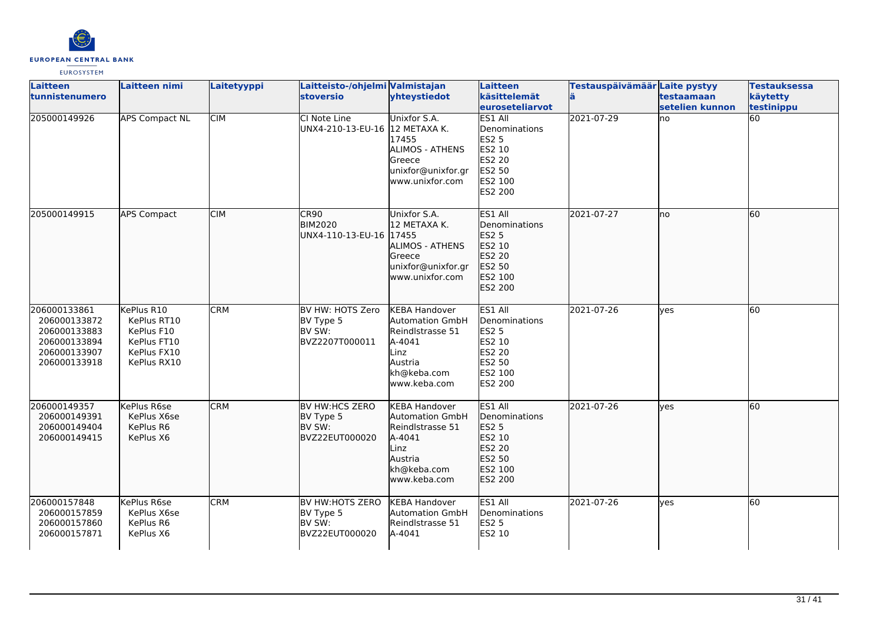

| <b>Laitteen</b>                                                                              | <b>Laitteen nimi</b>                                                                 | Laitetyyppi | Laitteisto-/ohjelmi Valmistajan                           |                                                                                                                                | <b>Laitteen</b>                                                                                            | Testauspäivämäär Laite pystyy |                               | <b>Testauksessa</b>    |
|----------------------------------------------------------------------------------------------|--------------------------------------------------------------------------------------|-------------|-----------------------------------------------------------|--------------------------------------------------------------------------------------------------------------------------------|------------------------------------------------------------------------------------------------------------|-------------------------------|-------------------------------|------------------------|
| <b>tunnistenumero</b>                                                                        |                                                                                      |             | <b>stoversio</b>                                          | yhteystiedot                                                                                                                   | käsittelemät<br>euroseteliarvot                                                                            |                               | testaamaan<br>setelien kunnon | käytetty<br>testinippu |
| 205000149926                                                                                 | <b>APS Compact NL</b>                                                                | <b>CIM</b>  | CI Note Line<br>UNX4-210-13-EU-16                         | Unixfor S.A.<br>12 METAXA K.<br>17455<br><b>ALIMOS - ATHENS</b><br>lGreece<br>unixfor@unixfor.gr<br>www.unixfor.com            | <b>ES1 All</b><br>Denominations<br>ES2 5<br>ES2 10<br><b>ES2 20</b><br><b>ES2 50</b><br>ES2 100<br>ES2 200 | 2021-07-29                    | lno                           | 60                     |
| 205000149915                                                                                 | <b>APS Compact</b>                                                                   | <b>CIM</b>  | ICR90<br><b>BIM2020</b><br>lUNX4-110-13-EU-16 l17455      | Unixfor S.A.<br>12 METAXA K.<br>ALIMOS - ATHENS<br>Greece<br>unixfor@unixfor.gr<br>www.unixfor.com                             | ES1 All<br>Denominations<br>ES2 5<br>ES2 10<br>ES2 20<br>ES2 50<br>ES2 100<br>ES2 200                      | 2021-07-27                    | lno                           | 60                     |
| 206000133861<br>206000133872<br>206000133883<br>206000133894<br>206000133907<br>206000133918 | KePlus R10<br>KePlus RT10<br>KePlus F10<br>KePlus FT10<br>KePlus FX10<br>KePlus RX10 | <b>CRM</b>  | BV HW: HOTS Zero<br>BV Type 5<br>BV SW:<br>BVZ2207T000011 | <b>KEBA Handover</b><br><b>Automation GmbH</b><br>Reindlstrasse 51<br>A-4041<br>.inz<br>Austria<br>kh@keba.com<br>www.keba.com | ES1 All<br>Denominations<br><b>ES2 5</b><br>ES2 10<br>ES2 20<br>ES2 50<br>ES2 100<br>ES2 200               | 2021-07-26                    | <b>ves</b>                    | 60                     |
| 206000149357<br>206000149391<br>206000149404<br>206000149415                                 | KePlus R6se<br>KePlus X6se<br>KePlus R6<br>KePlus X6                                 | <b>CRM</b>  | BV HW:HCS ZERO<br>BV Type 5<br>BV SW:<br>BVZ22EUT000020   | <b>KEBA Handover</b><br><b>Automation GmbH</b><br>Reindlstrasse 51<br>A-4041<br>.inz<br>Austria<br>kh@keba.com<br>www.keba.com | ES1 All<br>Denominations<br>ES2 5<br>ES2 10<br>ES2 20<br>ES2 50<br>ES2 100<br>ES2 200                      | 2021-07-26                    | lyes                          | 60                     |
| 206000157848<br>206000157859<br>206000157860<br>206000157871                                 | KePlus R6se<br>KePlus X6se<br>KePlus R6<br>KePlus X6                                 | <b>CRM</b>  | BV HW:HOTS ZERO<br>BV Type 5<br>BV SW:<br>BVZ22EUT000020  | <b>KEBA Handover</b><br><b>Automation GmbH</b><br>Reindlstrasse 51<br>A-4041                                                   | ES1 All<br>Denominations<br><b>ES2 5</b><br>ES2 10                                                         | 2021-07-26                    | <b>ves</b>                    | 60                     |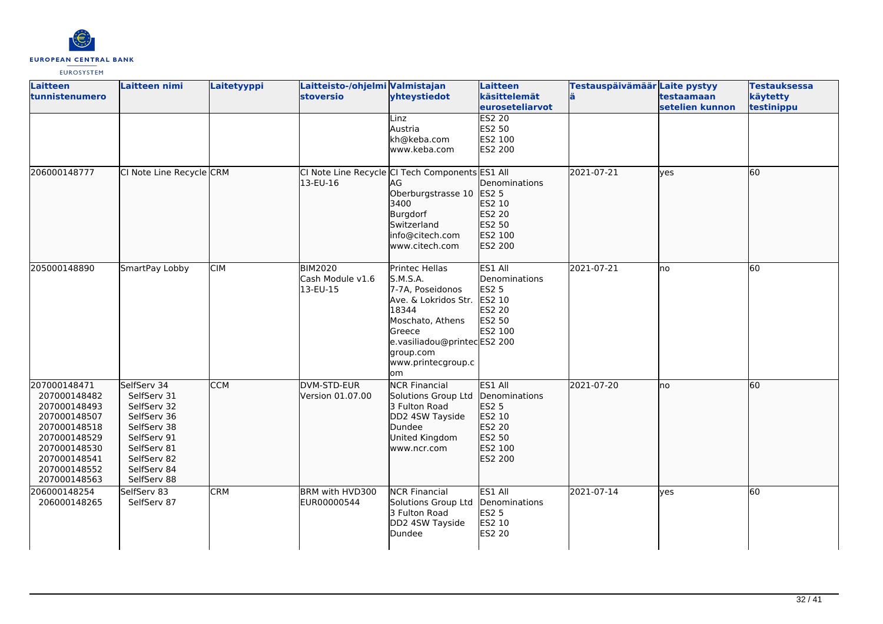

| <b>Laitteen</b><br>tunnistenumero                                                                                                                            | Laitteen nimi                                                                                                                                      | Laitetyyppi | Laitteisto-/ohjelmi Valmistajan<br>stoversio   | yhteystiedot                                                                                                                                                                                 | <b>Laitteen</b><br>käsittelemät<br>euroseteliarvot                                    | Testauspäivämäär Laite pystyy | testaamaan<br>setelien kunnon | <b>Testauksessa</b><br>käytetty<br>testinippu |
|--------------------------------------------------------------------------------------------------------------------------------------------------------------|----------------------------------------------------------------------------------------------------------------------------------------------------|-------------|------------------------------------------------|----------------------------------------------------------------------------------------------------------------------------------------------------------------------------------------------|---------------------------------------------------------------------------------------|-------------------------------|-------------------------------|-----------------------------------------------|
|                                                                                                                                                              |                                                                                                                                                    |             |                                                | Linz<br>Austria<br>kh@keba.com<br>www.keba.com                                                                                                                                               | <b>ES2 20</b><br>ES2 50<br>ES2 100<br>ES2 200                                         |                               |                               |                                               |
| 206000148777                                                                                                                                                 | CI Note Line Recycle CRM                                                                                                                           |             | 13-EU-16                                       | CI Note Line Recycle CI Tech Components ES1 All<br>AG<br>Oberburgstrasse 10 ES2 5<br>3400<br>Burgdorf<br>Switzerland<br>info@citech.com<br>www.citech.com                                    | Denominations<br>ES2 10<br>ES2 20<br>ES2 50<br>ES2 100<br>ES2 200                     | 2021-07-21                    | lyes                          | 60                                            |
| 205000148890                                                                                                                                                 | SmartPay Lobby                                                                                                                                     | <b>CIM</b>  | <b>BIM2020</b><br>Cash Module v1.6<br>13-EU-15 | Printec Hellas<br>S.M.S.A.<br>7-7A, Poseidonos<br>Ave. & Lokridos Str. ES2 10<br>18344<br>Moschato, Athens<br>Greece<br>e.vasiliadou@printecES2 200<br>group.com<br>www.printecgroup.c<br>om | ES1 All<br>Denominations<br>ES2 5<br>ES2 20<br>ES2 50<br>ES2 100                      | 2021-07-21                    | no                            | 60                                            |
| 207000148471<br>207000148482<br>207000148493<br>207000148507<br>207000148518<br>207000148529<br>207000148530<br>207000148541<br>207000148552<br>207000148563 | SelfServ 34<br>SelfServ 31<br>SelfServ 32<br>SelfServ 36<br>SelfServ 38<br>SelfServ 91<br>SelfServ 81<br>SelfServ 82<br>SelfServ 84<br>SelfServ 88 | <b>CCM</b>  | DVM-STD-EUR<br>Version 01.07.00                | <b>NCR Financial</b><br>Solutions Group Ltd<br>3 Fulton Road<br>DD2 4SW Tayside<br>Dundee<br>United Kingdom<br>www.ncr.com                                                                   | ES1 All<br>Denominations<br>ES2 5<br>ES2 10<br>ES2 20<br>ES2 50<br>ES2 100<br>ES2 200 | 2021-07-20                    | Ino                           | 60                                            |
| 206000148254<br>206000148265                                                                                                                                 | SelfServ 83<br>SelfServ 87                                                                                                                         | <b>CRM</b>  | BRM with HVD300<br>EUR00000544                 | <b>NCR Financial</b><br>Solutions Group Ltd<br>3 Fulton Road<br>DD2 4SW Tayside<br>Dundee                                                                                                    | ES1 All<br>Denominations<br><b>ES2 5</b><br>ES2 10<br>ES2 20                          | 2021-07-14                    | lves                          | 60                                            |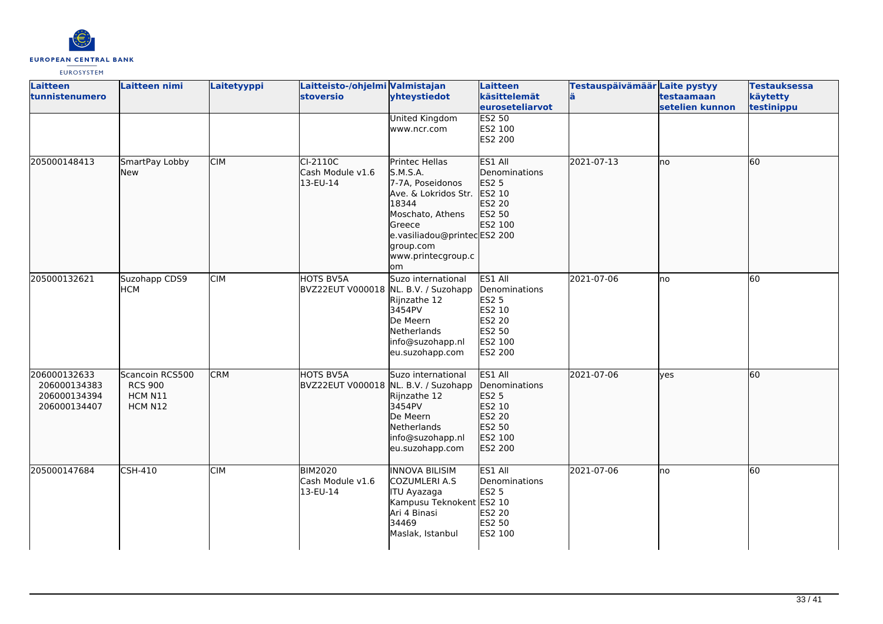

| <b>Laitteen</b><br>tunnistenumero                            | Laitteen nimi                                           | Laitetyyppi | Laitteisto-/ohjelmi Valmistajan<br><b>stoversio</b>      | yhteystiedot                                                                                                                                                                          | Laitteen<br>käsittelemät<br><b>leuroseteliarvot</b>                                                 | Testauspäivämäär Laite pystyy | testaamaan<br>setelien kunnon | <b>Testauksessa</b><br>käytetty<br>testinippu |
|--------------------------------------------------------------|---------------------------------------------------------|-------------|----------------------------------------------------------|---------------------------------------------------------------------------------------------------------------------------------------------------------------------------------------|-----------------------------------------------------------------------------------------------------|-------------------------------|-------------------------------|-----------------------------------------------|
|                                                              |                                                         |             |                                                          | <b>United Kingdom</b><br>www.ncr.com                                                                                                                                                  | <b>ES2 50</b><br>ES2 100<br><b>ES2 200</b>                                                          |                               |                               |                                               |
| 205000148413                                                 | SmartPay Lobby<br>New                                   | <b>CIM</b>  | CI-2110C<br>Cash Module v1.6<br>13-EU-14                 | Printec Hellas<br>S.M.S.A.<br>7-7A, Poseidonos<br>Ave. & Lokridos Str.<br>18344<br>Moschato, Athens<br>Greece<br>e.vasiliadou@printecES2 200<br>group.com<br>www.printecgroup.c<br>om | ES1 All<br>Denominations<br><b>ES2 5</b><br>ES2 10<br>ES2 20<br>ES2 50<br>ES2 100                   | 2021-07-13                    | lno                           | 60                                            |
| 205000132621                                                 | Suzohapp CDS9<br><b>HCM</b>                             | <b>CIM</b>  | HOTS BV5A<br>BVZ22EUT V000018 NL. B.V. / Suzohapp        | Suzo international<br>Rijnzathe 12<br>3454PV<br>De Meern<br>Netherlands<br>info@suzohapp.nl<br>eu.suzohapp.com                                                                        | ES1 All<br>Denominations<br><b>ES2 5</b><br>ES2 10<br><b>ES2 20</b><br>ES2 50<br>ES2 100<br>ES2 200 | 2021-07-06                    | Ino                           | 60                                            |
| 206000132633<br>206000134383<br>206000134394<br>206000134407 | Scancoin RCS500<br><b>RCS 900</b><br>HCM N11<br>HCM N12 | <b>CRM</b>  | <b>HOTS BV5A</b><br>BVZ22EUT V000018 NL. B.V. / Suzohapp | Suzo international<br>Rijnzathe 12<br>3454PV<br>De Meern<br>Netherlands<br>info@suzohapp.nl<br>eu.suzohapp.com                                                                        | ES1 All<br>Denominations<br><b>ES2 5</b><br>ES2 10<br>ES2 20<br>ES2 50<br>ES2 100<br>ES2 200        | 2021-07-06                    | lyes                          | 60                                            |
| 205000147684                                                 | CSH-410                                                 | <b>CIM</b>  | <b>BIM2020</b><br>Cash Module v1.6<br>13-EU-14           | <b>INNOVA BILISIM</b><br>COZUMLERI A.S<br>ITU Ayazaga<br>Kampusu Teknokent ES2 10<br>Ari 4 Binasi<br>34469<br>Maslak, Istanbul                                                        | ES1 All<br>Denominations<br><b>ES2 5</b><br><b>ES2 20</b><br><b>ES2 50</b><br>ES2 100               | 2021-07-06                    | lno                           | 60                                            |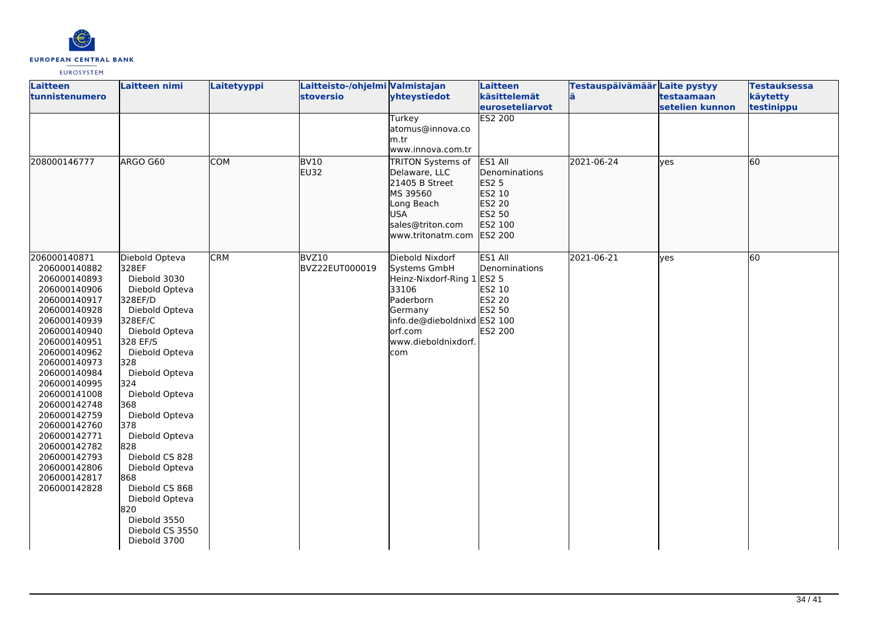

| <b>Laitteen</b><br><b>tunnistenumero</b>                                                                                                                                                                                                                                                                                                                                     | Laitteen nimi                                                                                                                                                                                                                                                                                                                                                                                         | Laitetyyppi | Laitteisto-/ohjelmi Valmistajan<br>stoversio | yhteystiedot<br>Turkey<br>atomus@innova.co                                                                                                                       | <b>Laitteen</b><br>käsittelemät<br>euroseteliarvot<br>ES2 200                                     | Testauspäivämäär Laite pystyy | testaamaan<br>setelien kunnon | <b>Testauksessa</b><br>käytetty<br>testinippu |
|------------------------------------------------------------------------------------------------------------------------------------------------------------------------------------------------------------------------------------------------------------------------------------------------------------------------------------------------------------------------------|-------------------------------------------------------------------------------------------------------------------------------------------------------------------------------------------------------------------------------------------------------------------------------------------------------------------------------------------------------------------------------------------------------|-------------|----------------------------------------------|------------------------------------------------------------------------------------------------------------------------------------------------------------------|---------------------------------------------------------------------------------------------------|-------------------------------|-------------------------------|-----------------------------------------------|
|                                                                                                                                                                                                                                                                                                                                                                              |                                                                                                                                                                                                                                                                                                                                                                                                       |             |                                              | m.tr<br>www.innova.com.tr                                                                                                                                        |                                                                                                   |                               |                               |                                               |
| 208000146777                                                                                                                                                                                                                                                                                                                                                                 | ARGO G60                                                                                                                                                                                                                                                                                                                                                                                              | <b>COM</b>  | <b>BV10</b><br><b>EU32</b>                   | TRITON Systems of<br>Delaware, LLC<br>21405 B Street<br>MS 39560<br>Long Beach<br><b>USA</b><br>sales@triton.com<br>www.tritonatm.com                            | ES1 All<br>Denominations<br>ES <sub>2</sub> 5<br>ES2 10<br>ES2 20<br>ES2 50<br>ES2 100<br>ES2 200 | 2021-06-24                    | yes                           | 60                                            |
| 206000140871<br>206000140882<br>206000140893<br>206000140906<br>206000140917<br>206000140928<br>206000140939<br>206000140940<br>206000140951<br>206000140962<br>206000140973<br>206000140984<br>206000140995<br>206000141008<br>206000142748<br>206000142759<br>206000142760<br>206000142771<br>206000142782<br>206000142793<br>206000142806<br>206000142817<br>206000142828 | Diebold Opteva<br>328EF<br>Diebold 3030<br>Diebold Opteva<br>328EF/D<br>Diebold Opteva<br>328EF/C<br>Diebold Opteva<br>328 EF/S<br>Diebold Opteva<br>328<br>Diebold Opteva<br>324<br>Diebold Opteva<br>368<br>Diebold Opteva<br>378<br>Diebold Opteva<br>828<br>Diebold CS 828<br>Diebold Opteva<br>868<br>Diebold CS 868<br>Diebold Opteva<br>820<br>Diebold 3550<br>Diebold CS 3550<br>Diebold 3700 | <b>CRM</b>  | BVZ10<br>BVZ22EUT000019                      | Diebold Nixdorf<br>Systems GmbH<br>Heinz-Nixdorf-Ring 1<br>33106<br>Paderborn<br>Germany<br>info.de@dieboldnixd ES2 100<br>orf.com<br>www.dieboldnixdorf.<br>com | ES1 All<br>Denominations<br><b>ES2 5</b><br>ES2 10<br>ES2 20<br>ES2 50<br><b>ES2 200</b>          | 2021-06-21                    | yes                           | 60                                            |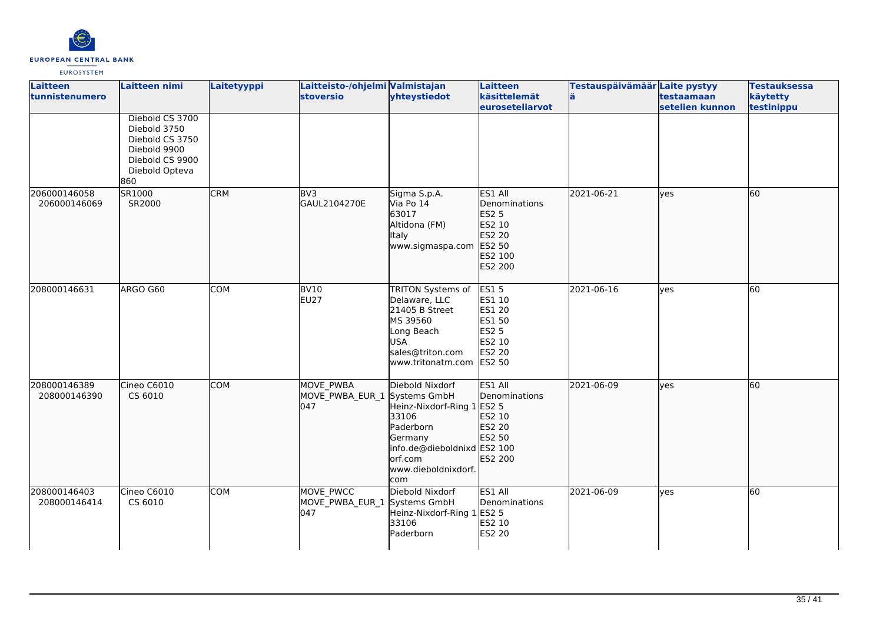

| Laitteen<br>tunnistenumero   | <b>Laitteen nimi</b>                                                                                           | Laitetyyppi | Laitteisto-/ohjelmi Valmistajan<br><b>stoversio</b>     | yhteystiedot                                                                                                                                           | <b>Laitteen</b><br>käsittelemät<br><b>leuroseteliarvot</b>                                            | Testauspäivämäär Laite pystyy<br>ä | testaamaan<br>setelien kunnon | <b>Testauksessa</b><br>käytetty<br>testinippu |
|------------------------------|----------------------------------------------------------------------------------------------------------------|-------------|---------------------------------------------------------|--------------------------------------------------------------------------------------------------------------------------------------------------------|-------------------------------------------------------------------------------------------------------|------------------------------------|-------------------------------|-----------------------------------------------|
|                              | Diebold CS 3700<br>Diebold 3750<br>Diebold CS 3750<br>Diebold 9900<br>Diebold CS 9900<br>Diebold Opteva<br>860 |             |                                                         |                                                                                                                                                        |                                                                                                       |                                    |                               |                                               |
| 206000146058<br>206000146069 | SR1000<br>SR2000                                                                                               | <b>CRM</b>  | BV3<br>GAUL2104270E                                     | Sigma S.p.A.<br>Via Po 14<br>63017<br>Altidona (FM)<br>Italy<br>www.sigmaspa.com                                                                       | ES1 All<br>Denominations<br>ES2 5<br>ES2 10<br>ES2 20<br>ES2 50<br>ES2 100<br>ES2 200                 | 2021-06-21                         | lyes                          | 60                                            |
| 208000146631                 | ARGO G60                                                                                                       | <b>COM</b>  | <b>BV10</b><br><b>EU27</b>                              | TRITON Systems of<br>Delaware, LLC<br>21405 B Street<br>MS 39560<br>Long Beach<br><b>USA</b><br>sales@triton.com<br>www.tritonatm.com                  | <b>ES15</b><br>ES1 10<br><b>ES1 20</b><br><b>ES1 50</b><br>ES2 5<br>ES2 10<br><b>ES2 20</b><br>ES2 50 | 2021-06-16                         | yes                           | 60                                            |
| 208000146389<br>208000146390 | Cineo C6010<br>CS 6010                                                                                         | <b>COM</b>  | <b>MOVE PWBA</b><br>MOVE_PWBA_EUR_1 Systems GmbH<br>047 | Diebold Nixdorf<br>Heinz-Nixdorf-Ring 1 ES2 5<br>33106<br>Paderborn<br>Germany<br>info.de@dieboldnixd ES2 100<br>orf.com<br>www.dieboldnixdorf.<br>com | ES1 All<br>Denominations<br>ES2 10<br>ES2 20<br>ES2 50<br>ES2 200                                     | 2021-06-09                         | lyes                          | 60                                            |
| 208000146403<br>208000146414 | Cineo C6010<br>CS 6010                                                                                         | <b>COM</b>  | MOVE PWCC<br>MOVE_PWBA_EUR_1 Systems GmbH<br>047        | Diebold Nixdorf<br>Heinz-Nixdorf-Ring 1<br>33106<br>Paderborn                                                                                          | ES1 All<br>Denominations<br><b>ES2 5</b><br>ES2 10<br>ES2 20                                          | 2021-06-09                         | yes                           | 60                                            |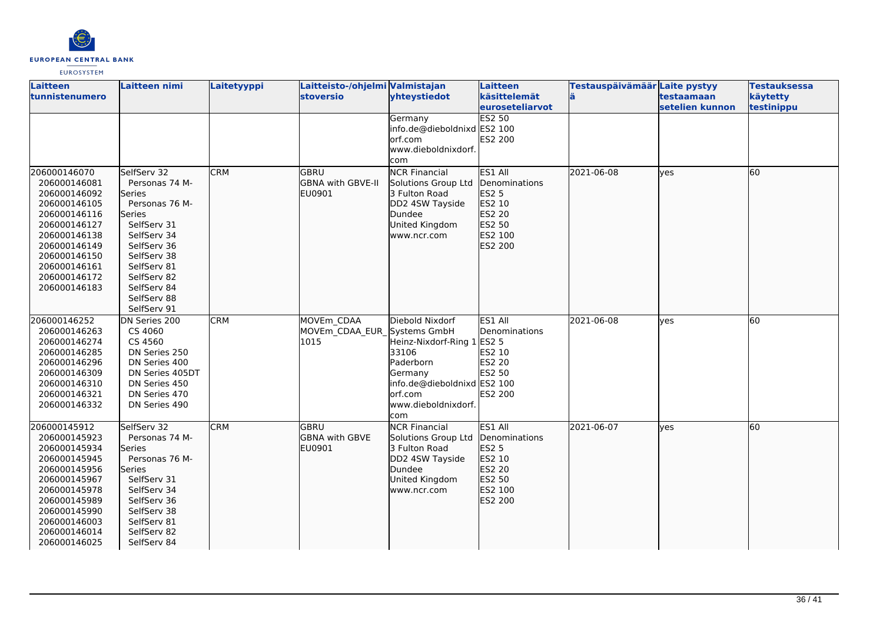

| <b>Laitteen</b><br>tunnistenumero | Laitteen nimi   | Laitetyyppi | Laitteisto-/ohjelmi Valmistajan<br><b>stoversio</b> | yhteystiedot                | Laitteen<br>käsittelemät | Testauspäivämäär Laite pystyy | testaamaan      | <b>Testauksessa</b><br>käytetty |
|-----------------------------------|-----------------|-------------|-----------------------------------------------------|-----------------------------|--------------------------|-------------------------------|-----------------|---------------------------------|
|                                   |                 |             |                                                     |                             | <b>leuroseteliarvot</b>  |                               | setelien kunnon | testinippu                      |
|                                   |                 |             |                                                     | Germany                     | <b>ES2 50</b>            |                               |                 |                                 |
|                                   |                 |             |                                                     | info.de@dieboldnixd ES2 100 |                          |                               |                 |                                 |
|                                   |                 |             |                                                     | orf.com                     | ES2 200                  |                               |                 |                                 |
|                                   |                 |             |                                                     | www.dieboldnixdorf.         |                          |                               |                 |                                 |
|                                   |                 |             |                                                     | com                         |                          |                               |                 |                                 |
| 206000146070                      | SelfServ 32     | <b>CRM</b>  | <b>GBRU</b>                                         | <b>NCR Financial</b>        | ES1 All                  | 2021-06-08                    | lves            | 60                              |
| 206000146081                      | Personas 74 M-  |             | <b>GBNA with GBVE-II</b>                            | Solutions Group Ltd         | <b>Denominations</b>     |                               |                 |                                 |
| 206000146092                      | Series          |             | EU0901                                              | 3 Fulton Road               | ES2 5                    |                               |                 |                                 |
| 206000146105                      | Personas 76 M-  |             |                                                     | DD2 4SW Tayside             | ES2 10                   |                               |                 |                                 |
| 206000146116                      | lSeries         |             |                                                     | Dundee                      | ES2 20                   |                               |                 |                                 |
| 206000146127                      | SelfServ 31     |             |                                                     | United Kingdom              | ES2 50                   |                               |                 |                                 |
| 206000146138                      | SelfServ 34     |             |                                                     | www.ncr.com                 | ES2 100                  |                               |                 |                                 |
| 206000146149                      | SelfServ 36     |             |                                                     |                             | ES2 200                  |                               |                 |                                 |
| 206000146150                      | SelfServ 38     |             |                                                     |                             |                          |                               |                 |                                 |
| 206000146161                      | SelfServ 81     |             |                                                     |                             |                          |                               |                 |                                 |
| 206000146172                      | SelfServ 82     |             |                                                     |                             |                          |                               |                 |                                 |
| 206000146183                      | SelfServ 84     |             |                                                     |                             |                          |                               |                 |                                 |
|                                   | SelfServ 88     |             |                                                     |                             |                          |                               |                 |                                 |
|                                   | SelfServ 91     |             |                                                     |                             |                          |                               |                 |                                 |
| 206000146252                      | DN Series 200   | <b>CRM</b>  | MOVEm CDAA                                          | Diebold Nixdorf             | ES1 All                  | 2021-06-08                    | yes             | 60                              |
| 206000146263                      | CS 4060         |             | MOVEm CDAA EUR Systems GmbH                         |                             | Denominations            |                               |                 |                                 |
| 206000146274                      | CS 4560         |             | 1015                                                | Heinz-Nixdorf-Ring 1        | <b>ES2 5</b>             |                               |                 |                                 |
| 206000146285                      | DN Series 250   |             |                                                     | 33106                       | ES2 10                   |                               |                 |                                 |
| 206000146296                      | DN Series 400   |             |                                                     | Paderborn                   | ES2 20                   |                               |                 |                                 |
| 206000146309                      | DN Series 405DT |             |                                                     | Germany                     | ES2 50                   |                               |                 |                                 |
| 206000146310                      | DN Series 450   |             |                                                     | info.de@dieboldnixd ES2 100 |                          |                               |                 |                                 |
| 206000146321                      | DN Series 470   |             |                                                     | lorf.com                    | <b>ES2 200</b>           |                               |                 |                                 |
| 206000146332                      | DN Series 490   |             |                                                     | www.dieboldnixdorf.         |                          |                               |                 |                                 |
|                                   |                 |             |                                                     | com                         |                          |                               |                 |                                 |
| 206000145912                      | SelfServ 32     | <b>CRM</b>  | lgbru                                               | <b>NCR Financial</b>        | ES1 All                  | 2021-06-07                    | lyes            | 60                              |
| 206000145923                      | Personas 74 M-  |             | <b>GBNA with GBVE</b>                               | Solutions Group Ltd         | Denominations            |                               |                 |                                 |
| 206000145934                      | <b>Series</b>   |             | EU0901                                              | 3 Fulton Road               | ES2 5                    |                               |                 |                                 |
| 206000145945                      | Personas 76 M-  |             |                                                     | DD2 4SW Tayside             | ES2 10                   |                               |                 |                                 |
| 206000145956                      | Series          |             |                                                     | Dundee                      | ES2 20                   |                               |                 |                                 |
| 206000145967                      | SelfServ 31     |             |                                                     | United Kingdom              | ES2 50                   |                               |                 |                                 |
| 206000145978                      | SelfServ 34     |             |                                                     | www.ncr.com                 | ES2 100                  |                               |                 |                                 |
| 206000145989                      | SelfServ 36     |             |                                                     |                             | ES2 200                  |                               |                 |                                 |
| 206000145990                      | SelfServ 38     |             |                                                     |                             |                          |                               |                 |                                 |
| 206000146003                      | SelfServ 81     |             |                                                     |                             |                          |                               |                 |                                 |
| 206000146014                      | SelfServ 82     |             |                                                     |                             |                          |                               |                 |                                 |
| 206000146025                      | SelfServ 84     |             |                                                     |                             |                          |                               |                 |                                 |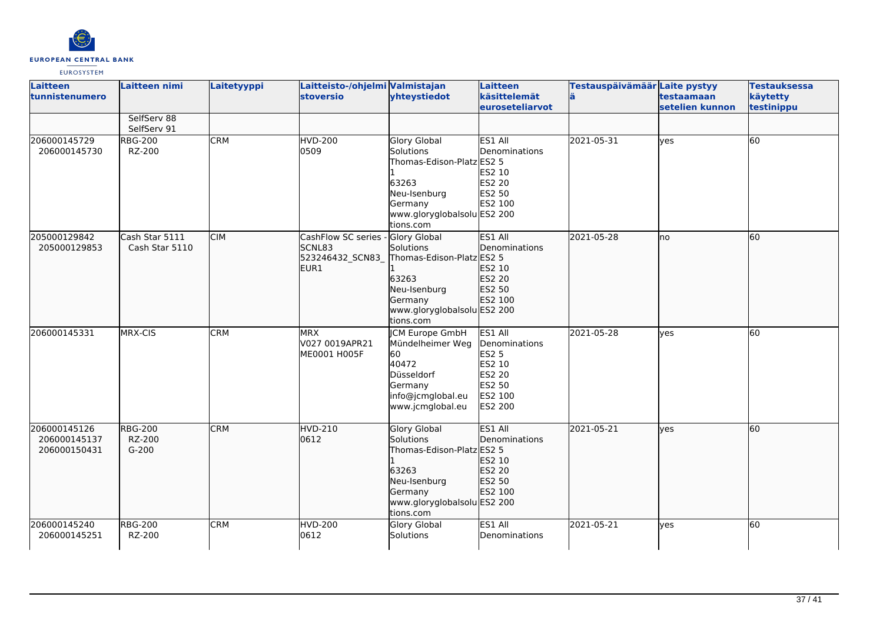

| <b>Laitteen</b><br>tunnistenumero            | Laitteen nimi                       | Laitetyyppi | Laitteisto-/ohjelmi Valmistajan<br><b>stoversio</b>       | yhteystiedot                                                                                                                                  | Laitteen<br>käsittelemät<br>euroseteliarvot                                                         | Testauspäivämäär Laite pystyy | testaamaan<br>setelien kunnon | <b>Testauksessa</b><br>käytetty<br>testinippu |
|----------------------------------------------|-------------------------------------|-------------|-----------------------------------------------------------|-----------------------------------------------------------------------------------------------------------------------------------------------|-----------------------------------------------------------------------------------------------------|-------------------------------|-------------------------------|-----------------------------------------------|
|                                              | SelfServ 88<br>SelfServ 91          |             |                                                           |                                                                                                                                               |                                                                                                     |                               |                               |                                               |
| 206000145729<br>206000145730                 | <b>RBG-200</b><br>RZ-200            | <b>CRM</b>  | <b>HVD-200</b><br>0509                                    | <b>Glory Global</b><br>Solutions<br>Thomas-Edison-Platz ES2 5<br>63263<br>Neu-Isenburg<br>Germany<br>www.gloryglobalsolu ES2 200<br>tions.com | ES1 All<br>Denominations<br><b>ES2 10</b><br><b>ES2 20</b><br><b>ES2 50</b><br>ES2 100              | 2021-05-31                    | lyes                          | 60                                            |
| 205000129842<br>205000129853                 | Cash Star 5111<br>Cash Star 5110    | <b>CIM</b>  | CashFlow SC series -<br>SCNL83<br>523246432 SCN83<br>EUR1 | <b>Glory Global</b><br>Solutions<br>Thomas-Edison-Platz ES2 5<br>63263<br>Neu-Isenburg<br>Germany<br>www.gloryglobalsolu ES2 200<br>tions.com | ES1 All<br><b>Denominations</b><br>ES2 10<br>ES2 20<br>ES2 50<br>ES2 100                            | 2021-05-28                    | lno                           | 60                                            |
| 206000145331                                 | MRX-CIS                             | <b>CRM</b>  | <b>MRX</b><br>V027 0019APR21<br>ME0001 H005F              | <b>CM Europe GmbH</b><br>Mündelheimer Weg<br>60<br>40472<br>Düsseldorf<br>Germany<br>info@jcmglobal.eu<br>www.jcmglobal.eu                    | ES1 All<br>Denominations<br><b>ES2 5</b><br>ES2 10<br><b>ES2 20</b><br>ES2 50<br>ES2 100<br>ES2 200 | 2021-05-28                    | <b>ves</b>                    | 60                                            |
| 206000145126<br>206000145137<br>206000150431 | <b>RBG-200</b><br>RZ-200<br>$G-200$ | <b>CRM</b>  | HVD-210<br>0612                                           | <b>Glory Global</b><br>Solutions<br>Thomas-Edison-Platz ES2 5<br>63263<br>Neu-Isenburg<br>Germany<br>www.gloryglobalsolu ES2 200<br>tions.com | ES1 All<br>Denominations<br>ES2 10<br>ES2 20<br>ES2 50<br>ES2 100                                   | 2021-05-21                    | lyes                          | 60                                            |
| 206000145240<br>206000145251                 | <b>RBG-200</b><br>RZ-200            | <b>CRM</b>  | <b>HVD-200</b><br>0612                                    | Glory Global<br>Solutions                                                                                                                     | ES1 All<br>Denominations                                                                            | 2021-05-21                    | lyes                          | 60                                            |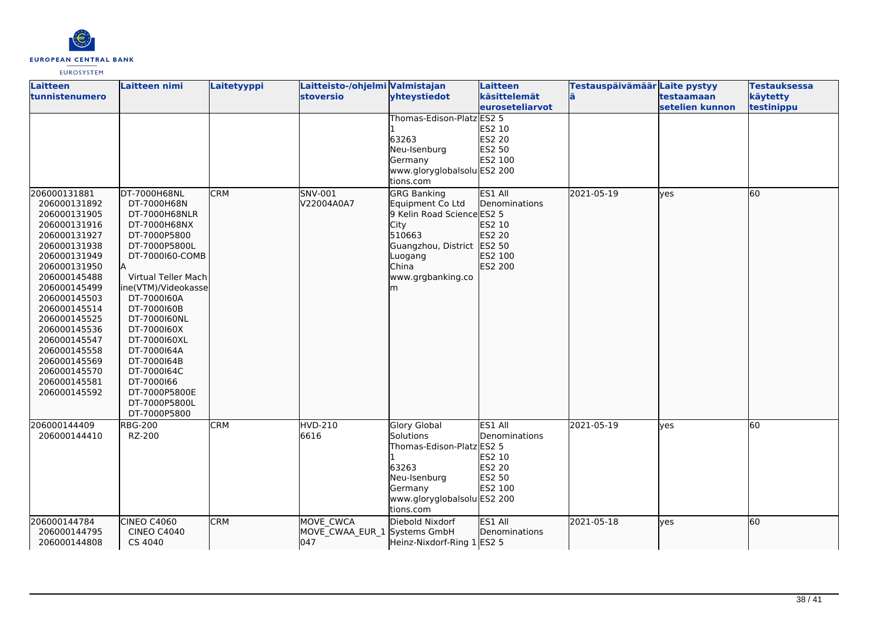

| <b>Laitteen</b><br>tunnistenumero                                                                                                                                                                                                                                                                                            | Laitteen nimi                                                                                                                                                                                                                                                                                                           | Laitetyyppi | Laitteisto-/ohjelmi Valmistajan<br>stoversio     | yhteystiedot                                                                                                                                                                                                                                                                    | Laitteen<br>käsittelemät                                                                                    | Testauspäivämäär Laite pystyy | testaamaan      | <b>Testauksessa</b><br>käytetty |
|------------------------------------------------------------------------------------------------------------------------------------------------------------------------------------------------------------------------------------------------------------------------------------------------------------------------------|-------------------------------------------------------------------------------------------------------------------------------------------------------------------------------------------------------------------------------------------------------------------------------------------------------------------------|-------------|--------------------------------------------------|---------------------------------------------------------------------------------------------------------------------------------------------------------------------------------------------------------------------------------------------------------------------------------|-------------------------------------------------------------------------------------------------------------|-------------------------------|-----------------|---------------------------------|
|                                                                                                                                                                                                                                                                                                                              |                                                                                                                                                                                                                                                                                                                         |             |                                                  |                                                                                                                                                                                                                                                                                 | euroseteliarvot                                                                                             |                               | setelien kunnon | testinippu                      |
| 206000131881<br>206000131892<br>206000131905<br>206000131916<br>206000131927<br>206000131938<br>206000131949<br>206000131950<br>206000145488<br>206000145499<br>206000145503<br>206000145514<br>206000145525<br>206000145536<br>206000145547<br>206000145558<br>206000145569<br>206000145570<br>206000145581<br>206000145592 | DT-7000H68NL<br>DT-7000H68N<br>DT-7000H68NLR<br>DT-7000H68NX<br>DT-7000P5800<br>DT-7000P5800L<br>DT-7000160-COMB<br>Virtual Teller Mach<br>ine(VTM)/Videokasse<br>DT-7000160A<br>DT-7000160B<br>DT-7000160NL<br>DT-7000160X<br>DT-7000160XL<br>DT-7000164A<br>DT-7000164B<br>DT-7000164C<br>DT-7000166<br>DT-7000P5800E | <b>CRM</b>  | SNV-001<br>V22004A0A7                            | Thomas-Edison-Platz ES2 5<br>63263<br>Neu-Isenburg<br>Germany<br>www.gloryglobalsolu ES2 200<br>tions.com<br><b>GRG Banking</b><br>Equipment Co Ltd<br>9 Kelin Road Science ES2 5<br>City<br>510663<br>Guangzhou, District ES2 50<br>Luogang<br>China<br>www.grgbanking.co<br>m | ES2 10<br>ES2 20<br>ES2 50<br>ES2 100<br>ES1 All<br>Denominations<br>ES2 10<br>ES2 20<br>ES2 100<br>ES2 200 | 2021-05-19                    | lyes            | 60                              |
| 206000144409<br>206000144410                                                                                                                                                                                                                                                                                                 | DT-7000P5800L<br>DT-7000P5800<br><b>RBG-200</b><br>RZ-200                                                                                                                                                                                                                                                               | <b>CRM</b>  | <b>HVD-210</b><br>6616                           | <b>Glory Global</b><br>Solutions<br>Thomas-Edison-Platz ES2 5<br>63263<br>Neu-Isenburg<br>Germany<br>www.gloryglobalsolu ES2 200<br>tions.com                                                                                                                                   | ES1 All<br>Denominations<br>ES2 10<br>ES2 20<br>ES2 50<br>ES2 100                                           | 2021-05-19                    | lves            | 60                              |
| 206000144784<br>206000144795<br>206000144808                                                                                                                                                                                                                                                                                 | CINEO C4060<br><b>CINEO C4040</b><br>CS 4040                                                                                                                                                                                                                                                                            | <b>CRM</b>  | MOVE CWCA<br>MOVE_CWAA_EUR_1 Systems GmbH<br>047 | Diebold Nixdorf<br>Heinz-Nixdorf-Ring 1 ES2 5                                                                                                                                                                                                                                   | ES1 All<br>Denominations                                                                                    | 2021-05-18                    | lyes            | 60                              |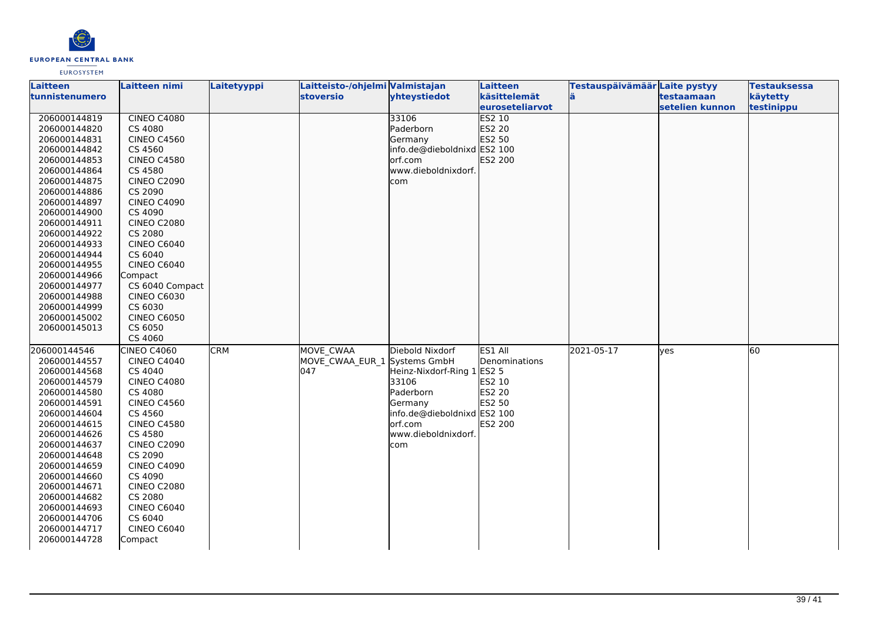

| <b>Laitteen</b>       | Laitteen nimi      | Laitetyyppi | Laitteisto-/ohjelmi Valmistajan |                             | <b>Laitteen</b>         | Testauspäivämäär Laite pystyy |                 | <b>Testauksessa</b> |
|-----------------------|--------------------|-------------|---------------------------------|-----------------------------|-------------------------|-------------------------------|-----------------|---------------------|
| <b>tunnistenumero</b> |                    |             | stoversio                       | yhteystiedot                | käsittelemät            | ä                             | testaamaan      | käytetty            |
|                       |                    |             |                                 |                             | <b>leuroseteliarvot</b> |                               | setelien kunnon | testinippu          |
| 206000144819          | <b>CINEO C4080</b> |             |                                 | 33106                       | <b>ES2 10</b>           |                               |                 |                     |
| 206000144820          | CS 4080            |             |                                 | Paderborn                   | ES2 20                  |                               |                 |                     |
| 206000144831          | <b>CINEO C4560</b> |             |                                 | Germany                     | ES2 50                  |                               |                 |                     |
| 206000144842          | CS 4560            |             |                                 | info.de@dieboldnixd ES2 100 |                         |                               |                 |                     |
| 206000144853          | <b>CINEO C4580</b> |             |                                 | orf.com                     | ES2 200                 |                               |                 |                     |
| 206000144864          | CS 4580            |             |                                 | www.dieboldnixdorf.         |                         |                               |                 |                     |
| 206000144875          | <b>CINEO C2090</b> |             |                                 | com                         |                         |                               |                 |                     |
| 206000144886          | CS 2090            |             |                                 |                             |                         |                               |                 |                     |
| 206000144897          | <b>CINEO C4090</b> |             |                                 |                             |                         |                               |                 |                     |
| 206000144900          | CS 4090            |             |                                 |                             |                         |                               |                 |                     |
| 206000144911          | <b>CINEO C2080</b> |             |                                 |                             |                         |                               |                 |                     |
| 206000144922          | CS 2080            |             |                                 |                             |                         |                               |                 |                     |
| 206000144933          | <b>CINEO C6040</b> |             |                                 |                             |                         |                               |                 |                     |
| 206000144944          | CS 6040            |             |                                 |                             |                         |                               |                 |                     |
| 206000144955          | <b>CINEO C6040</b> |             |                                 |                             |                         |                               |                 |                     |
| 206000144966          | Compact            |             |                                 |                             |                         |                               |                 |                     |
| 206000144977          | CS 6040 Compact    |             |                                 |                             |                         |                               |                 |                     |
| 206000144988          | <b>CINEO C6030</b> |             |                                 |                             |                         |                               |                 |                     |
| 206000144999          | CS 6030            |             |                                 |                             |                         |                               |                 |                     |
| 206000145002          | <b>CINEO C6050</b> |             |                                 |                             |                         |                               |                 |                     |
| 206000145013          | CS 6050            |             |                                 |                             |                         |                               |                 |                     |
|                       | CS 4060            |             |                                 |                             |                         |                               |                 |                     |
| 206000144546          | <b>CINEO C4060</b> | <b>CRM</b>  | <b>MOVE CWAA</b>                | Diebold Nixdorf             | ES1 All                 | 2021-05-17                    | yes             | 60                  |
| 206000144557          | <b>CINEO C4040</b> |             | MOVE CWAA EUR 1 Systems GmbH    |                             | Denominations           |                               |                 |                     |
| 206000144568          | CS 4040            |             | 047                             | Heinz-Nixdorf-Ring 1 ES2 5  |                         |                               |                 |                     |
| 206000144579          | <b>CINEO C4080</b> |             |                                 | 33106                       | ES2 10                  |                               |                 |                     |
| 206000144580          | CS 4080            |             |                                 | Paderborn                   | ES2 20                  |                               |                 |                     |
| 206000144591          | <b>CINEO C4560</b> |             |                                 | Germany                     | ES2 50                  |                               |                 |                     |
| 206000144604          | CS 4560            |             |                                 | info.de@dieboldnixd ES2 100 |                         |                               |                 |                     |
| 206000144615          | <b>CINEO C4580</b> |             |                                 | orf.com                     | ES2 200                 |                               |                 |                     |
| 206000144626          | CS 4580            |             |                                 | www.dieboldnixdorf.         |                         |                               |                 |                     |
| 206000144637          | <b>CINEO C2090</b> |             |                                 | com                         |                         |                               |                 |                     |
| 206000144648          | CS 2090            |             |                                 |                             |                         |                               |                 |                     |
| 206000144659          | <b>CINEO C4090</b> |             |                                 |                             |                         |                               |                 |                     |
| 206000144660          | CS 4090            |             |                                 |                             |                         |                               |                 |                     |
| 206000144671          | <b>CINEO C2080</b> |             |                                 |                             |                         |                               |                 |                     |
| 206000144682          | CS 2080            |             |                                 |                             |                         |                               |                 |                     |
| 206000144693          | CINEO C6040        |             |                                 |                             |                         |                               |                 |                     |
| 206000144706          | CS 6040            |             |                                 |                             |                         |                               |                 |                     |
| 206000144717          | <b>CINEO C6040</b> |             |                                 |                             |                         |                               |                 |                     |
| 206000144728          | Compact            |             |                                 |                             |                         |                               |                 |                     |
|                       |                    |             |                                 |                             |                         |                               |                 |                     |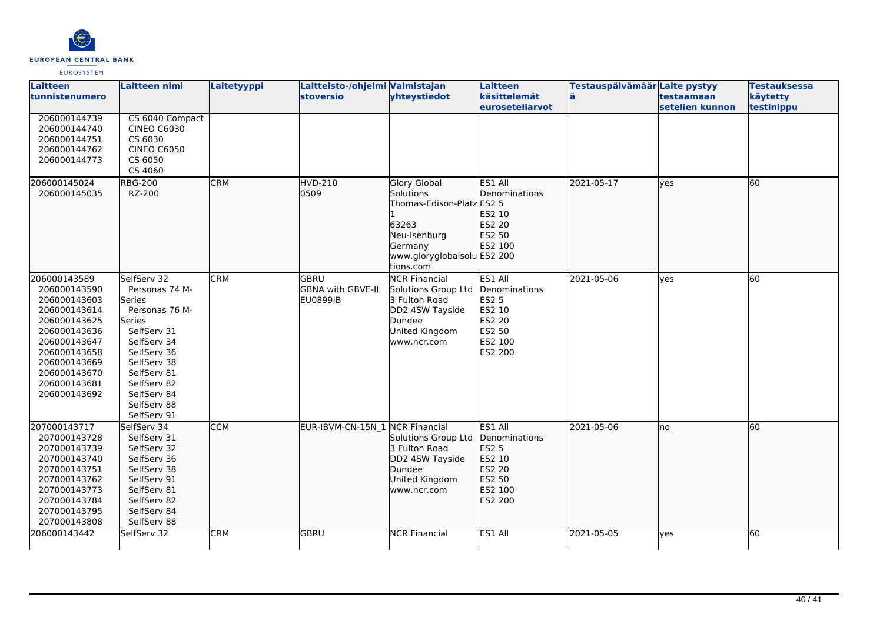

| Laitteen<br>tunnistenumero                                                                                                                                                                   | <b>Laitteen nimi</b>                                                                                                                                                                                       | Laitetyyppi | Laitteisto-/ohjelmi Valmistajan<br>stoversio | yhteystiedot                                                                                                                           | Laitteen<br>käsittelemät<br>euroseteliarvot                                                  | Testauspäivämäär Laite pystyy | testaamaan<br>setelien kunnon | <b>Testauksessa</b><br>käytetty<br>testinippu |
|----------------------------------------------------------------------------------------------------------------------------------------------------------------------------------------------|------------------------------------------------------------------------------------------------------------------------------------------------------------------------------------------------------------|-------------|----------------------------------------------|----------------------------------------------------------------------------------------------------------------------------------------|----------------------------------------------------------------------------------------------|-------------------------------|-------------------------------|-----------------------------------------------|
| 206000144739<br>206000144740<br>206000144751<br>206000144762<br>206000144773                                                                                                                 | CS 6040 Compact<br><b>CINEO C6030</b><br>CS 6030<br><b>CINEO C6050</b><br>CS 6050<br>CS 4060                                                                                                               |             |                                              |                                                                                                                                        |                                                                                              |                               |                               |                                               |
| 206000145024<br>206000145035                                                                                                                                                                 | <b>RBG-200</b><br>RZ-200                                                                                                                                                                                   | <b>CRM</b>  | HVD-210<br>0509                              | Glory Global<br>Solutions<br>Thomas-Edison-Platz ES2 5<br>63263<br>Neu-Isenburg<br>Germany<br>www.gloryglobalsolu ES2 200<br>tions.com | ES1 All<br>Denominations<br>ES2 10<br>ES2 20<br>ES2 50<br>ES2 100                            | 2021-05-17                    | lves                          | 60                                            |
| 206000143589<br>206000143590<br>206000143603<br>206000143614<br>206000143625<br>206000143636<br>206000143647<br>206000143658<br>206000143669<br>206000143670<br>206000143681<br>206000143692 | SelfServ 32<br>Personas 74 M-<br>Series<br>Personas 76 M-<br>Series<br>SelfServ 31<br>SelfServ 34<br>SelfServ 36<br>SelfServ 38<br>SelfServ 81<br>SelfServ 82<br>SelfServ 84<br>SelfServ 88<br>SelfServ 91 | <b>CRM</b>  | <b>GBRU</b><br>GBNA with GBVE-II<br>EU0899IB | <b>NCR Financial</b><br>Solutions Group Ltd<br>3 Fulton Road<br>DD2 4SW Tayside<br>Dundee<br>United Kingdom<br>www.ncr.com             | ES1 All<br>Denominations<br><b>ES2 5</b><br>ES2 10<br>ES2 20<br>ES2 50<br>ES2 100<br>ES2 200 | 2021-05-06                    | <b>l</b> ves                  | $\overline{60}$                               |
| 207000143717<br>207000143728<br>207000143739<br>207000143740<br>207000143751<br>207000143762<br>207000143773<br>207000143784<br>207000143795<br>207000143808                                 | SelfServ 34<br>SelfServ 31<br>SelfServ 32<br>SelfServ 36<br>SelfServ 38<br>SelfServ 91<br>SelfServ 81<br>SelfServ 82<br>SelfServ 84<br>SelfServ 88                                                         | <b>CCM</b>  | EUR-IBVM-CN-15N_1 NCR Financial              | Solutions Group Ltd<br>3 Fulton Road<br>DD2 4SW Tayside<br>Dundee<br>United Kingdom<br>www.ncr.com                                     | ES1 All<br>Denominations<br><b>ES2 5</b><br>ES2 10<br>ES2 20<br>ES2 50<br>ES2 100<br>ES2 200 | 2021-05-06                    | lno                           | 60                                            |
| 206000143442                                                                                                                                                                                 | SelfServ 32                                                                                                                                                                                                | <b>CRM</b>  | GBRU                                         | <b>NCR Financial</b>                                                                                                                   | ES1 All                                                                                      | 2021-05-05                    | lves                          | 60                                            |